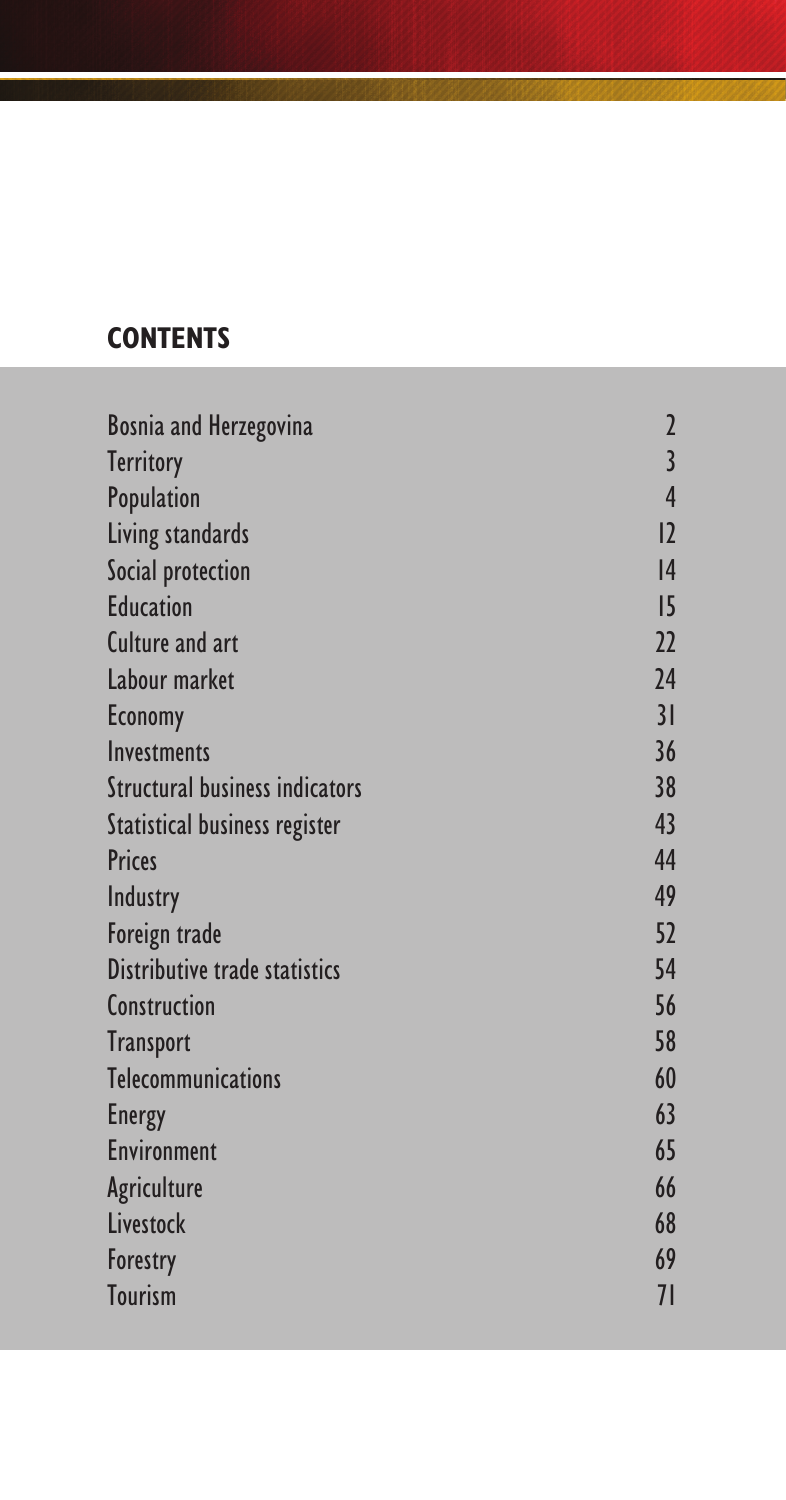# **CONTENTS**

| <b>Bosnia and Herzegovina</b>        | $\overline{\mathbf{c}}$ |
|--------------------------------------|-------------------------|
| <b>Territory</b>                     | $\overline{\mathbf{3}}$ |
| Population                           | 4                       |
| Living standards                     | 2                       |
| Social protection                    | 4                       |
| <b>Education</b>                     | 5                       |
| <b>Culture and art</b>               | 22                      |
| Labour market                        | 24                      |
| <b>Economy</b>                       | 31                      |
| Investments                          | 36                      |
| Structural business indicators       | 38                      |
| <b>Statistical business register</b> | 43                      |
| <b>Prices</b>                        | 44                      |
| Industry                             | 49                      |
| Foreign trade                        | 52                      |
| Distributive trade statistics        | 54                      |
| Construction                         | 56                      |
| <b>Transport</b>                     | 58                      |
| <b>Telecommunications</b>            | 60                      |
| <b>Energy</b>                        | 63                      |
| <b>Environment</b>                   | 65                      |
| Agriculture                          | 66                      |
| Livestock                            | 68                      |
| Forestry                             | 69                      |
| <b>Tourism</b>                       | 71                      |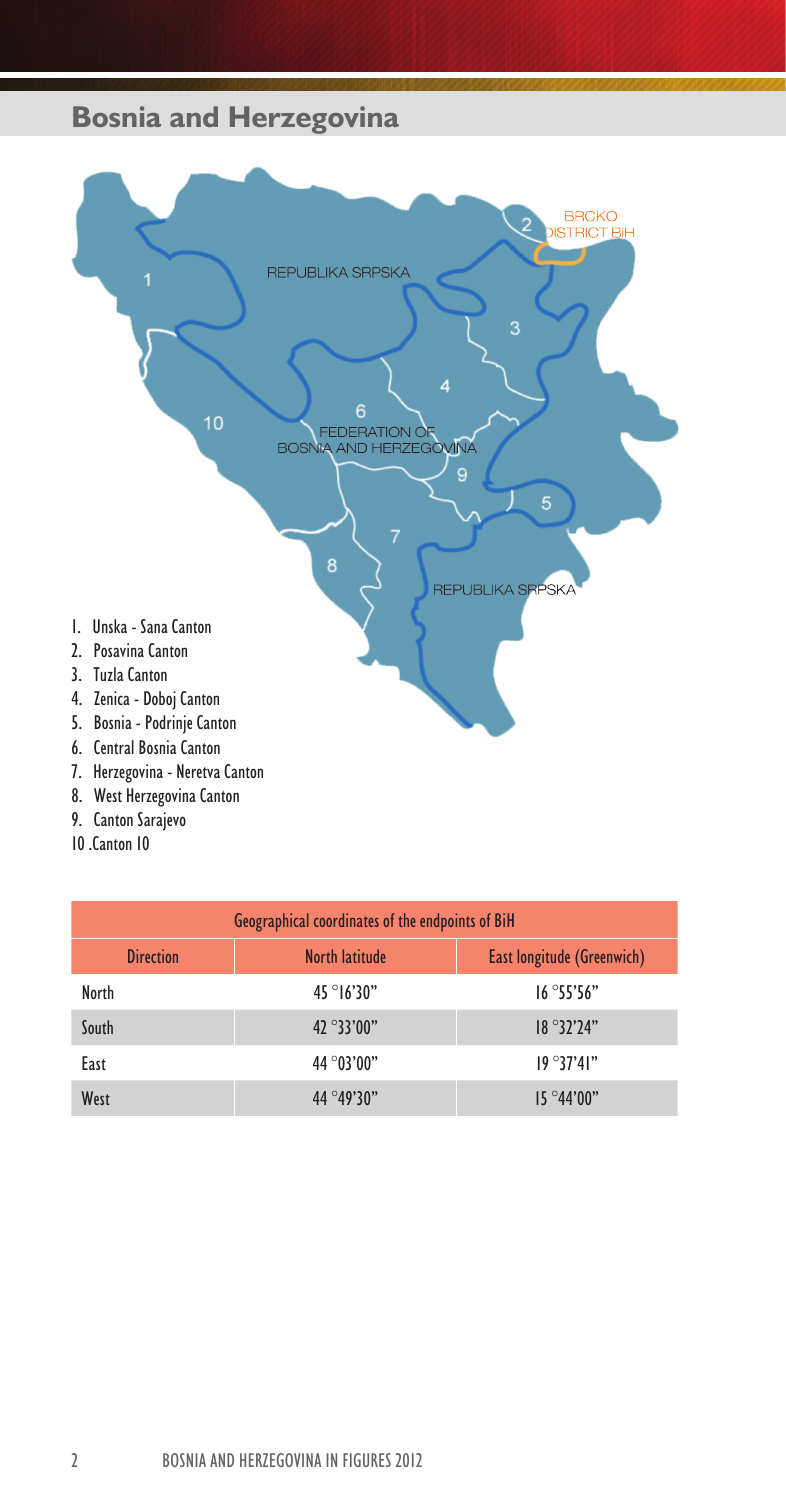# **Bosnia and Herzegovina**



- 8. West Herzegovina Canton
- 9. Canton Sarajevo
- 10 .Canton 10

| Geographical coordinates of the endpoints of BiH                        |                     |                    |  |  |  |  |  |
|-------------------------------------------------------------------------|---------------------|--------------------|--|--|--|--|--|
| <b>Direction</b><br><b>North latitude</b><br>East longitude (Greenwich) |                     |                    |  |  |  |  |  |
| North                                                                   | $45^{\circ}$ 16'30" | 16°55'56"          |  |  |  |  |  |
| South                                                                   | $42^{\circ}33'00"$  | $18^{\circ}32'24"$ |  |  |  |  |  |
| East                                                                    | 44 ° 03' 00"        | 19°37'41"          |  |  |  |  |  |
| West                                                                    | $44^{\circ}49'30"$  | $15^{\circ}44'00"$ |  |  |  |  |  |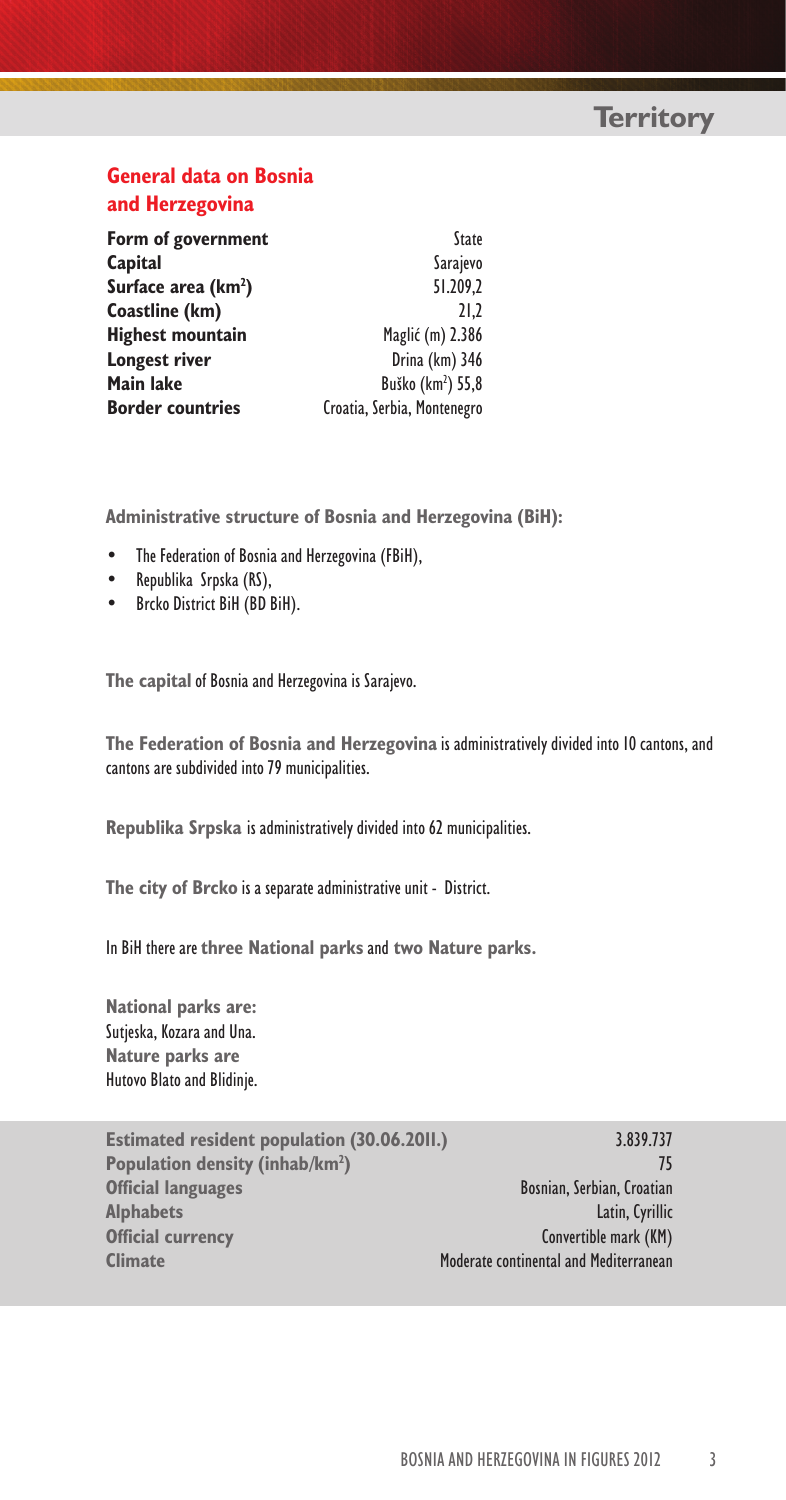# **General data on Bosnia and Herzegovina**

| Form of government              | State                         |
|---------------------------------|-------------------------------|
| Capital                         | Sarajevo                      |
| Surface area (km <sup>2</sup> ) | 51.209.2                      |
| Coastline (km)                  | 21.2                          |
| <b>Highest mountain</b>         | Maglić (m) 2.386              |
| Longest river                   | Drina (km) 346                |
| Main lake                       | Buško (km <sup>2</sup> ) 55,8 |
| <b>Border countries</b>         | Croatia, Serbia, Montenegro   |

**Administrative structure of Bosnia and Herzegovina (BiH):**

- The Federation of Bosnia and Herzegovina (FBiH),
- Republika Srpska (RS),
- Brcko District BiH (BD BiH).

**The capital** of Bosnia and Herzegovina is Sarajevo.

**The Federation of Bosnia and Herzegovina** is administratively divided into 10 cantons, and cantons are subdivided into 79 municipalities.

**Republika Srpska** is administratively divided into 62 municipalities.

**The city of Brcko** is a separate administrative unit - District.

In BiH there are **three National parks** and **two Nature parks.**

**National parks are:** Sutjeska, Kozara and Una. **Nature parks are** Hutovo Blato and Blidinje.

**Estimated resident population (30.06.2011.)** 3.839.737 **Population density (inhab/km2 Official languages** Bosnian, Serbian, Croatian **Alphabets** Latin, Cyrillic **Official currency** Convertible mark (KM) **Climate** Moderate continental and Mediterranean

**)** 75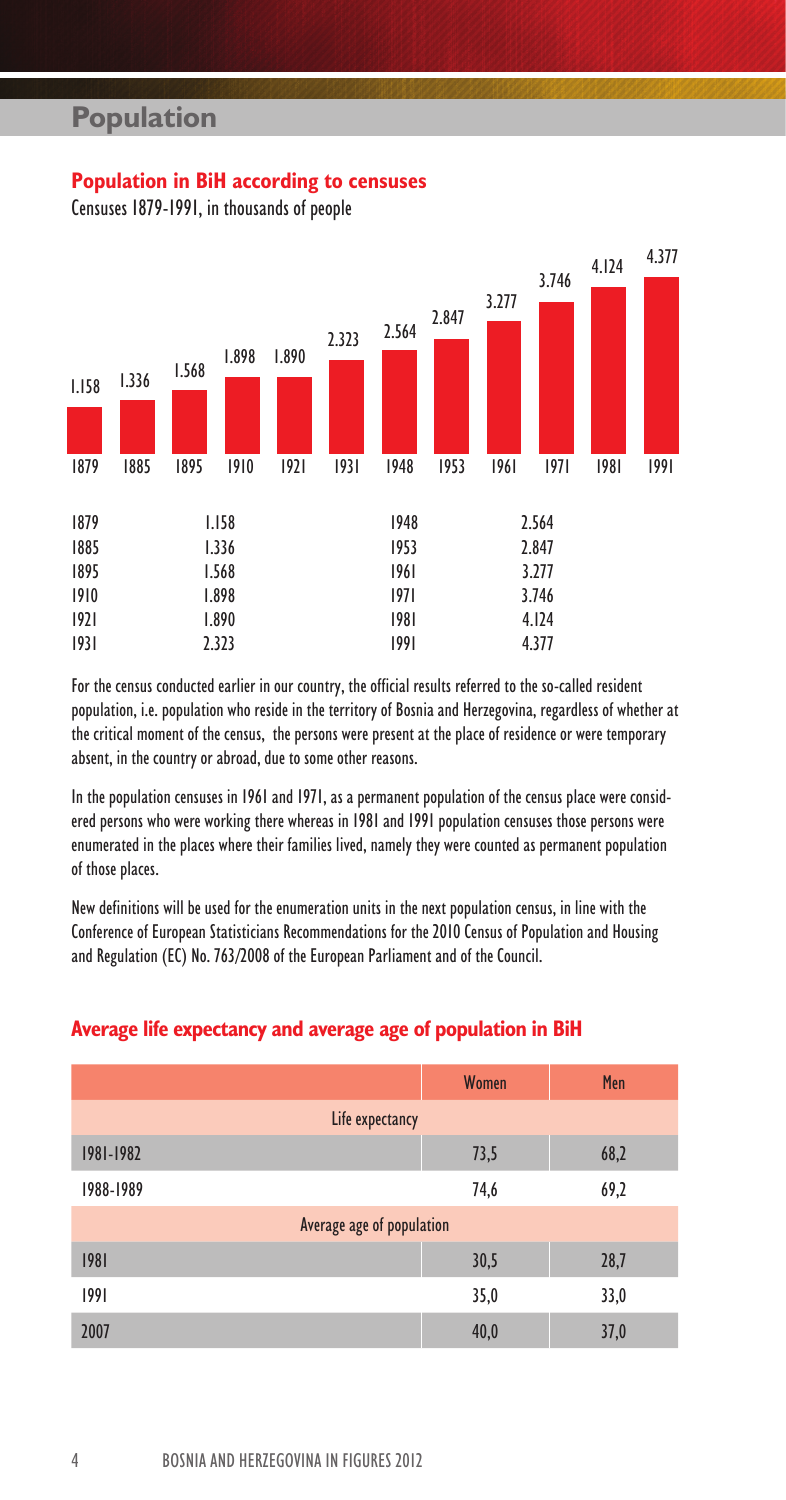### **Population in BiH according to censuses**

Censuses 1879-1991, in thousands of people



For the census conducted earlier in our country, the official results referred to the so-called resident population, i.e. population who reside in the territory of Bosnia and Herzegovina, regardless of whether at the critical moment of the census, the persons were present at the place of residence or were temporary absent, in the country or abroad, due to some other reasons.

In the population censuses in 1961 and 1971, as a permanent population of the census place were considered persons who were working there whereas in 1981 and 1991 population censuses those persons were enumerated in the places where their families lived, namely they were counted as permanent population of those places.

New definitions will be used for the enumeration units in the next population census, in line with the Conference of European Statisticians Recommendations for the 2010 Census of Population and Housing and Regulation (EC) No. 763/2008 of the European Parliament and of the Council.

### **Average life expectancy and average age of population in BiH**

|                           | Women | Men  |
|---------------------------|-------|------|
| Life expectancy           |       |      |
| 1981-1982                 | 73,5  | 68,2 |
| 1988-1989                 | 74,6  | 69,2 |
| Average age of population |       |      |
| 1981                      | 30,5  | 28,7 |
| 1991                      | 35,0  | 33,0 |
| 2007                      | 40,0  | 37,0 |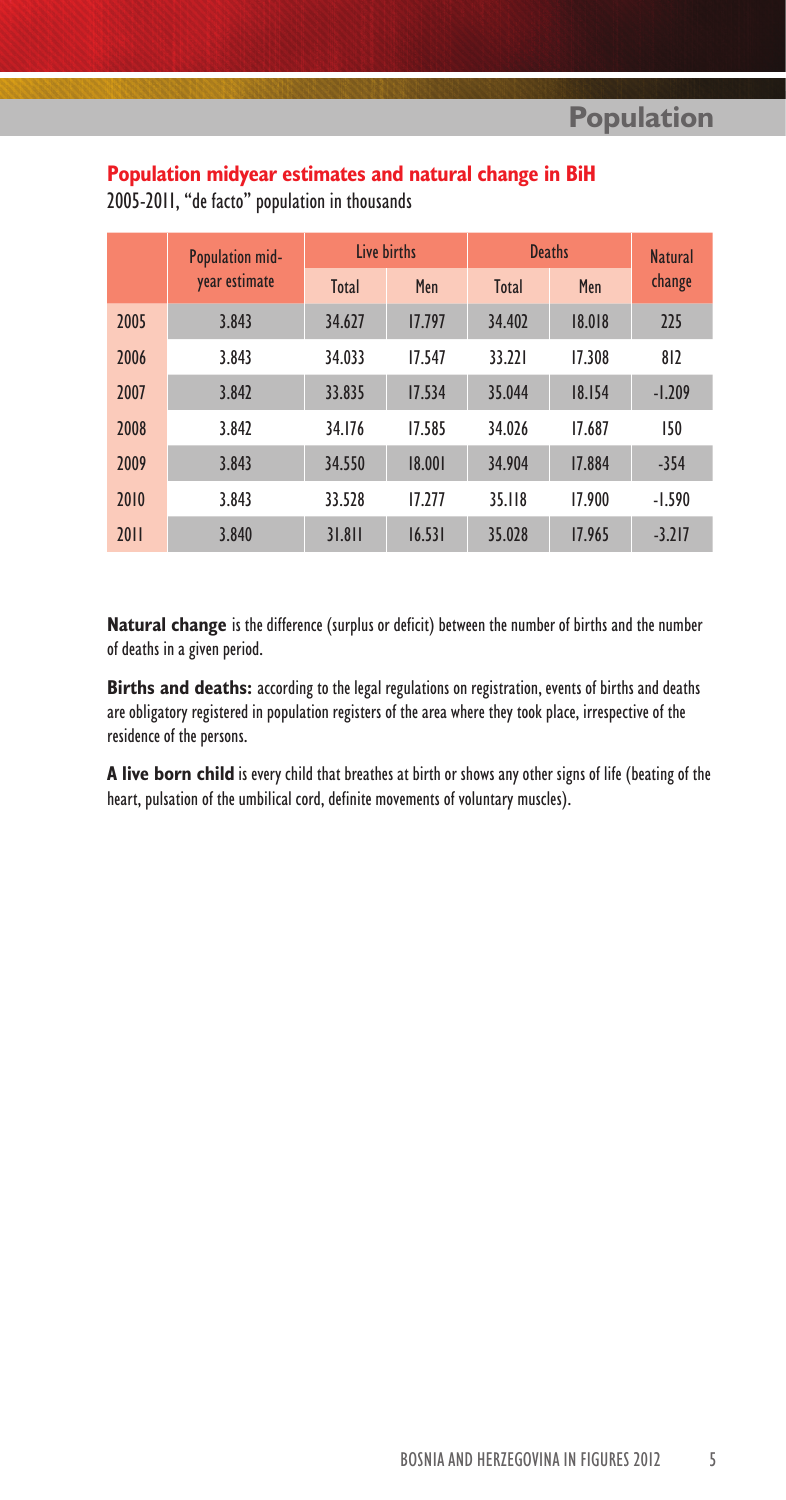# **Population midyear estimates and natural change in BiH**

|      | Population mid- | <b>Live births</b> |        | <b>Deaths</b> | <b>Natural</b> |          |
|------|-----------------|--------------------|--------|---------------|----------------|----------|
|      | year estimate   | <b>Total</b>       | Men    | <b>Total</b>  | Men            | change   |
| 2005 | 3.843           | 34.627             | 17.797 | 34.402        | 18.018         | 225      |
| 2006 | 3.843           | 34.033             | 17.547 | 33.221        | 17.308         | 812      |
| 2007 | 3.842           | 33.835             | 17.534 | 35.044        | 18.154         | $-1.209$ |
| 2008 | 3.842           | 34.176             | 17.585 | 34.026        | 17.687         | 150      |
| 2009 | 3.843           | 34.550             | 18.001 | 34.904        | 17.884         | $-354$   |
| 2010 | 3.843           | 33.528             | 17.277 | 35.118        | 17.900         | $-1.590$ |
| 2011 | 3.840           | 31.811             | 16.531 | 35.028        | 17.965         | $-3.217$ |

2005-2011, "de facto" population in thousands

**Natural change** is the difference (surplus or deficit) between the number of births and the number of deaths in a given period.

**Births and deaths:** according to the legal regulations on registration, events of births and deaths are obligatory registered in population registers of the area where they took place, irrespective of the residence of the persons.

**A live born child** is every child that breathes at birth or shows any other signs of life (beating of the heart, pulsation of the umbilical cord, definite movements of voluntary muscles).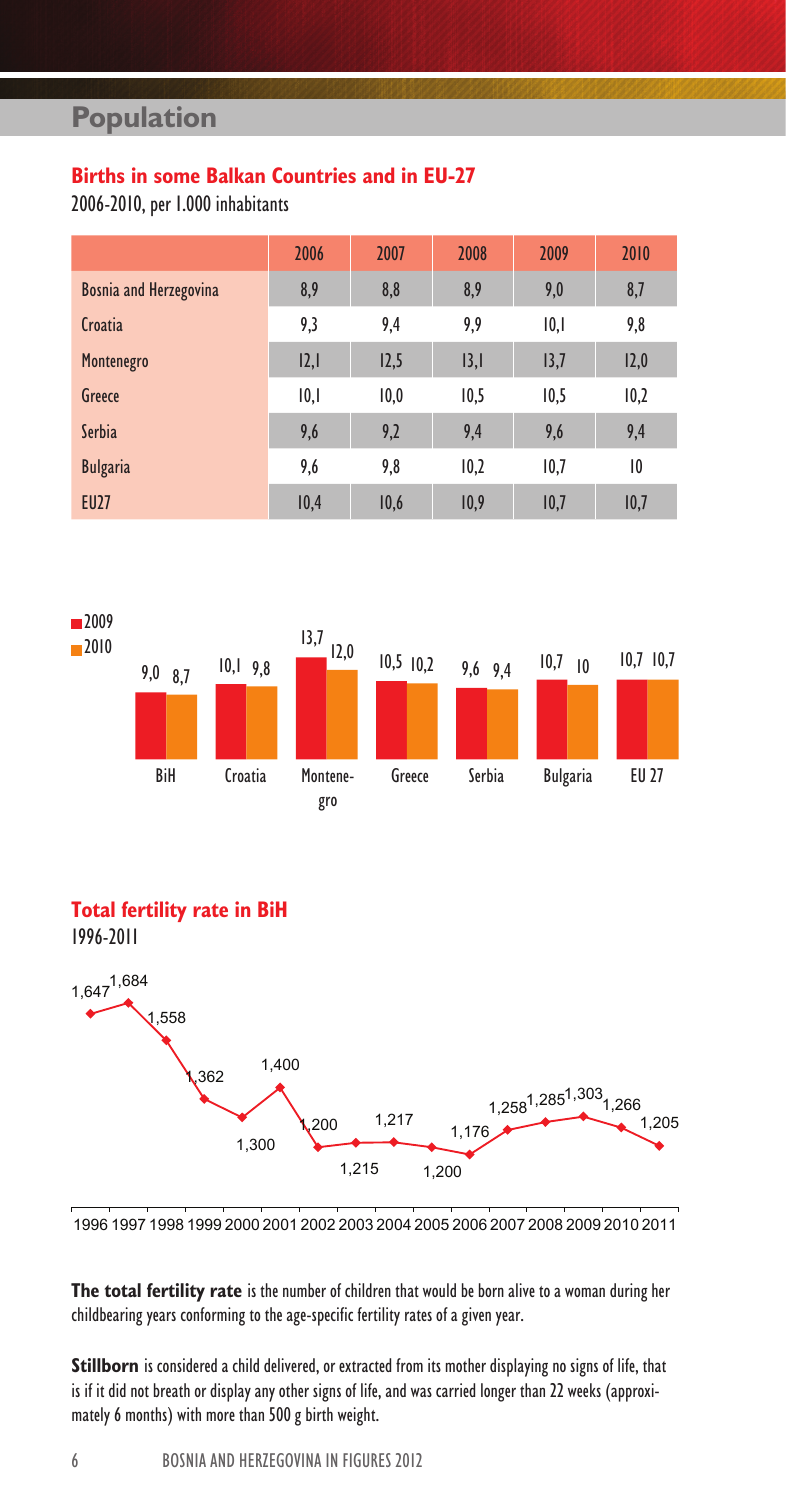# **Births in some Balkan Countries and in EU-27**

2006-2010, per 1.000 inhabitants

|                               | 2006 | 2007 | 2008 | 2009 | 2010 |
|-------------------------------|------|------|------|------|------|
| <b>Bosnia and Herzegovina</b> | 8,9  | 8,8  | 8,9  | 9,0  | 8,7  |
| Croatia                       | 9,3  | 9,4  | 9,9  | 10,1 | 9,8  |
| Montenegro                    | 2,   | 12,5 | 3,   | 13,7 | 12,0 |
| Greece                        | 10,1 | 10,0 | 10,5 | 10,5 | 10,2 |
| Serbia                        | 9,6  | 9,2  | 9,4  | 9,6  | 9,4  |
| <b>Bulgaria</b>               | 9,6  | 9,8  | 10,2 | 10,7 | 10   |
| <b>EU27</b>                   | 10,4 | 10,6 | 10,9 | 10,7 | 10,7 |



### **Total fertility rate in BiH**





1996 1997 1998 1999 2000 2001 2002 2003 2004 2005 2006 2007 2008 2009 2010 2011

**The total fertility rate** is the number of children that would be born alive to a woman during her childbearing years conforming to the age-specific fertility rates of a given year.

Stillborn is considered a child delivered, or extracted from its mother displaying no signs of life, that is if it did not breath or display any other signs of life, and was carried longer than 22 weeks (approximately 6 months) with more than 500 g birth weight.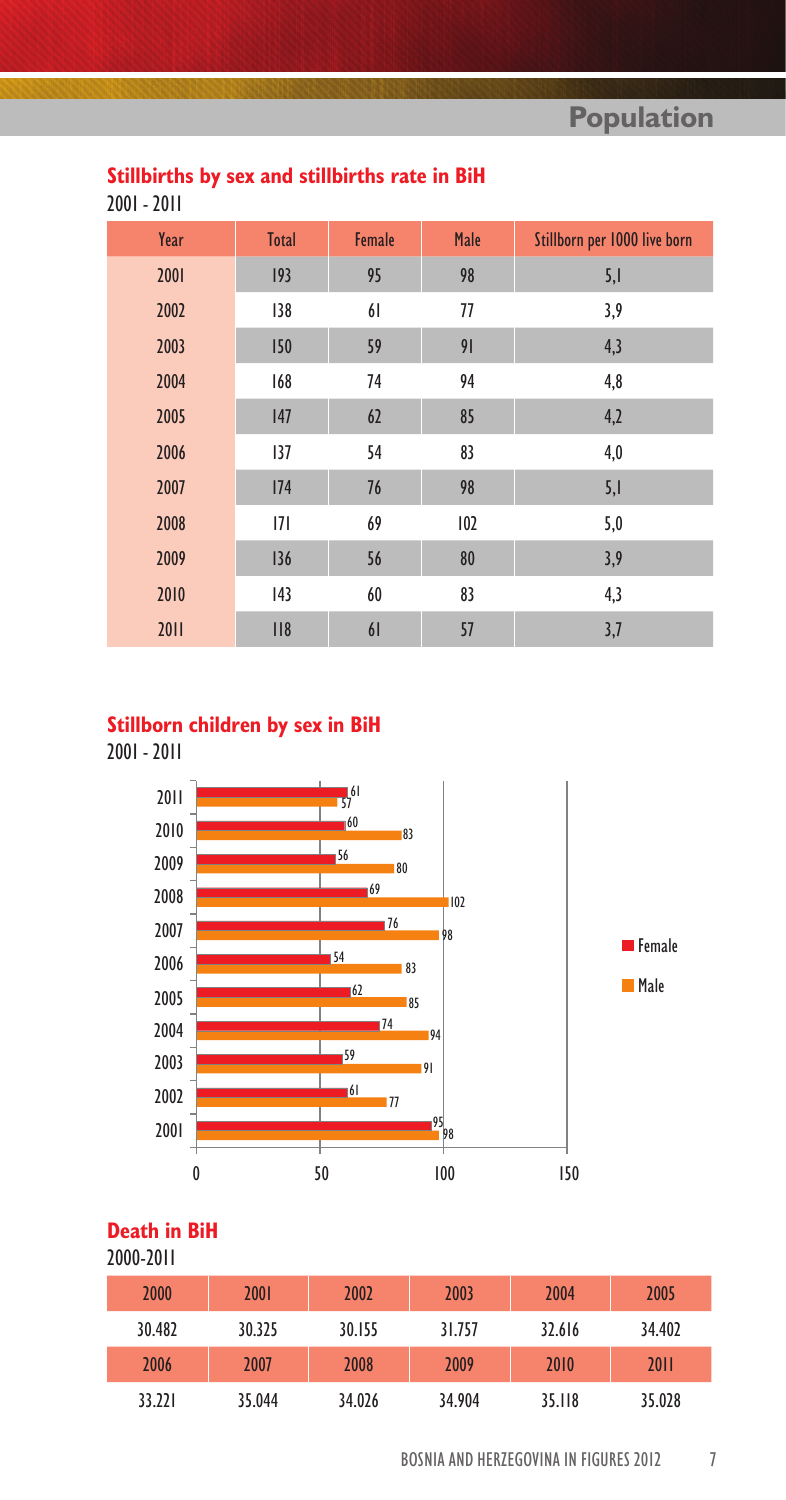# **Stillbirths by sex and stillbirths rate in BiH**

2001 - 2011

| Year | <b>Total</b> | Female | Male | Stillborn per 1000 live born |
|------|--------------|--------|------|------------------------------|
| 2001 | 193          | 95     | 98   | 5,1                          |
| 2002 | 138          | 61     | 77   | 3,9                          |
| 2003 | 150          | 59     | 91   | 4,3                          |
| 2004 | 168          | 74     | 94   | 4,8                          |
| 2005 | 147          | 62     | 85   | 4,2                          |
| 2006 | 137          | 54     | 83   | 4,0                          |
| 2007 | 174          | 76     | 98   | 5,1                          |
| 2008 | 7            | 69     | 102  | 5,0                          |
| 2009 | 136          | 56     | 80   | 3,9                          |
| 2010 | 43           | 60     | 83   | 4,3                          |
| 2011 | 118          | 61     | 57   | 3,7                          |

# **Stillborn children by sex in BiH**

2001 - 2011



# **Death in BiH**

### 2000-2011

| 2000   | 2001   | 2002   | 2003   | 2004   | 2005   |
|--------|--------|--------|--------|--------|--------|
| 30.482 | 30.325 | 30.155 | 31.757 | 32.616 | 34.402 |
| 2006   | 2007   | 2008   | 2009   | 2010   | 2011   |
| 33.221 | 35.044 | 34.026 | 34.904 | 35.118 | 35.028 |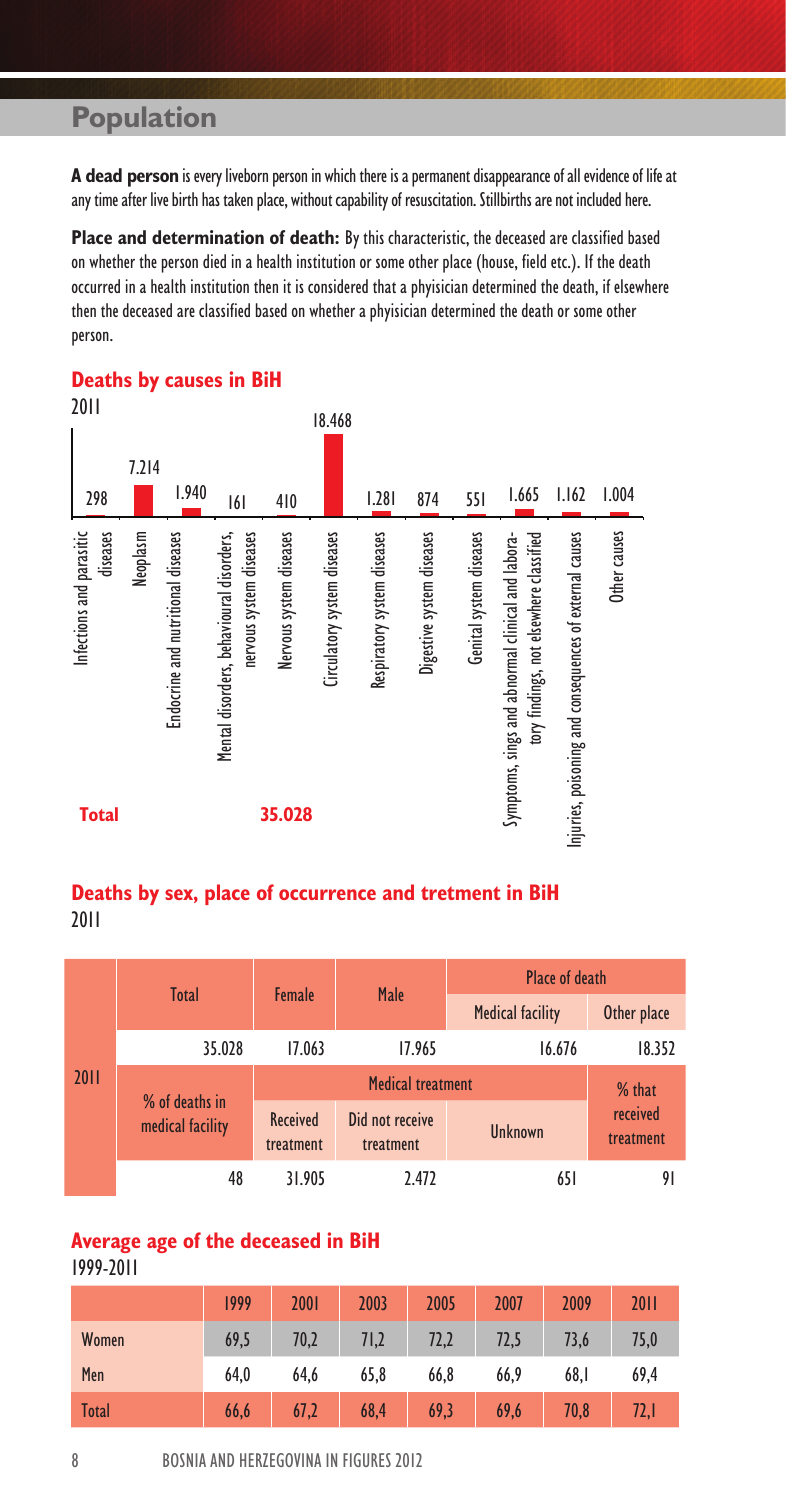**A dead person** is every liveborn person in which there is a permanent disappearance of all evidence of life at any time after live birth has taken place, without capability of resuscitation. Stillbirths are not included here.

**Place and determination of death:** By this characteristic, the deceased are classified based on whether the person died in a health institution or some other place (house, field etc.). If the death occurred in a health institution then it is considered that a phyisician determined the death, if elsewhere then the deceased are classified based on whether a phyisician determined the death or some other person.

| 2011<br>298                                      | 7.214<br>1.940                     | 6                                                                   | 410                     | 18.468                      | 1.281                       | 874                       | 551                     | 1.665                                                                                        | 1.162                                                   | 1.004        |
|--------------------------------------------------|------------------------------------|---------------------------------------------------------------------|-------------------------|-----------------------------|-----------------------------|---------------------------|-------------------------|----------------------------------------------------------------------------------------------|---------------------------------------------------------|--------------|
| Infections and parasitic<br>diseases<br>Neoplasm | Endocrine and nutritional diseases | Mental disorders, behavioural disorders,<br>nervous system diseases | Nervous system diseases | Circulatory system diseases | Respiratory system diseases | Digestive system diseases | Genital system diseases | tory findings, not elsewhere classified<br>Symptoms, sings and abnormal clinical and labora- | Injuries, poisoning and consequences of external causes | Other causes |
| <b>Total</b>                                     |                                    |                                                                     | 35.028                  |                             |                             |                           |                         |                                                                                              |                                                         |              |

### **Deaths by causes in BiH** 2011

### **Deaths by sex, place of occurrence and tretment in BiH** 2011

|                                                               |    |                              |                              | Place of death          |                       |  |
|---------------------------------------------------------------|----|------------------------------|------------------------------|-------------------------|-----------------------|--|
| Total<br>35.028<br>2011<br>% of deaths in<br>medical facility |    | Female                       | Male                         | <b>Medical facility</b> | Other place           |  |
|                                                               |    | 17.063                       | 17.965<br>16.676             |                         | 18.352                |  |
|                                                               |    |                              | % that                       |                         |                       |  |
|                                                               |    | <b>Received</b><br>treatment | Did not receive<br>treatment | Unknown                 | received<br>treatment |  |
|                                                               | 48 | 31.905                       | 2.472                        | 651                     | 91                    |  |

### **Average age of the deceased in BiH** 1999-2011

|       | 1999 | 2001 | 2003 | 2005 | 2007 | 2009 | 2011 |
|-------|------|------|------|------|------|------|------|
| Women | 69.5 | 70,2 | 71,2 | 72,2 | 72,5 | 73,6 | 75,0 |
| Men   | 64.0 | 64.6 | 65,8 | 66.8 | 66.9 | 68.1 | 69.4 |
| Total | 66,6 | 67,2 | 68,4 | 69,3 | 69.6 | 70.8 | 72,1 |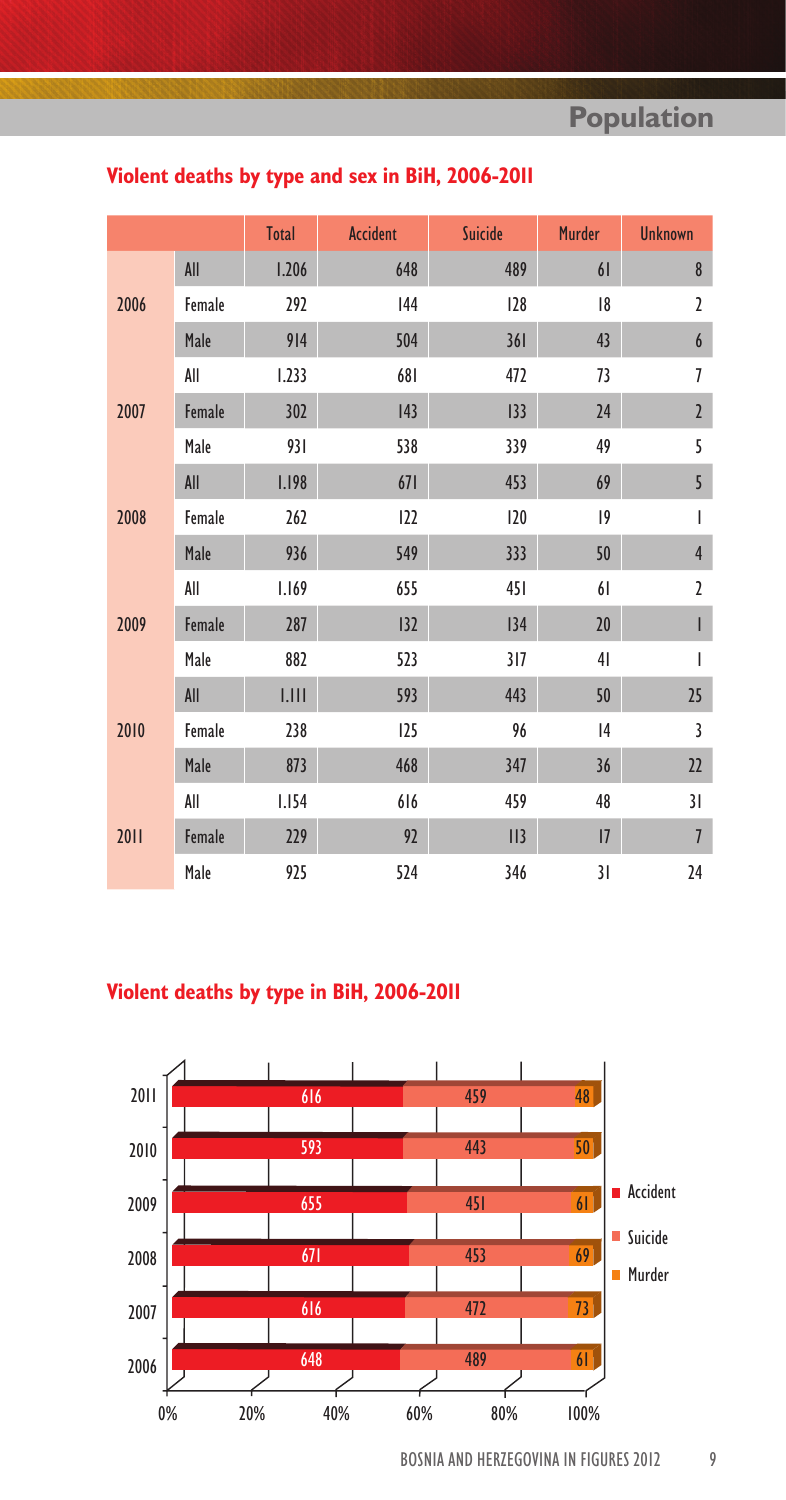|      |        | <b>Total</b> | <b>Accident</b> | Suicide | <b>Murder</b> | <b>Unknown</b> |
|------|--------|--------------|-----------------|---------|---------------|----------------|
| 2006 | All    | 1.206        | 648             | 489     | 61            | $\bf 8$        |
|      | Female | 292          | 144             | 128     | 18            | $\overline{2}$ |
|      | Male   | 914          | 504             | 361     | 43            | 6              |
|      | All    | 1.233        | 681             | 472     | 73            | 7              |
| 2007 | Female | 302          | 43              | 133     | 24            | $\overline{2}$ |
|      | Male   | 931          | 538             | 339     | 49            | 5              |
|      | All    | <b>I.198</b> | 671             | 453     | 69            | 5              |
| 2008 | Female | 262          | 122             | 120     | 9             | I              |
|      | Male   | 936          | 549             | 333     | 50            | $\overline{4}$ |
|      | All    | 1.169        | 655             | 451     | 61            | $\overline{2}$ |
| 2009 | Female | 287          | 132             | 134     | 20            | L              |
|      | Male   | 882          | 523             | 317     | 41            | I              |
|      | All    | LIII         | 593             | 443     | 50            | 25             |
| 2010 | Female | 238          | 125             | 96      | 4             | 3              |
|      | Male   | 873          | 468             | 347     | 36            | 22             |
|      | All    | 1.154        | 616             | 459     | 48            | 31             |
| 2011 | Female | 229          | 92              | II3     | 7             | $\overline{1}$ |
|      | Male   | 925          | 524             | 346     | 31            | 24             |

# **Violent deaths by type and sex in BiH, 2006-2011**

# **Violent deaths by type in BiH, 2006-2011**

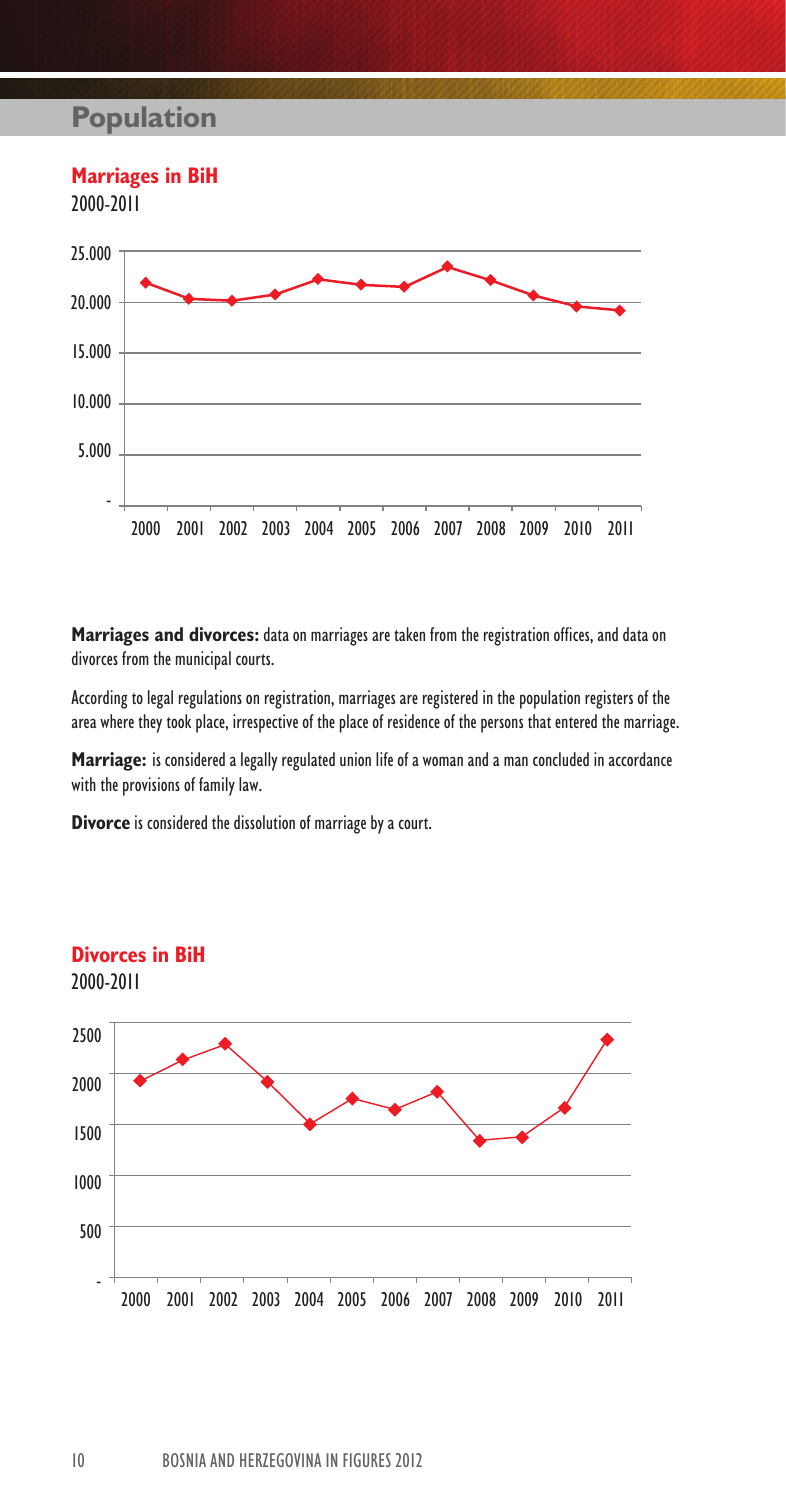

**Marriages and divorces:** data on marriages are taken from the registration offices, and data on divorces from the municipal courts.

According to legal regulations on registration, marriages are registered in the population registers of the area where they took place, irrespective of the place of residence of the persons that entered the marriage.

**Marriage:** is considered a legally regulated union life of a woman and a man concluded in accordance with the provisions of family law.

**Divorce** is considered the dissolution of marriage by a court.

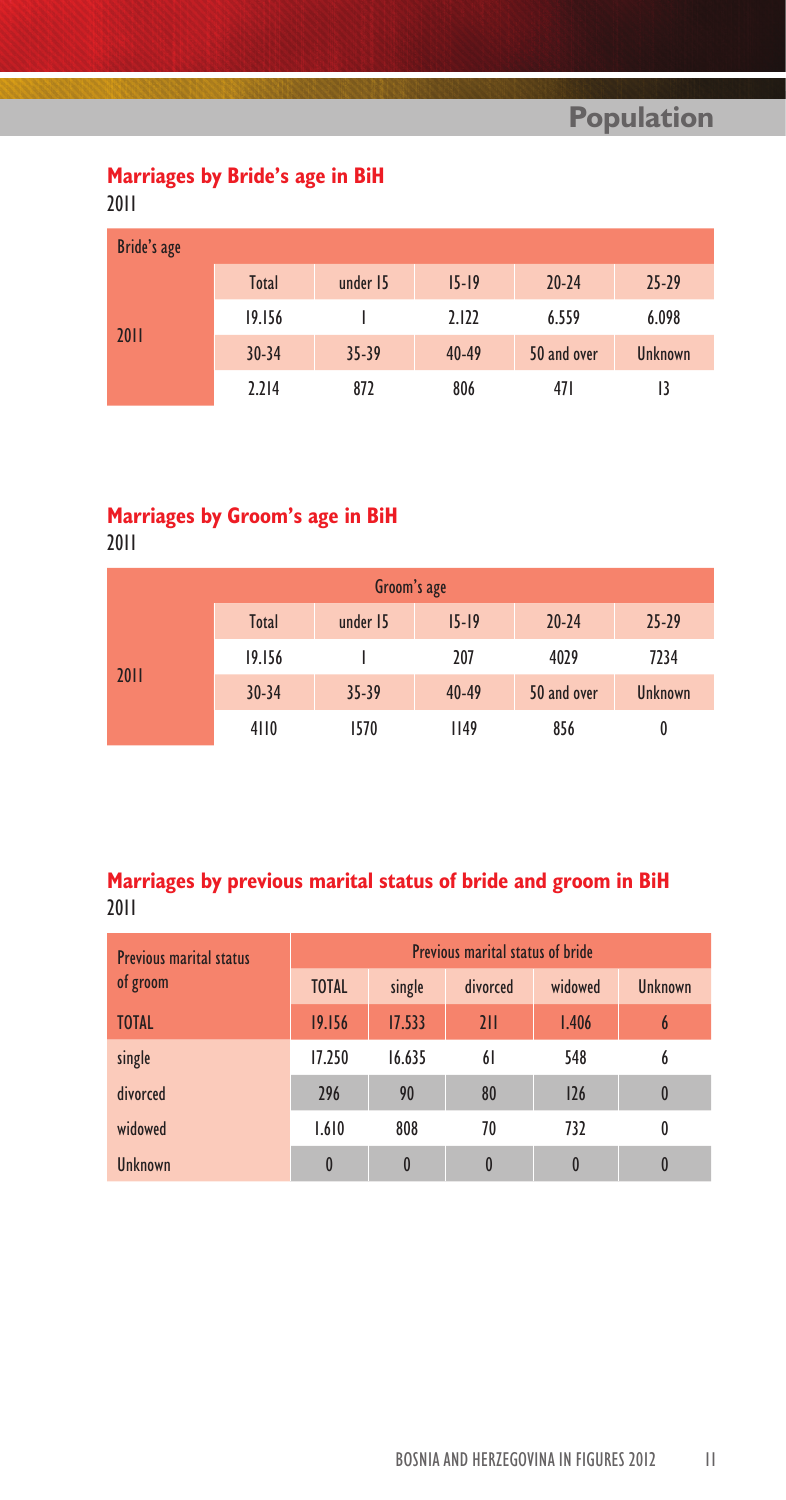# **Marriages by Bride's age in BiH**

2011

| Bride's age |           |           |           |             |                |
|-------------|-----------|-----------|-----------|-------------|----------------|
|             | Total     | under 15  | $15-19$   | $20 - 24$   | $25 - 29$      |
|             | 19.156    |           | 2.122     | 6.559       | 6.098          |
| 2011        | $30 - 34$ | $35 - 39$ | $40 - 49$ | 50 and over | <b>Unknown</b> |
|             | 2.214     | 872       | 806       | 471         | 13             |

# **Marriages by Groom's age in BiH**

2011

|      |           | Groom's age |             |             |                |
|------|-----------|-------------|-------------|-------------|----------------|
|      | Total     | under 15    | $15 - 19$   | $20 - 24$   | $25 - 29$      |
|      | 19.156    |             | 207         | 4029        | 7234           |
| 2011 | $30 - 34$ | $35 - 39$   | $40 - 49$   | 50 and over | <b>Unknown</b> |
|      | 4110      | 1570        | <b>II49</b> | 856         | 0              |

# **Marriages by previous marital status of bride and groom in BiH** 2011

| <b>Previous marital status</b> |              |              | Previous marital status of bride |          |                  |
|--------------------------------|--------------|--------------|----------------------------------|----------|------------------|
| of groom                       | <b>TOTAL</b> | single       | divorced                         | widowed  | Unknown          |
| <b>TOTAL</b>                   | 19.156       | 17.533       | 211                              | 1.406    | 6                |
| single                         | 17.250       | 16.635       | 61                               | 548      | 6                |
| divorced                       | 296          | 90           | 80                               | 126      | $\boldsymbol{0}$ |
| widowed                        | 1.610        | 808          | 70                               | 732      | 0                |
| <b>Ilnknown</b>                | $\mathbf{0}$ | $\mathbf{0}$ | 0                                | $\bf{0}$ |                  |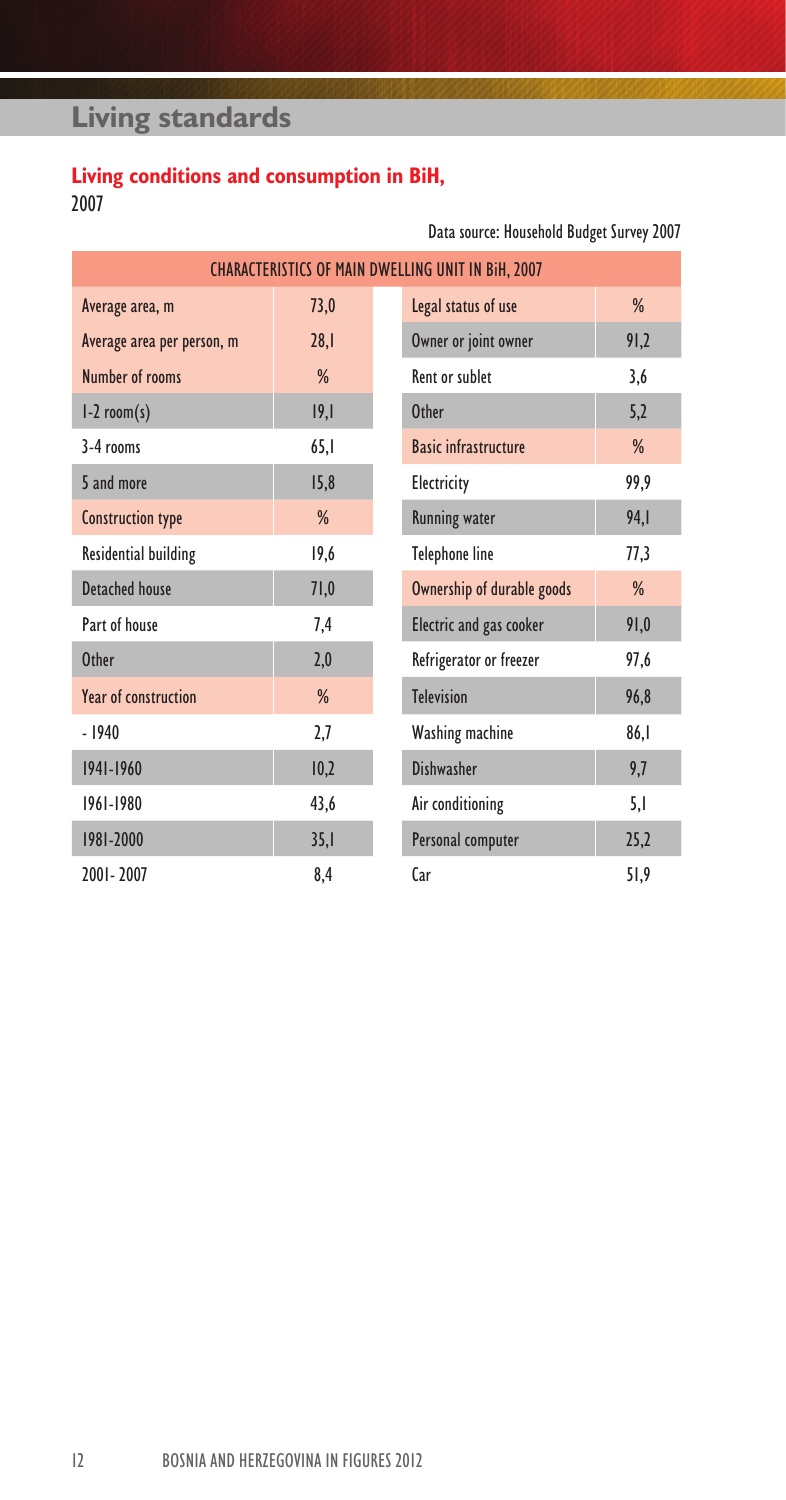# **Living standards**

# **Living conditions and consumption in BiH,** 2007

Data source: Household Budget Survey 2007

|                             |      | <b>CHARACTERISTICS OF MAIN DWELLING UNIT IN BIH, 2007</b> |               |
|-----------------------------|------|-----------------------------------------------------------|---------------|
| Average area, m             | 73,0 | Legal status of use                                       | $\frac{0}{6}$ |
| Average area per person, m  | 28.1 | Owner or joint owner                                      | 91,2          |
| Number of rooms             | %    | <b>Rent or sublet</b>                                     | 3,6           |
| $l-2$ room(s)               | 19,1 | Other                                                     | 5,2           |
| $3-4$ rooms                 | 65,1 | <b>Basic infrastructure</b>                               | %             |
| 5 and more                  | 15,8 | Electricity                                               | 99,9          |
| <b>Construction type</b>    | %    | <b>Running water</b>                                      | 94, I         |
| <b>Residential building</b> | 19,6 | <b>Telephone line</b>                                     | 77,3          |
| Detached house              | 71,0 | Ownership of durable goods                                | %             |
| Part of house               | 7,4  | Electric and gas cooker                                   | 91,0          |
| <b>Other</b>                | 2,0  | Refrigerator or freezer                                   | 97,6          |
| Year of construction        | %    | <b>Television</b>                                         | 96,8          |
| $-1940$                     | 2,7  | Washing machine                                           | 86,1          |
| 1941-1960                   | 10,2 | Dishwasher                                                | 9,7           |
| 1961-1980                   | 43,6 | Air conditioning                                          | 5,1           |
| 1981-2000                   | 35,1 | Personal computer                                         | 25,2          |
| 2001-2007                   | 8.4  | Car                                                       | 51,9          |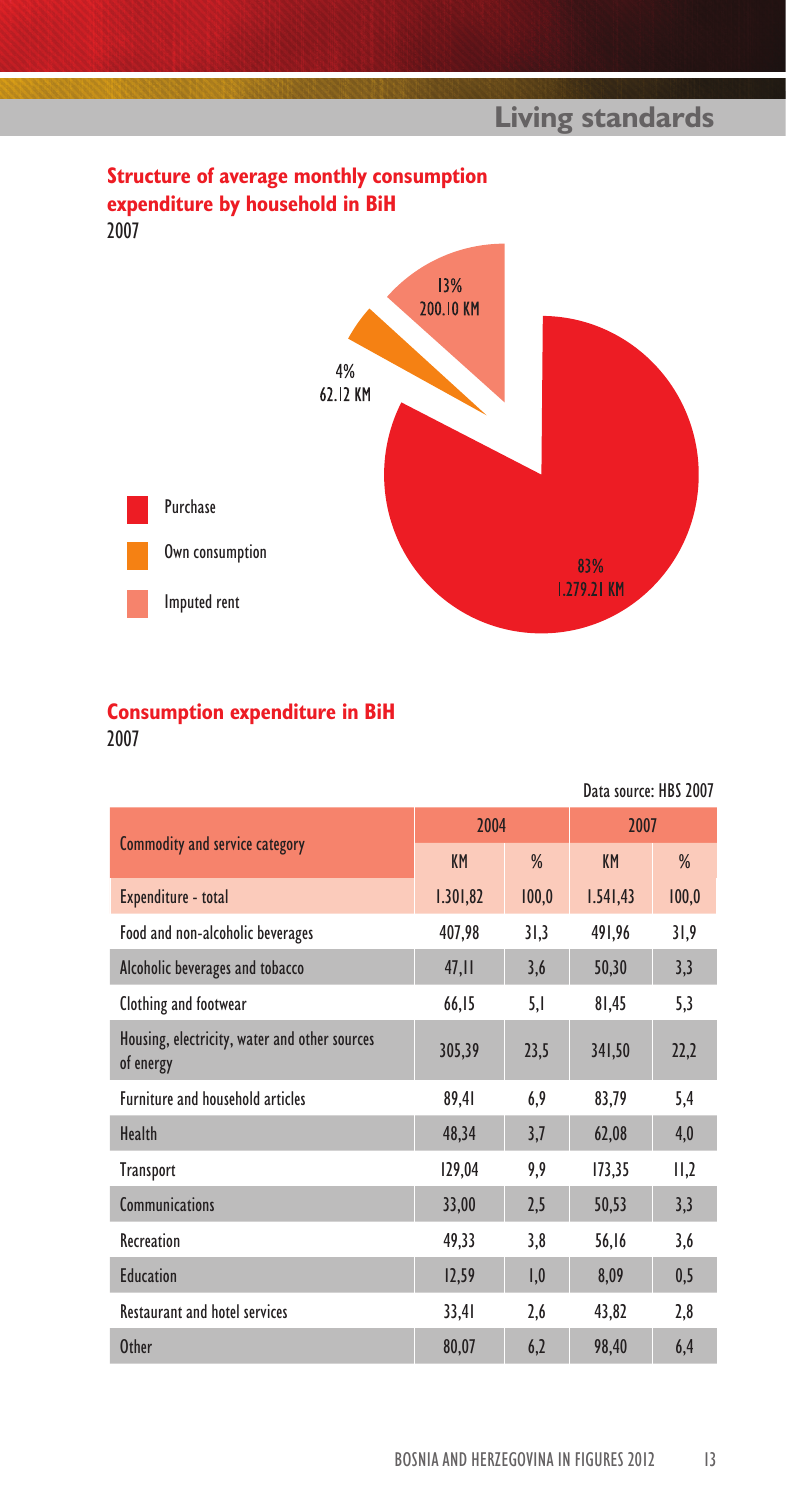

# **Consumption expenditure in BiH**

2007

|                                                            |          |               | Data source: HBS 2007 |       |
|------------------------------------------------------------|----------|---------------|-----------------------|-------|
|                                                            | 2004     |               | 2007                  |       |
| Commodity and service category                             | KM       | $\frac{9}{6}$ | <b>KM</b>             | %     |
| Expenditure - total                                        | 1.301,82 | 100,0         | 1.541,43              | 100,0 |
| Food and non-alcoholic beverages                           | 407,98   | 31,3          | 491,96                | 31,9  |
| Alcoholic beverages and tobacco                            | 47,11    | 3,6           | 50,30                 | 3,3   |
| Clothing and footwear                                      | 66,15    | 5,1           | 81,45                 | 5,3   |
| Housing, electricity, water and other sources<br>of energy | 305,39   | 23,5          | 341,50                | 22,2  |
| Furniture and household articles                           | 89,41    | 6,9           | 83,79                 | 5,4   |
| Health                                                     | 48.34    | 3,7           | 62,08                 | 4,0   |
| <b>Transport</b>                                           | 129,04   | 9,9           | 173,35                | II,2  |
| <b>Communications</b>                                      | 33,00    | 2,5           | 50,53                 | 3,3   |
| Recreation                                                 | 49,33    | 3,8           | 56,16                 | 3,6   |
| <b>Education</b>                                           | 12,59    | 1,0           | 8,09                  | 0,5   |
| <b>Restaurant and hotel services</b>                       | 33,4I    | 2,6           | 43,82                 | 2,8   |
| <b>Other</b>                                               | 80,07    | 6,2           | 98.40                 | 6,4   |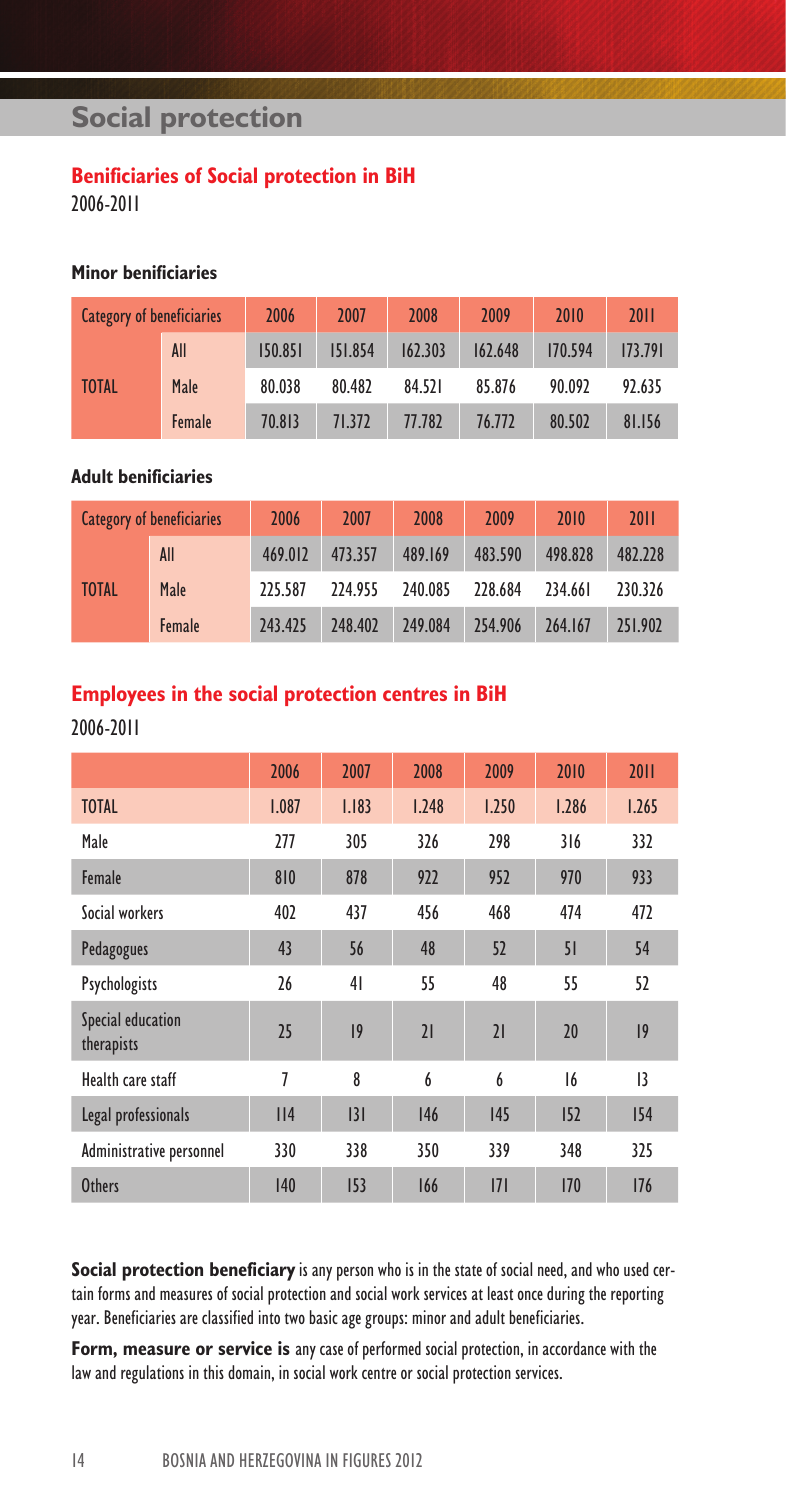# **Social protection**

### **Benificiaries of Social protection in BiH**

2006-2011

### **Minor benificiaries**

| <b>Category of beneficiaries</b> |        | 2006    | 2007    | 2008    | 2009    | 2010    | 2011    |
|----------------------------------|--------|---------|---------|---------|---------|---------|---------|
|                                  | All    | 150.851 | 151.854 | 162.303 | 162.648 | 170.594 | 173.791 |
| <b>TOTAL</b>                     | Male   | 80.038  | 80.482  | 84.521  | 85.876  | 90.092  | 92.635  |
|                                  | Female | 70.813  | 71.372  | 77.782  | 76.772  | 80.502  | 81.156  |

### **Adult benificiaries**

|              | <b>Category of beneficiaries</b> | 2006    | 2007    | 2008    | 2009    | 2010    | 2011    |
|--------------|----------------------------------|---------|---------|---------|---------|---------|---------|
|              | All                              | 469.012 | 473.357 | 489.169 | 483.590 | 498.828 | 482,228 |
| <b>TOTAL</b> | Male                             | 225.587 | 224.955 | 240.085 | 228.684 | 234.661 | 230.326 |
|              | Female                           | 243.425 | 248,402 | 249.084 | 254.906 | 264.167 | 251.902 |

### **Employees in the social protection centres in BiH**

2006-2011

|                                 | 2006  | 2007  | 2008             | 2009  | 2010  | 2011  |
|---------------------------------|-------|-------|------------------|-------|-------|-------|
| <b>TOTAL</b>                    | 1.087 | 1.183 | 1.248            | 1.250 | 1.286 | 1.265 |
| Male                            | 277   | 305   | 326              | 298   | 316   | 332   |
| Female                          | 810   | 878   | 922              | 952   | 970   | 933   |
| Social workers                  | 402   | 437   | 456              | 468   | 474   | 472   |
| Pedagogues                      | 43    | 56    | 48               | 52    | 51    | 54    |
| Psychologists                   | 26    | 41    | 55               | 48    | 55    | 52    |
| Special education<br>therapists | 25    | 9     | 21               | 21    | 20    | 9     |
| Health care staff               | 7     | 8     | $\boldsymbol{6}$ | 6     | 16    | 13    |
| Legal professionals             | II4   | 3     | 146              | 145   | 152   | 154   |
| Administrative personnel        | 330   | 338   | 350              | 339   | 348   | 325   |
| <b>Others</b>                   | 140   | 153   | 166              | 171   | 170   | 176   |

**Social protection beneficiary** is any person who is in the state of social need, and who used certain forms and measures of social protection and social work services at least once during the reporting year. Beneficiaries are classified into two basic age groups: minor and adult beneficiaries.

**Form, measure or service is** any case of performed social protection, in accordance with the law and regulations in this domain, in social work centre or social protection services.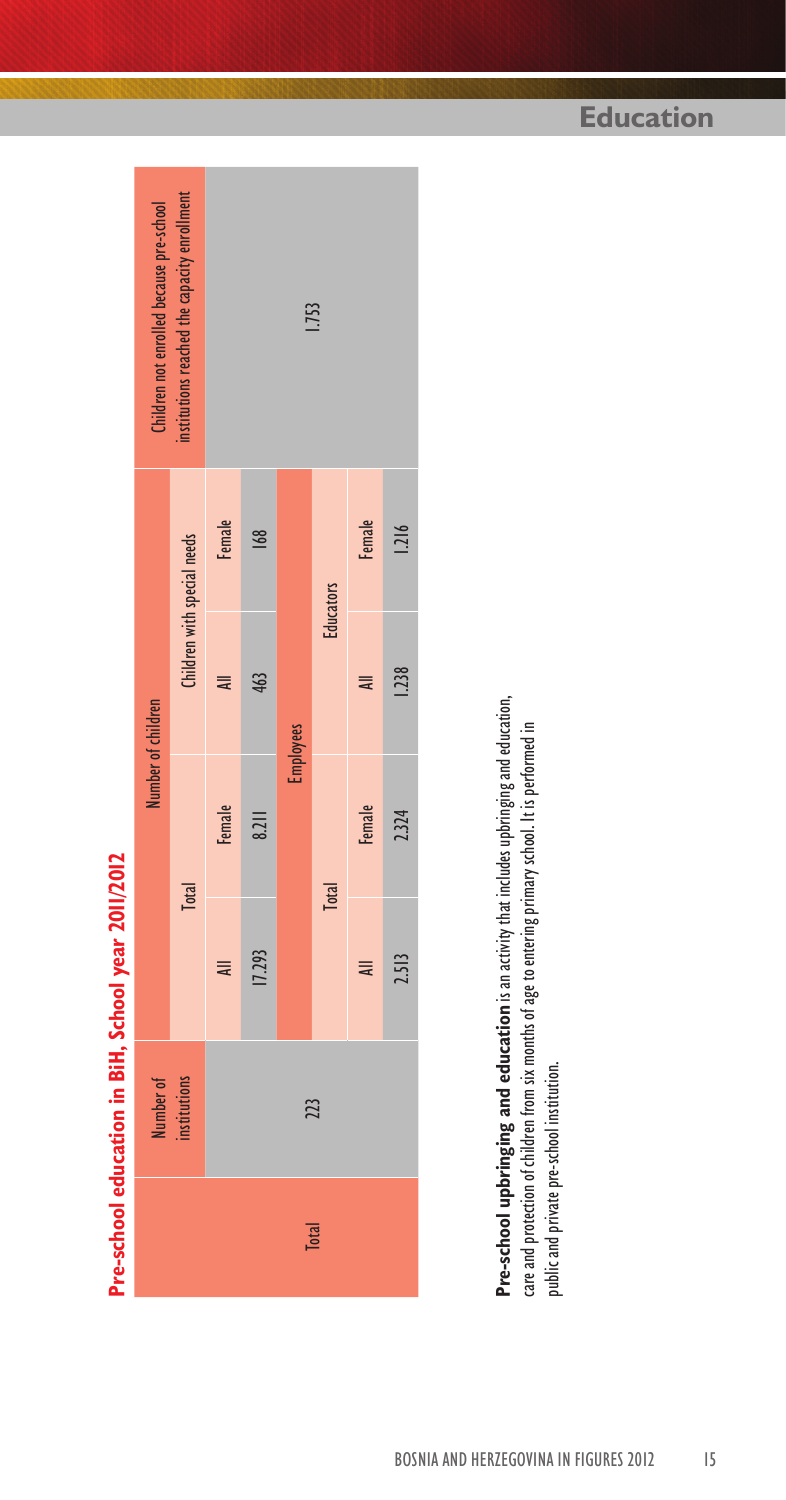institutions reached the capacity enrollment institutions reached the capacity enrollment Children not enrolled because pre-school Number of children Children not enrolled because pre-school 1.753 Female All Female All Female 168 Children with special needs 17.293 8.211 463 168 Total Children with special needs **Educators** Total Educators 463  $\equiv$ Number of children Employees **Female**  $8.211$ Pre-school education in BiH, School year 2011/2012 **Pre-school education in BiH, School year 2011/2012 Total Total** 17.293  $\equiv$ institutions Number of 223 Total 223 **Total** 

All Female All Female 2.513 2.324 1.238 1.216

**Female** 

 $\equiv$ 

 $\equiv$ 

Female

 $1.216$ 

1.238

2.324

2.513

Pre-school upbringing and education is an activity that includes upbringing and education, **Pre-school upbringing and education** is an activity that includes upbringing and education, care and protection of children from six months of age to entering primary school. It is performed in care and protection of children from six months of age to entering primary school. It is performed in public and private pre-school institution. public and private pre-school institution.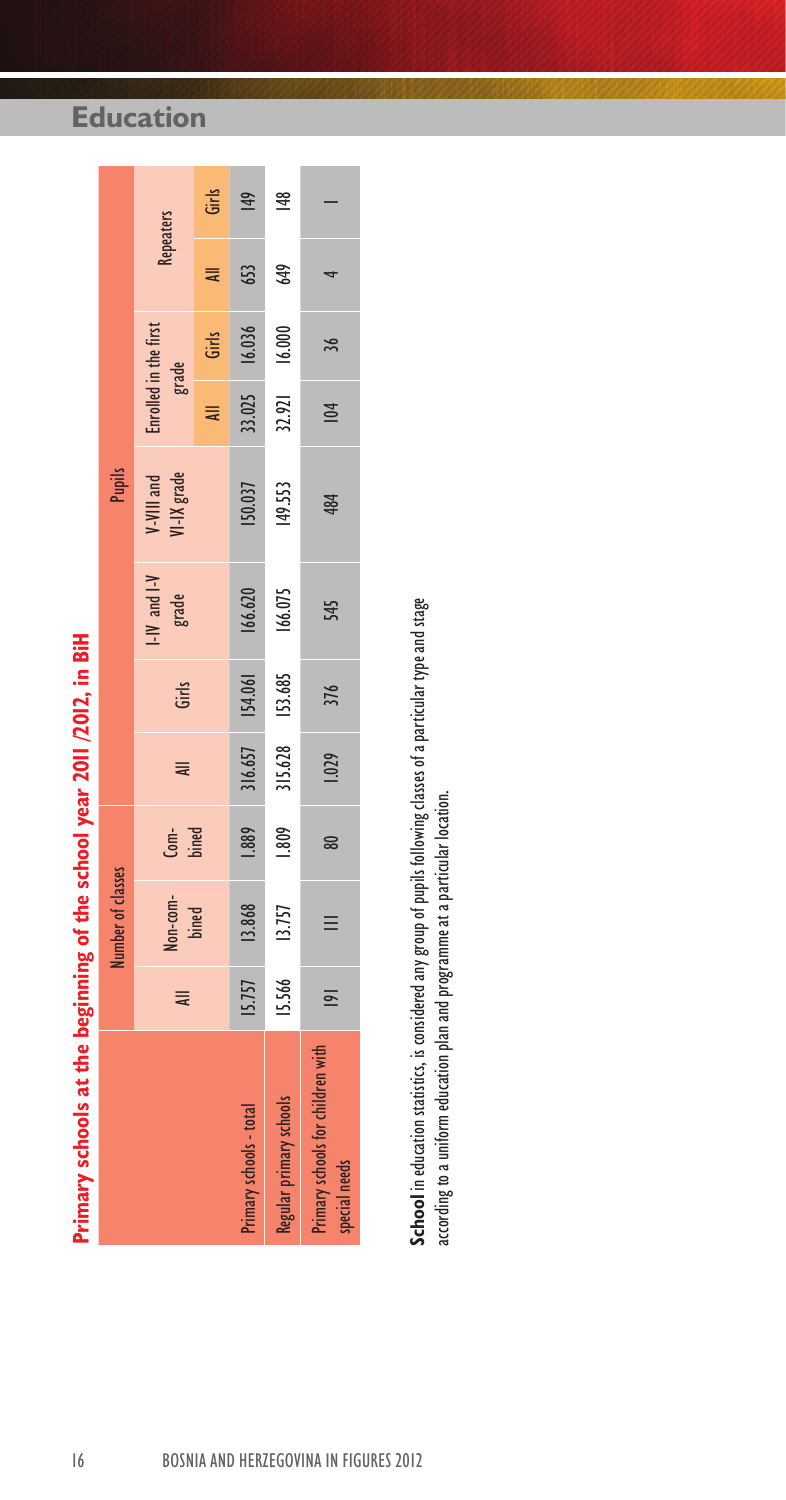| Third y scribols at the beginning of the scribol year 2011/2014, in bin |                |                   |               |         |           |                           |                           |                                |               |                  |       |
|-------------------------------------------------------------------------|----------------|-------------------|---------------|---------|-----------|---------------------------|---------------------------|--------------------------------|---------------|------------------|-------|
|                                                                         |                | lumber of classes |               |         |           |                           | Pupils                    |                                |               |                  |       |
|                                                                         | $\equiv$       | Non-com-<br>bined | Com-<br>bined | ₹       | Girls     | $I-IV$ and $I-V$<br>grade | V-VIII and<br>VI-IX grade | Enrolled in the first<br>grade |               | <b>Repeaters</b> |       |
|                                                                         |                |                   |               |         |           |                           |                           |                                | All Girls     | $\overline{a}$   | Girls |
| Primary schools - total                                                 | <b>15.757</b>  | 13.868            | 1.889         | 316.657 | $-454.06$ | 166.620                   | 150.037                   |                                | 33.025 16.036 | 653              | 49    |
| Regular primary schools                                                 | 15.566         | 13.757            | 1.809         | 315.628 | 153.685   | $166.075$                 | 149.553                   | $32.921$                       | 16.000        | 649              | 148   |
| Primary schools for children with<br>special needs                      | $\overline{=}$ | $\equiv$          | 80            | 1.029   | 376       | 545                       | 484                       | 104                            | 36            |                  |       |

**Education**

# est ... 2011 المصري المصادر المصادر و المعامر المستقرة المصادر المصادر المصادر المصادر المصادر المص **Primary schools at the beginning of the school year 2011 /2012, in BiH**

School in education statistics, is considered any group of pupils following classes of a particular type and stage **School** in education statistics, is considered any group of pupils following classes of a particular type and stage according to a uniform education plan and programme at a particular location. according to a uniform education plan and programme at a particular location.

# 16 BOSNIA AND HERZEGOVINA IN FIGURES 2012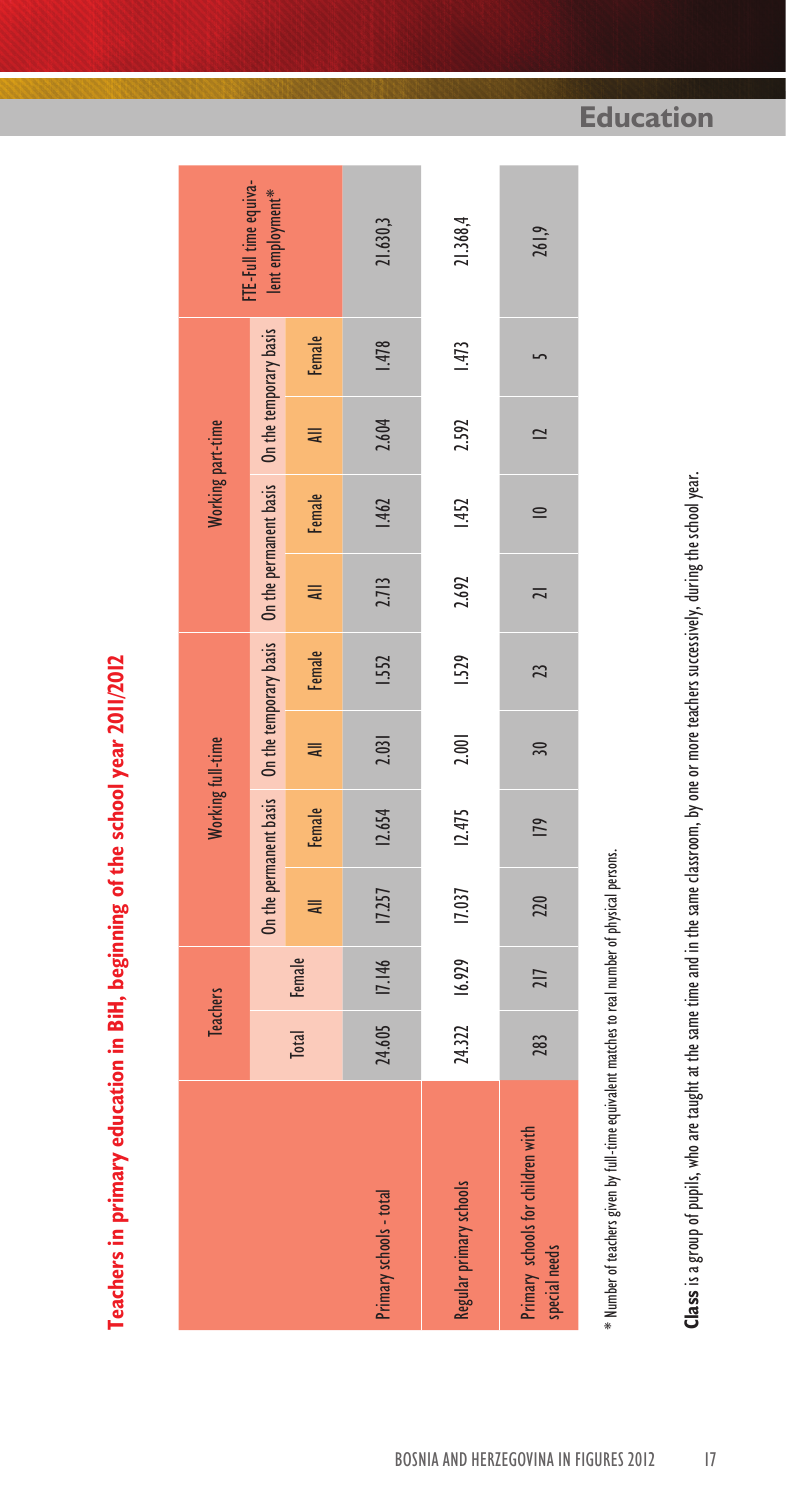Teachers in primary education in BiH, beginning of the school year 2011/2012 **Teachers in primary education in BiH, beginning of the school year 2011/2012**

|                   | FTE-Full time equiva-<br>lent employment*                                                   |                | 21.630,3                | 21.368,4                | 261,9                                              |
|-------------------|---------------------------------------------------------------------------------------------|----------------|-------------------------|-------------------------|----------------------------------------------------|
|                   |                                                                                             | Female         | 1.478                   | 1.473                   |                                                    |
| Working part-time |                                                                                             |                | 2.604                   | 2.592                   | $\overline{2}$                                     |
|                   |                                                                                             | Female All     | 1.462                   | 1.452                   | $\equiv$                                           |
|                   |                                                                                             | $\equiv$       | 2.713                   | 2.692                   | $\overline{a}$                                     |
|                   | On the permanent basis On the temporary basis On the permanent basis On the temporary basis | <b>Example</b> | 1.552                   | 1.529                   | $\overline{2}$                                     |
| Working full-time |                                                                                             | $\overline{a}$ | 2.031                   | 2.001                   | 30 <sub>2</sub>                                    |
|                   |                                                                                             | <b>E</b> emale | 12.654                  | 12.475                  | 179                                                |
|                   |                                                                                             | u<br>≡         | 24.605 17.146 17.257    | 24.322 16.929 17.037    | 220                                                |
| <b>Teachers</b>   |                                                                                             | Total Female   |                         |                         | 217                                                |
|                   |                                                                                             |                |                         |                         | 283                                                |
|                   |                                                                                             |                | Primary schools - total | Regular primary schools | Primary schools for children with<br>special needs |

\* Number of teachers given by full-time equivalent matches to real number of physical persons. \* Number of teachers given by full-time equivalent matches to real number of physical persons. Class is a group of pupils, who are taught at the same time and in the same classroom, by one or more teachers successively, during the school year. **Class** is a group of pupils, who are taught at the same time and in the same classroom, by one or more teachers successively, during the school year.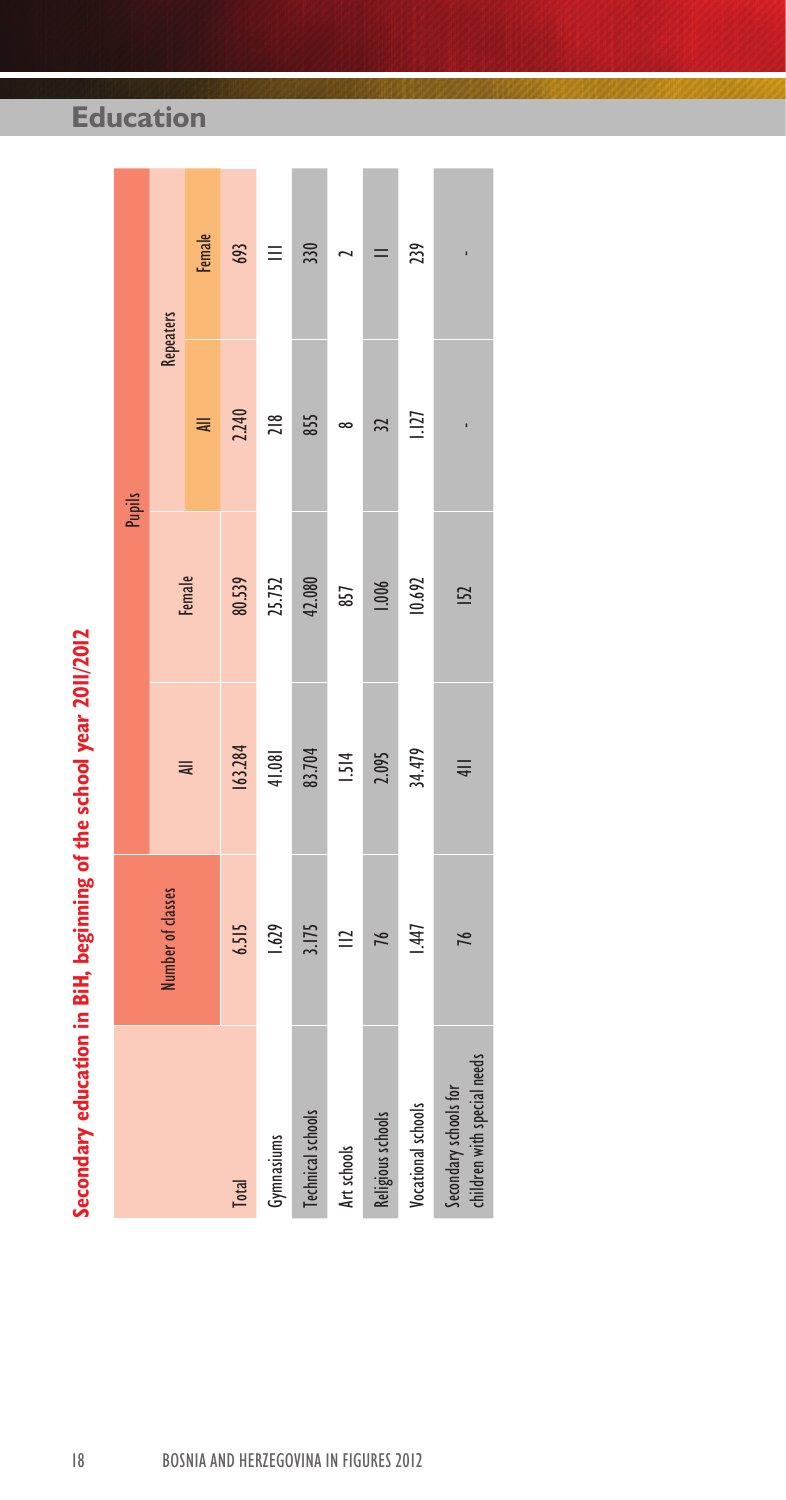| E |
|---|
|   |
|   |
|   |

| Secondary education in BiH, beginning of the school year 2011/2012 |                   |         |                 |                  |        |
|--------------------------------------------------------------------|-------------------|---------|-----------------|------------------|--------|
|                                                                    |                   |         |                 | <b>Pupils</b>    |        |
|                                                                    | Number of classes |         |                 | <b>Repeaters</b> |        |
|                                                                    |                   | ₹       | Female          | $\equiv$         | Female |
| <b>Total</b>                                                       | 6.515             | 163.284 | 80.539          | 2.240            | 693    |
| Gymnasiums                                                         | 629               | 41.081  | 25.752          | 218              | Ξ      |
| Technical schools                                                  | 3.175             | 83.704  | 42.080          | 855              | 330    |
| Art schools                                                        | $\cong$           | 1.514   | 857             |                  |        |
| Religious schools                                                  | 76                | 2.095   | 1.006           | $\tilde{z}$      |        |
| Vocational schools                                                 | 1.447             | 34.479  | 10.692          | 1.127            | 239    |
| children with special needs<br>Secondary schools for               | 76                | $4$     | $\overline{52}$ |                  |        |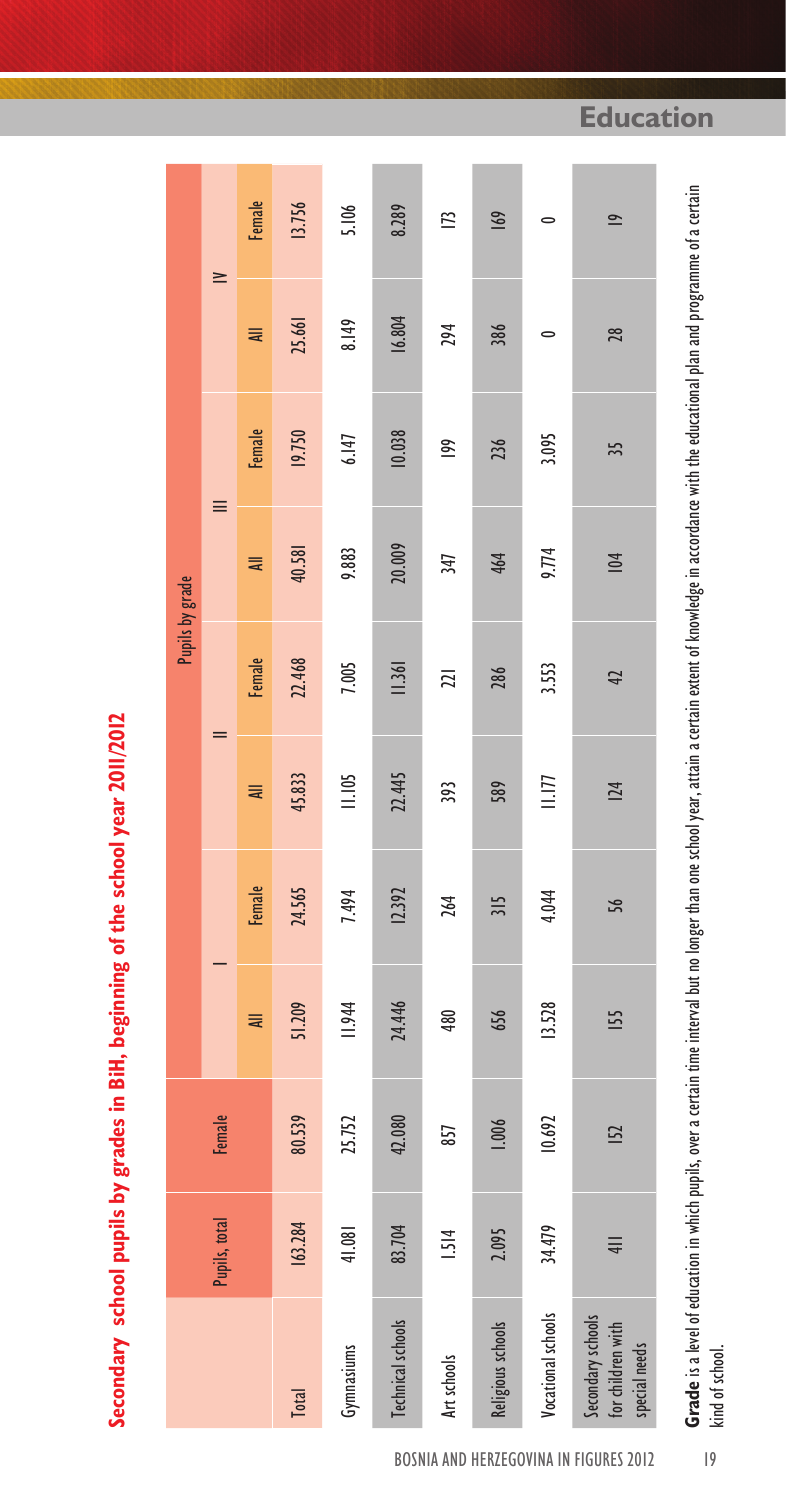Secondary school pupils by grades in BiH, beginning of the school year 2011/2012 **Secondary school pupils by grades in BiH, beginning of the school year 2011/2012**

|                 | $\geq$        | Female        | 13.756       | 5.106         | 8.289                    | E           | 169               | $\bullet$          | $\overline{9}$                                          |
|-----------------|---------------|---------------|--------------|---------------|--------------------------|-------------|-------------------|--------------------|---------------------------------------------------------|
|                 |               | ₹             | 25.661       | 8.149         | 16.804                   | 294         | 386               | $\circ$            | 28                                                      |
|                 | ≣             | Female        | 19.750       | 6.147         | 10.038                   | ies         | 236               | 3.095              | 35                                                      |
| Pupils by grade |               | ₹             | 40.581       | 9.883         | 20.009                   | 347         | 464               | 9.774              | 104                                                     |
|                 | $=$           | Female        | 22.468       | 7.005         | 11.361                   | 21          | 286               | 3.553              | 42                                                      |
|                 |               | ₹             | 45.833       | 11.105        | 22.445                   | 393         | 589               | $\frac{1}{2}$      | 124                                                     |
|                 |               | <b>Female</b> | 24.565       | 7.494         | 12.392                   | 264         | 315               | 4.044              | 56                                                      |
|                 |               | ₹             | 51.209       | <b>11.944</b> | 24.446                   | 480         | 656               | 13.528             | 155                                                     |
|                 | Female        |               | 80.539       | 25.752        | 42.080                   | 857         | 1.006             | 10.692             | 152                                                     |
|                 | Pupils, total |               | 163.284      | 41.081        | 83.704                   | 1.514       | 2.095             | 34.479             | $\equiv$                                                |
|                 |               |               | <b>Total</b> | Gymnasiums    | <b>Technical schools</b> | Art schools | Religious schools | Vocational schools | Secondary schools<br>for children with<br>special needs |

**Grade** is a level of education in which pupils, over a certain time interval but no longer than one school year, attain a certain extent of knowledge in accordance with the educational plan and programme of a certain **Grade** is a level of education in which pupils, over a certain time interval but no longer than one school year, attain a certain extent of knowledge in accordance with the educational plan and programme of a certain kind of school. kind of school.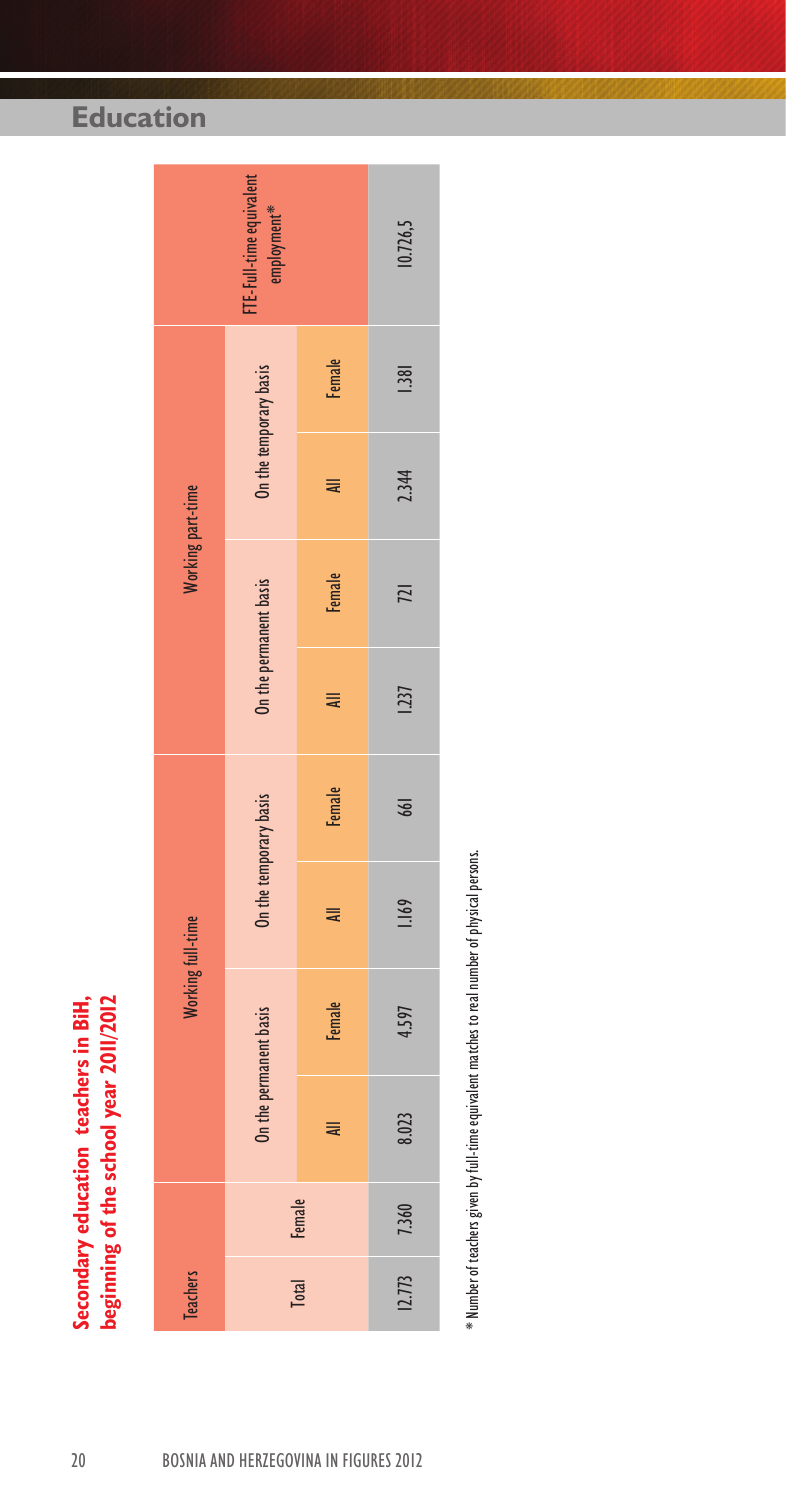Secondary education teachers in BiH,<br>beginning of the school year 2011/2012 **Secondary education teachers in BiH, beginning of the school year 2011/2012**

|                   | FTE-Full-time equivalent<br>employment** |               | 10.726,5 |
|-------------------|------------------------------------------|---------------|----------|
|                   |                                          | Female        | 1.381    |
|                   | On the temporary basis                   | ₹             | 2.344    |
| Working part-time |                                          | <b>Female</b> | 721      |
|                   | On the permanent basis                   | ₹             | 1237     |
|                   |                                          | <b>Female</b> | 661      |
|                   | On the temporary basis                   | ₹             | 1.169    |
| Working full-time |                                          | Female        | 4.597    |
|                   | On the permanent basis                   | ₹             | 8.023    |
|                   | Female                                   |               | 7.360    |
| <b>Teachers</b>   | <b>Total</b>                             |               | 12.773   |

\* Number of teachers given by full-time equivalent matches to real number of physical persons. \* Number of teachers given by full-time equivalent matches to real number of physical persons.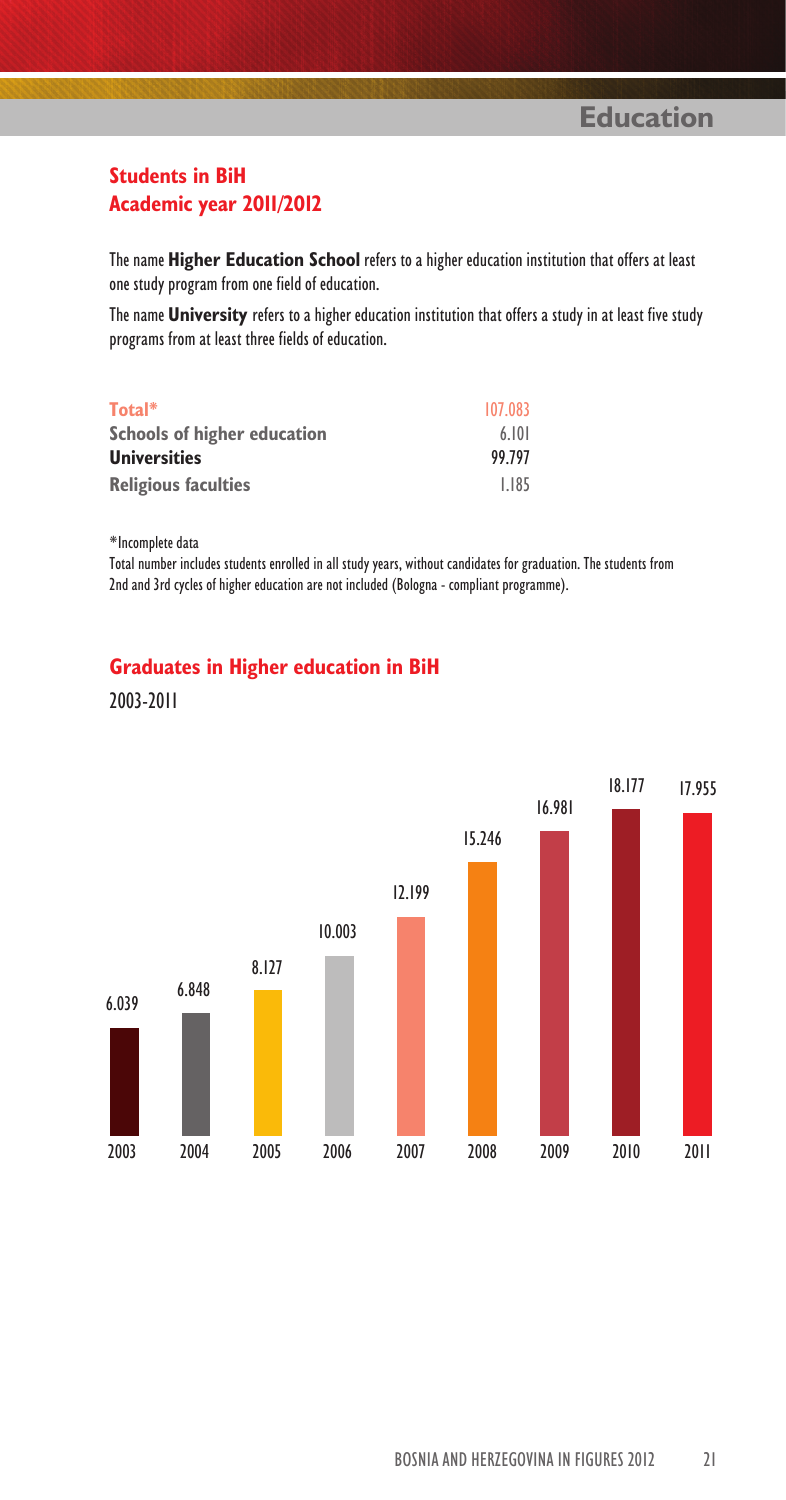### **Students in BiH Academic year 2011/2012**

The name **Higher Education School** refers to a higher education institution that offers at least one study program from one field of education.

The name **University** refers to a higher education institution that offers a study in at least five study programs from at least three fields of education.

| Total*                      | 107.083 |
|-----------------------------|---------|
| Schools of higher education | 6.101   |
| <b>Universities</b>         | 99.797  |
| <b>Religious faculties</b>  | 1.185   |

\*Incomplete data

Total number includes students enrolled in all study years, without candidates for graduation. The students from 2nd and 3rd cycles of higher education are not included (Bologna - compliant programme).

### **Graduates in Higher education in BiH**



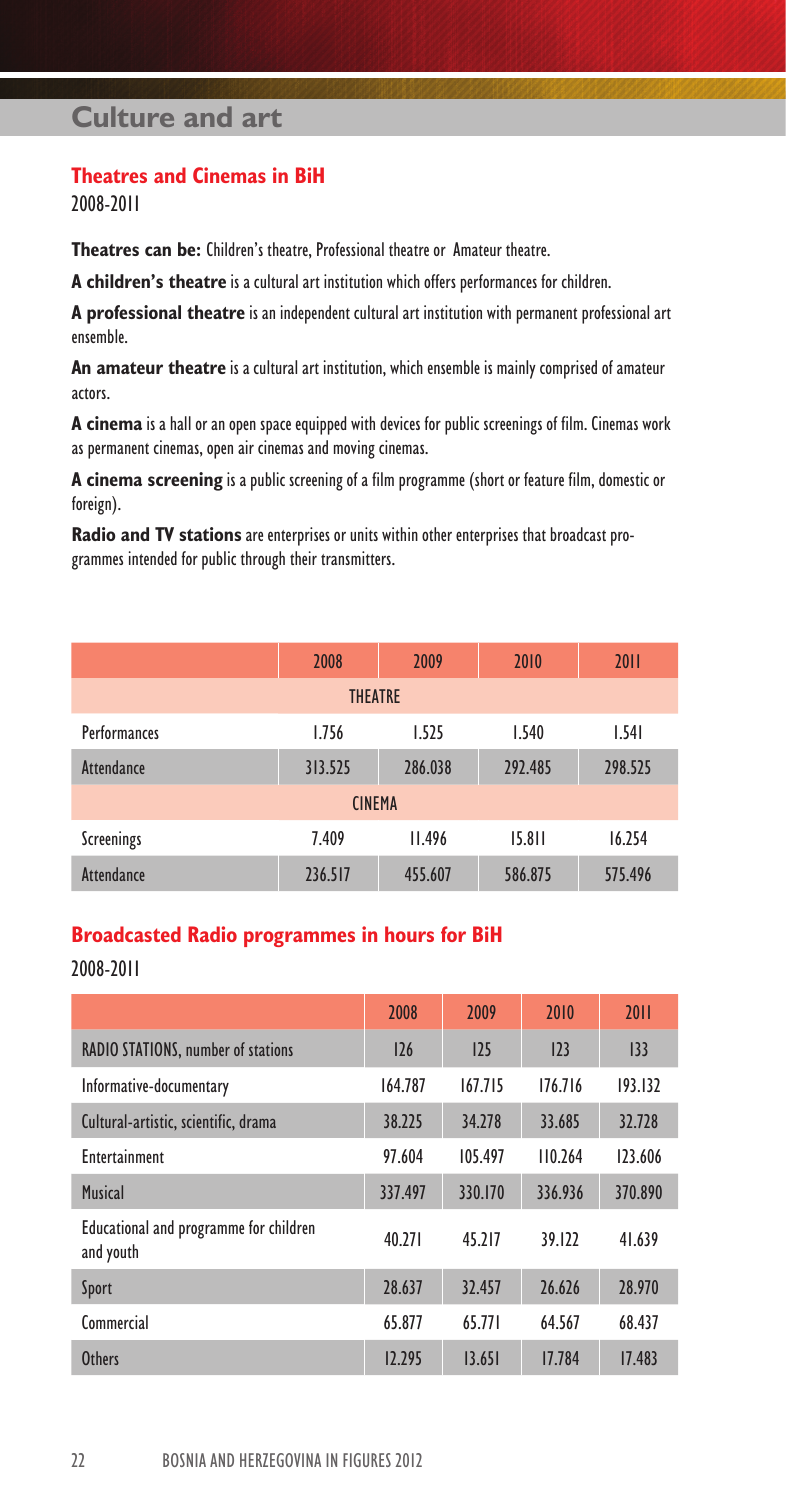# **Culture and art**

### **Theatres and Cinemas in BiH**

2008-2011

**Theatres can be:** Children's theatre, Professional theatre or Amateur theatre.

**A children's theatre** is a cultural art institution which offers performances for children.

**A professional theatre** is an independent cultural art institution with permanent professional art ensemble.

**An amateur theatre** is a cultural art institution, which ensemble is mainly comprised of amateur actors.

**A cinema** is a hall or an open space equipped with devices for public screenings of film. Cinemas work as permanent cinemas, open air cinemas and moving cinemas.

**A cinema screening** is a public screening of a film programme (short or feature film, domestic or foreign).

**Radio and TV stations** are enterprises or units within other enterprises that broadcast programmes intended for public through their transmitters.

|                     | 2008    | 2009    | 2010    | 2011    |  |  |  |  |
|---------------------|---------|---------|---------|---------|--|--|--|--|
| <b>THEATRE</b>      |         |         |         |         |  |  |  |  |
| <b>Performances</b> | 1.756   | 1.525   | 1.540   | 1.541   |  |  |  |  |
| Attendance          | 313.525 | 286.038 | 292.485 | 298.525 |  |  |  |  |
| <b>CINEMA</b>       |         |         |         |         |  |  |  |  |
| Screenings          | 7.409   | II.496  | 15.811  | 16.254  |  |  |  |  |
| Attendance          | 236.517 | 455.607 | 586.875 | 575.496 |  |  |  |  |

### **Broadcasted Radio programmes in hours for BiH**

2008-2011

|                                                     | 2008    | 2009    | 2010    | 2011    |
|-----------------------------------------------------|---------|---------|---------|---------|
| <b>RADIO STATIONS, number of stations</b>           | 126     | 125     | 123     | 133     |
| Informative-documentary                             | 164.787 | 167.715 | 176.716 | 193.132 |
| Cultural-artistic, scientific, drama                | 38.225  | 34,278  | 33.685  | 32.728  |
| <b>Entertainment</b>                                | 97.604  | 105.497 | 110.264 | 123.606 |
| <b>Musical</b>                                      | 337.497 | 330.170 | 336.936 | 370.890 |
| Educational and programme for children<br>and youth | 40.271  | 45.717  | 39.122  | 41.639  |
| Sport                                               | 28.637  | 32.457  | 26.626  | 28.970  |
| Commercial                                          | 65.877  | 65.771  | 64.567  | 68.437  |
| <b>Others</b>                                       | 12.295  | 13.651  | 17.784  | 17.483  |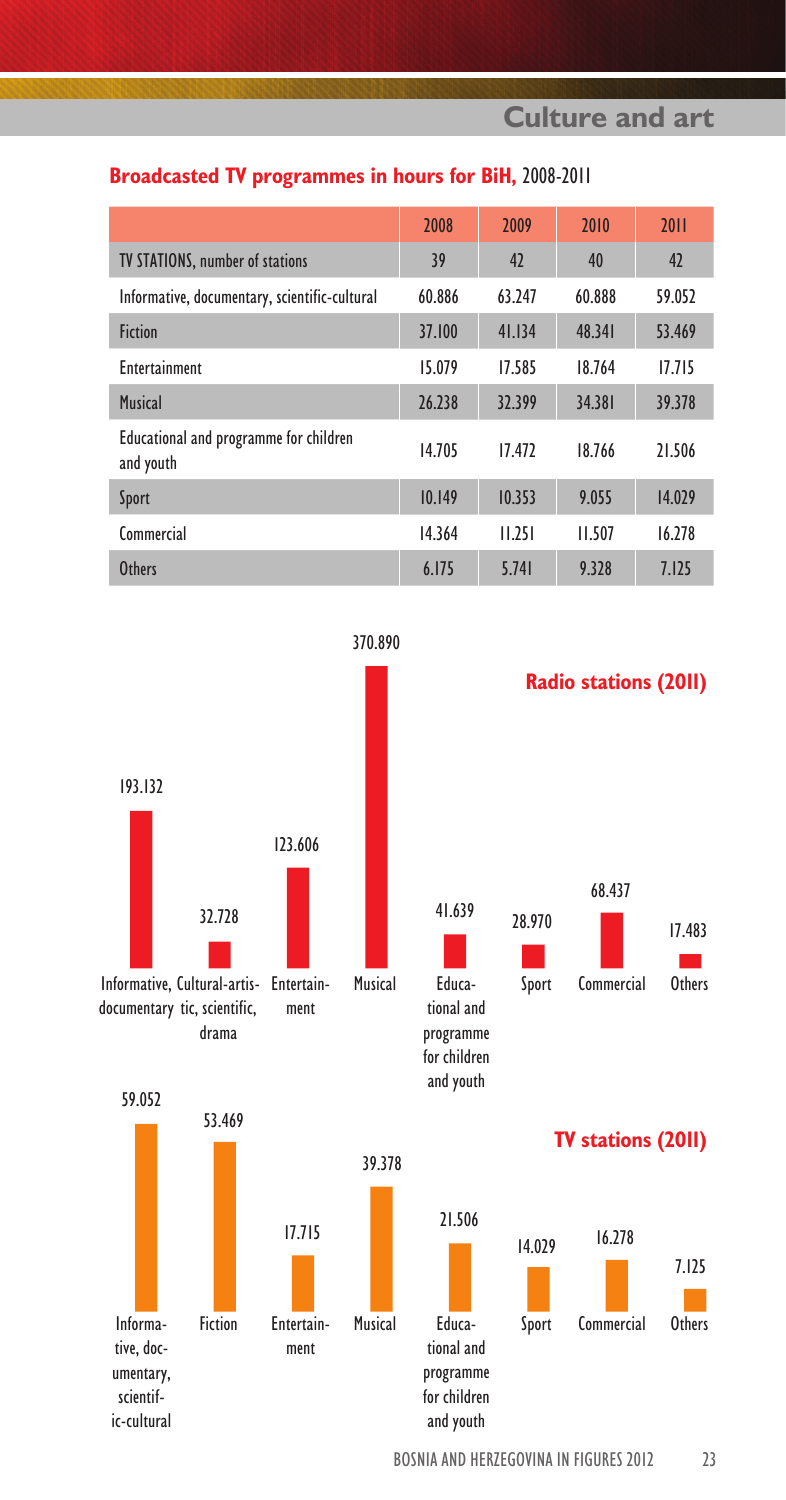**Culture and art**

### **Broadcasted TV programmes in hours for BiH,** 2008-2011

|                                                     | 2008   | 2009   | 2010   | 2011   |
|-----------------------------------------------------|--------|--------|--------|--------|
| <b>TV STATIONS, number of stations</b>              | 39     | 42     | 40     | 42     |
| Informative, documentary, scientific-cultural       | 60.886 | 63.247 | 60.888 | 59.052 |
| <b>Fiction</b>                                      | 37.100 | 41.134 | 48.341 | 53.469 |
| Entertainment                                       | 15.079 | 17.585 | 18.764 | 17.715 |
| <b>Musical</b>                                      | 26.238 | 32.399 | 34.381 | 39.378 |
| Educational and programme for children<br>and youth | 14.705 | 17.472 | 18.766 | 21.506 |
| Sport                                               | 10.149 | 10.353 | 9.055  | 14.029 |
| Commercial                                          | 14.364 | 11.251 | 11.507 | 16.278 |
| <b>Others</b>                                       | 6.175  | 5.741  | 9.328  | 7.125  |



BOSNIA AND HERZEGOVINA IN FIGURES 2012 23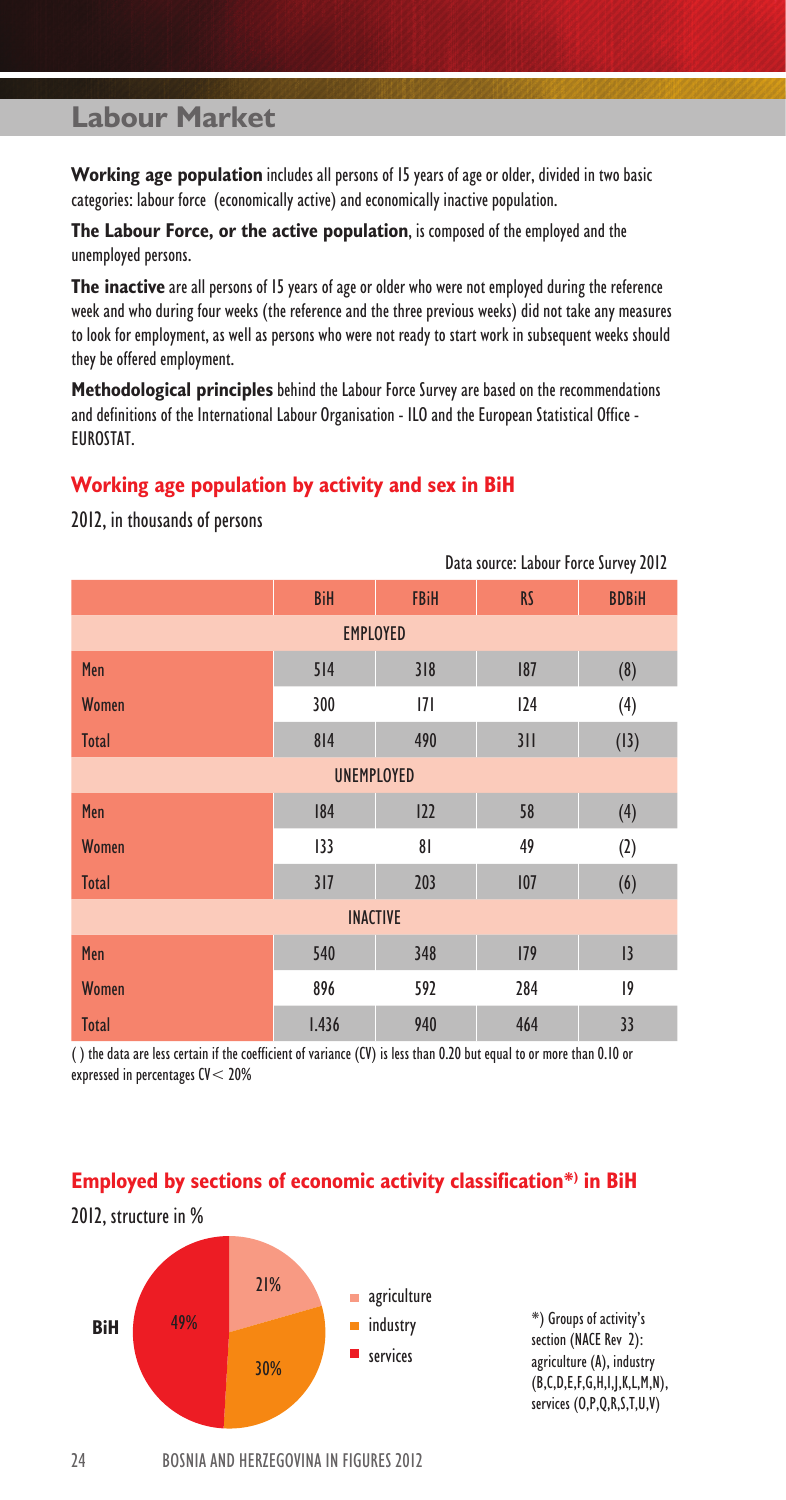**Working age population** includes all persons of 15 years of age or older, divided in two basic categories: labour force (economically active) and economically inactive population.

**The Labour Force, or the active population**, is composed of the employed and the unemployed persons.

**The inactive** are all persons of 15 years of age or older who were not employed during the reference week and who during four weeks (the reference and the three previous weeks) did not take any measures to look for employment, as well as persons who were not ready to start work in subsequent weeks should they be offered employment.

**Methodological principles** behind the Labour Force Survey are based on the recommendations and definitions of the International Labour Organisation - ILO and the European Statistical Office - EUROSTAT.

### **Working age population by activity and sex in BiH**

|                   | Data source: Labour Force Survey 2012 |                |           |              |  |  |  |  |
|-------------------|---------------------------------------|----------------|-----------|--------------|--|--|--|--|
|                   | <b>BiH</b>                            | <b>FBiH</b>    | <b>RS</b> | <b>BDBiH</b> |  |  |  |  |
| <b>EMPLOYED</b>   |                                       |                |           |              |  |  |  |  |
| Men               | 514                                   | 318            | 187       | (8)          |  |  |  |  |
| <b>Women</b>      | 300                                   | 7              | 124       | (4)          |  |  |  |  |
| <b>Total</b>      | 814                                   | 490            | 311       | (13)         |  |  |  |  |
| <b>UNEMPLOYED</b> |                                       |                |           |              |  |  |  |  |
| Men               | 184                                   | 122            | 58        | (4)          |  |  |  |  |
| <b>Women</b>      | 133                                   | 8 <sup>1</sup> | 49        | (2)          |  |  |  |  |
| <b>Total</b>      | 317                                   | 203            | 107       | (6)          |  |  |  |  |
| <b>INACTIVE</b>   |                                       |                |           |              |  |  |  |  |
| Men               | 540                                   | 348            | 179       | 3            |  |  |  |  |
| Women             | 896                                   | 592            | 284       | $ 9\rangle$  |  |  |  |  |
| <b>Total</b>      | 1.436                                 | 940            | 464       | 33           |  |  |  |  |

2012, in thousands of persons

( ) the data are less certain if the coefficient of variance (CV) is less than 0.20 but equal to or more than 0.10 or expressed in percentages CV< 20%

### **Employed by sections of economic activity classification\*) in BiH**



\*) Groups of activity's section (NACE Rev 2): agriculture (A), industry (B,C,D,E,F,G,H,I,J,K,L,M,N), services (O,P,Q,R,S,T,U,V)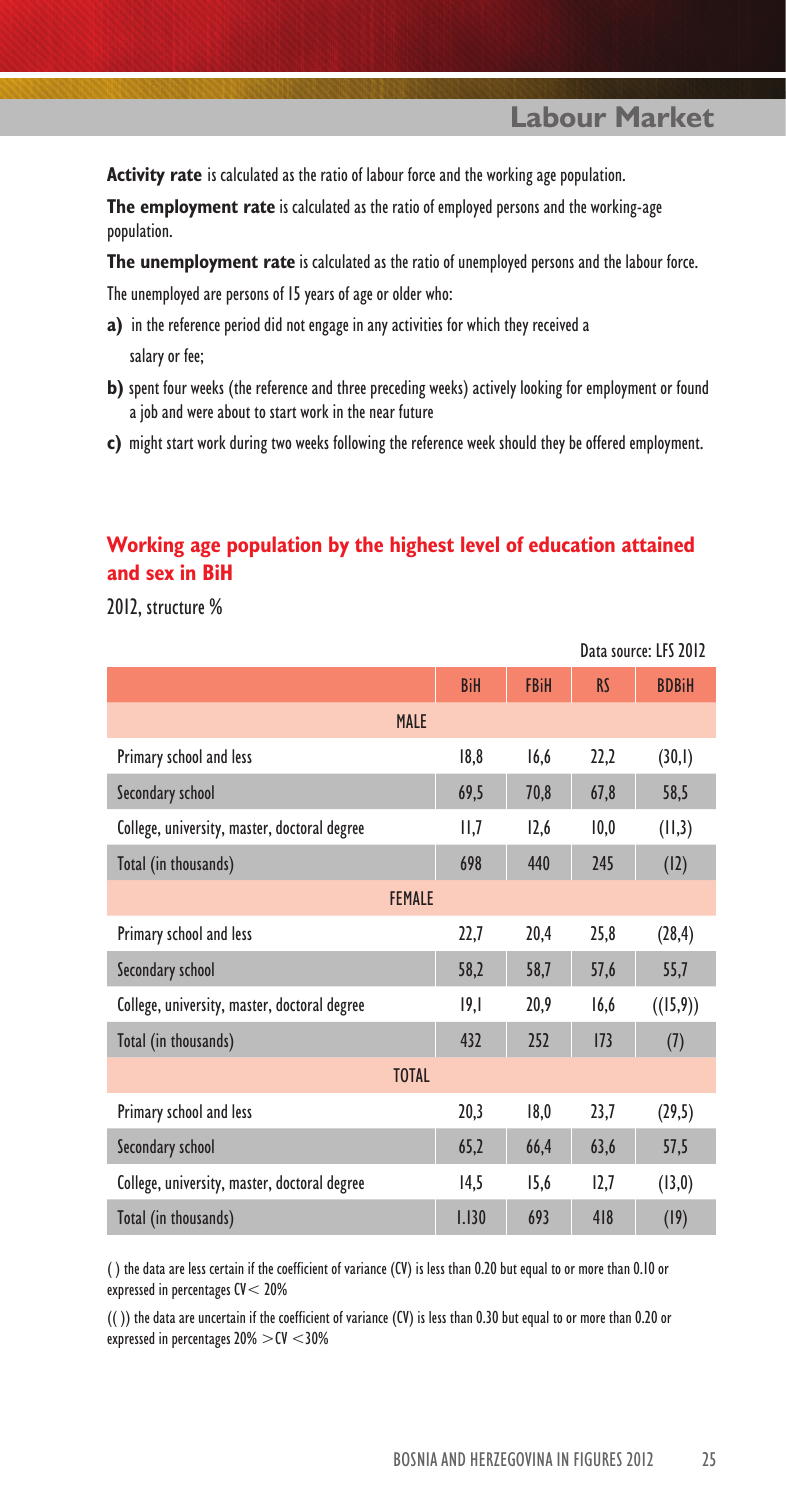**Activity rate** is calculated as the ratio of labour force and the working age population.

**The employment rate** is calculated as the ratio of employed persons and the working-age population.

**The unemployment rate** is calculated as the ratio of unemployed persons and the labour force.

The unemployed are persons of 15 years of age or older who:

- **a)** in the reference period did not engage in any activities for which they received a salary or fee;
- **b)** spent four weeks (the reference and three preceding weeks) actively looking for employment or found a job and were about to start work in the near future
- **c)** might start work during two weeks following the reference week should they be offered employment.

### **Working age population by the highest level of education attained and sex in BiH**

2012, structure %

|                                              |            |             |           | Data source: LES 2012 |
|----------------------------------------------|------------|-------------|-----------|-----------------------|
|                                              | <b>BiH</b> | <b>FBiH</b> | <b>RS</b> | <b>BDBiH</b>          |
| <b>MALE</b>                                  |            |             |           |                       |
| Primary school and less                      | 18,8       | 16,6        | 22,2      | (30,1)                |
| Secondary school                             | 69,5       | 70,8        | 67,8      | 58,5                  |
| College, university, master, doctoral degree | II,7       | 12,6        | 10,0      | (11,3)                |
| Total (in thousands)                         | 698        | 440         | 245       | (12)                  |
| <b>FEMALE</b>                                |            |             |           |                       |
| Primary school and less                      | 22,7       | 20,4        | 25,8      | (28, 4)               |
| Secondary school                             | 58,2       | 58,7        | 57,6      | 55,7                  |
| College, university, master, doctoral degree | 19,1       | 20,9        | 16,6      | ((15,9))              |
| Total (in thousands)                         | 432        | 252         | 173       | (7)                   |
| <b>TOTAL</b>                                 |            |             |           |                       |
| Primary school and less                      | 20,3       | 18,0        | 23,7      | (29,5)                |
| Secondary school                             | 65,2       | 66,4        | 63,6      | 57,5                  |
| College, university, master, doctoral degree | 14,5       | 15,6        | 12,7      | (13,0)                |
| Total (in thousands)                         | 1.130      | 693         | 418       | (19)                  |

( ) the data are less certain if the coefficient of variance (CV) is less than 0.20 but equal to or more than 0.10 or expressed in percentages CV< 20%

(( )) the data are uncertain if the coefficient of variance (CV) is less than 0.30 but equal to or more than 0.20 or expressed in percentages 20% >CV <30%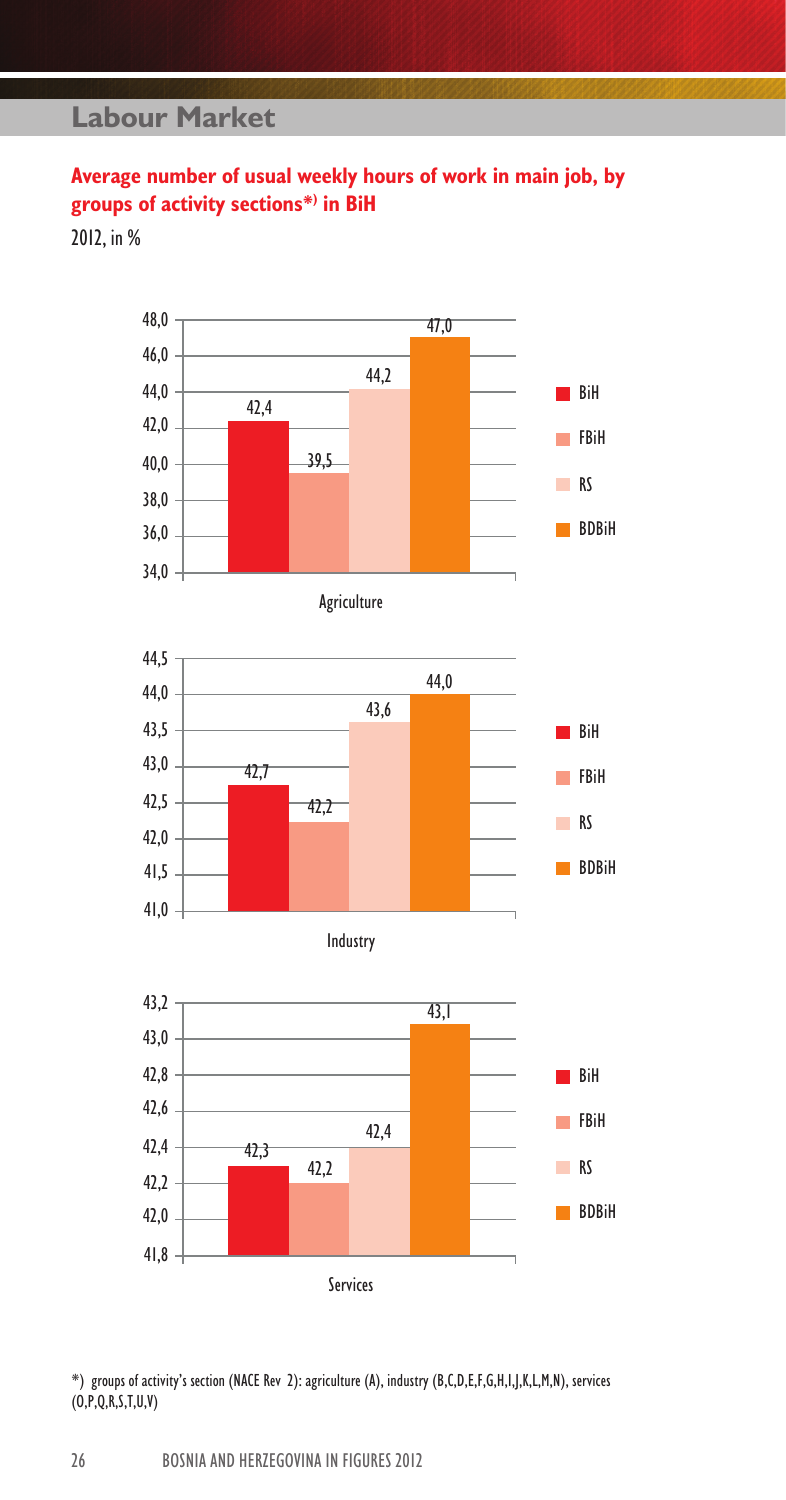# **Average number of usual weekly hours of work in main job, by groups of activity sections\*) in BiH**

2012, in %











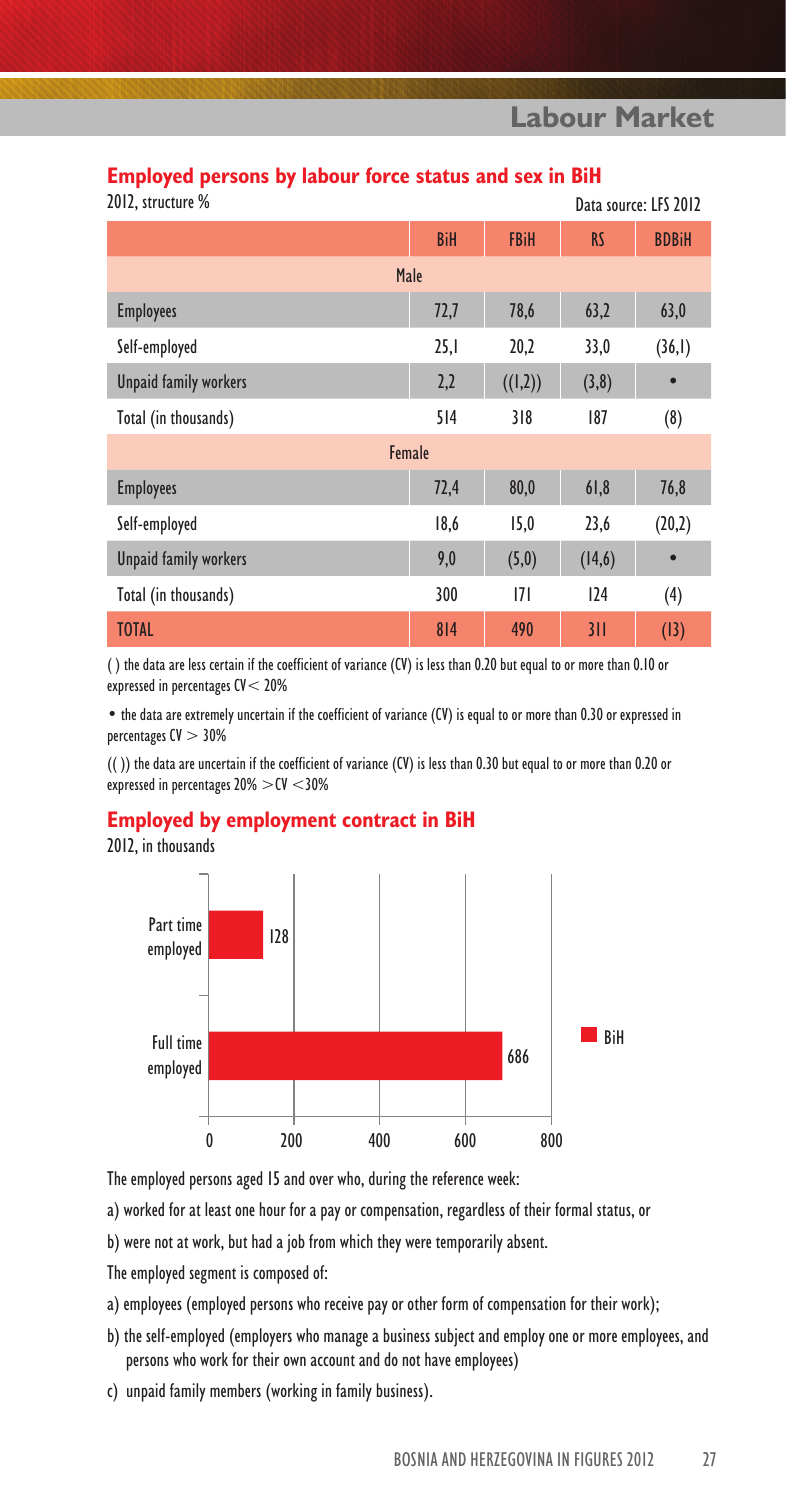## **Employed persons by labour force status and sex in BiH**

| 2012, structure % |  |
|-------------------|--|
|                   |  |

| .VIZ, structure %            |            |             |           | Data source: LFS 2012 |
|------------------------------|------------|-------------|-----------|-----------------------|
|                              | <b>BiH</b> | <b>FBiH</b> | <b>RS</b> | <b>BDBiH</b>          |
| Male                         |            |             |           |                       |
| <b>Employees</b>             | 72,7       | 78,6        | 63,2      | 63,0                  |
| Self-employed                | 25,1       | 20,2        | 33,0      | (36,1)                |
| <b>Unpaid family workers</b> | 2,2        | ((1,2))     | (3,8)     | $\bullet$             |
| Total (in thousands)         | 514        | 318         | 187       | (8)                   |
| Female                       |            |             |           |                       |
| <b>Employees</b>             | 72,4       | 80,0        | 61,8      | 76,8                  |
| Self-employed                | 18,6       | 15,0        | 23,6      | (20,2)                |
| <b>Unpaid family workers</b> | 9,0        | (5,0)       | (14, 6)   | $\bullet$             |
| Total (in thousands)         | 300        | 7           | 124       | (4)                   |
| <b>TOTAL</b>                 | 814        | 490         | 311       | (13)                  |

( ) the data are less certain if the coefficient of variance (CV) is less than 0.20 but equal to or more than 0.10 or expressed in percentages CV< 20%

• the data are extremely uncertain if the coefficient of variance (CV) is equal to or more than 0.30 or expressed in percentages CV > 30%

(( )) the data are uncertain if the coefficient of variance (CV) is less than 0.30 but equal to or more than 0.20 or expressed in percentages 20% >CV <30%

### **Employed by employment contract in BiH**

2012, in thousands



The employed persons aged 15 and over who, during the reference week:

a) worked for at least one hour for a pay or compensation, regardless of their formal status, or

b) were not at work, but had a job from which they were temporarily absent.

The employed segment is composed of:

- a) employees (employed persons who receive pay or other form of compensation for their work);
- b) the self-employed (employers who manage a business subject and employ one or more employees, and persons who work for their own account and do not have employees)
- c) unpaid family members (working in family business).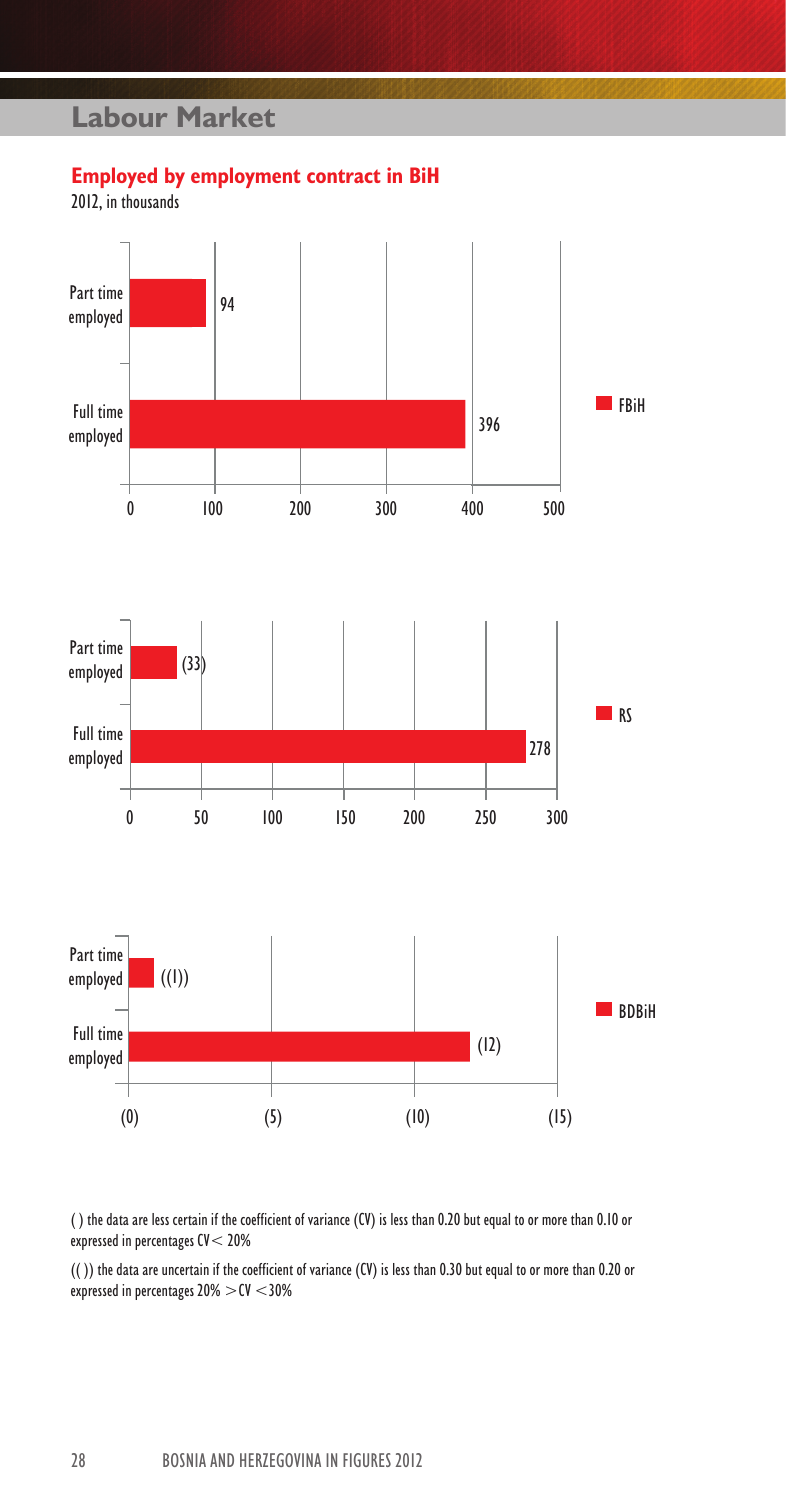### **Employed by employment contract in BiH**

2012, in thousands



( ) the data are less certain if the coefficient of variance (CV) is less than 0.20 but equal to or more than 0.10 or expressed in percentages CV< 20%

(( )) the data are uncertain if the coefficient of variance (CV) is less than 0.30 but equal to or more than 0.20 or expressed in percentages  $20\% > CV < 30\%$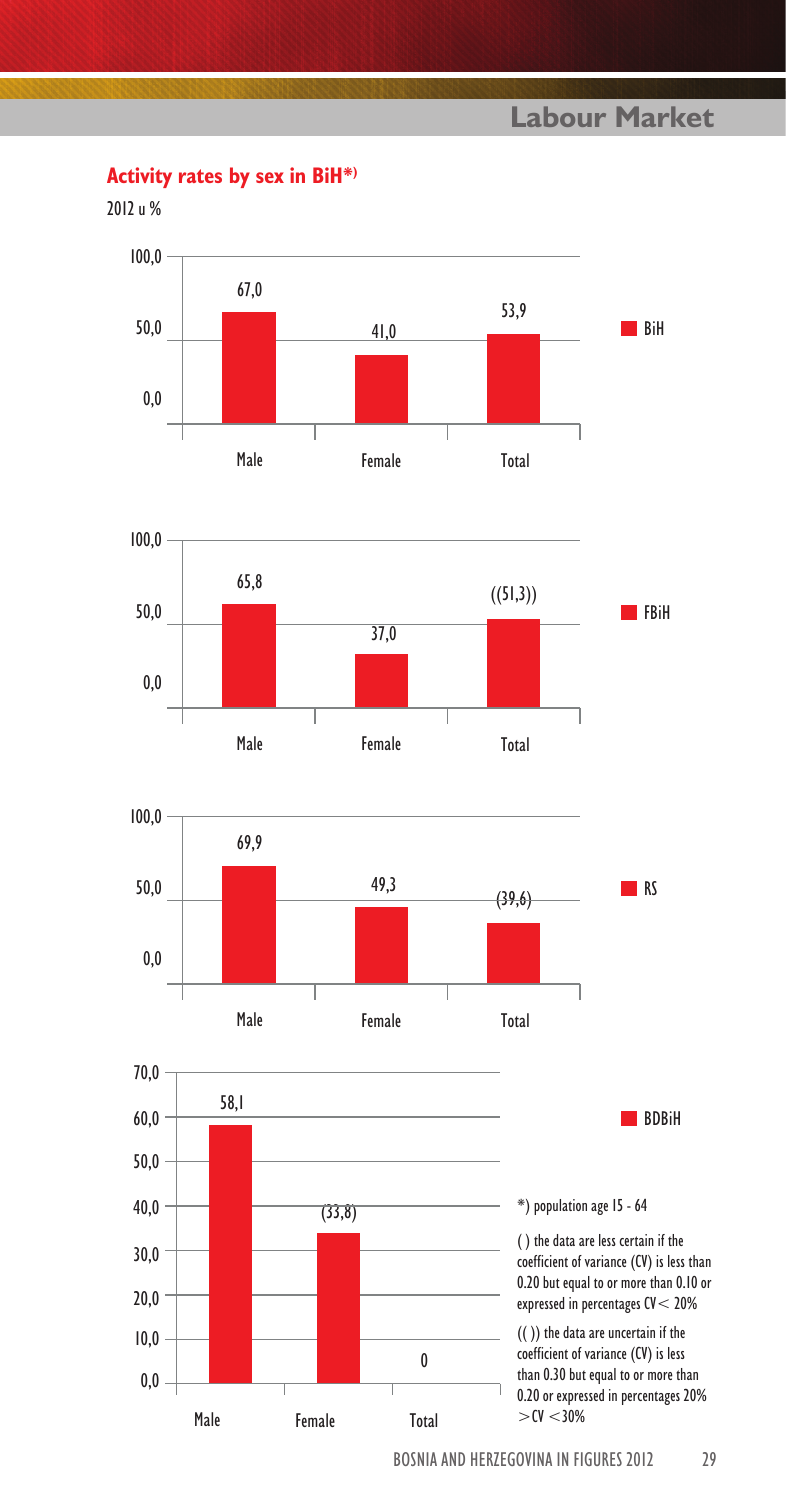**Activity rates by sex in BiH\*)**

2012 u %







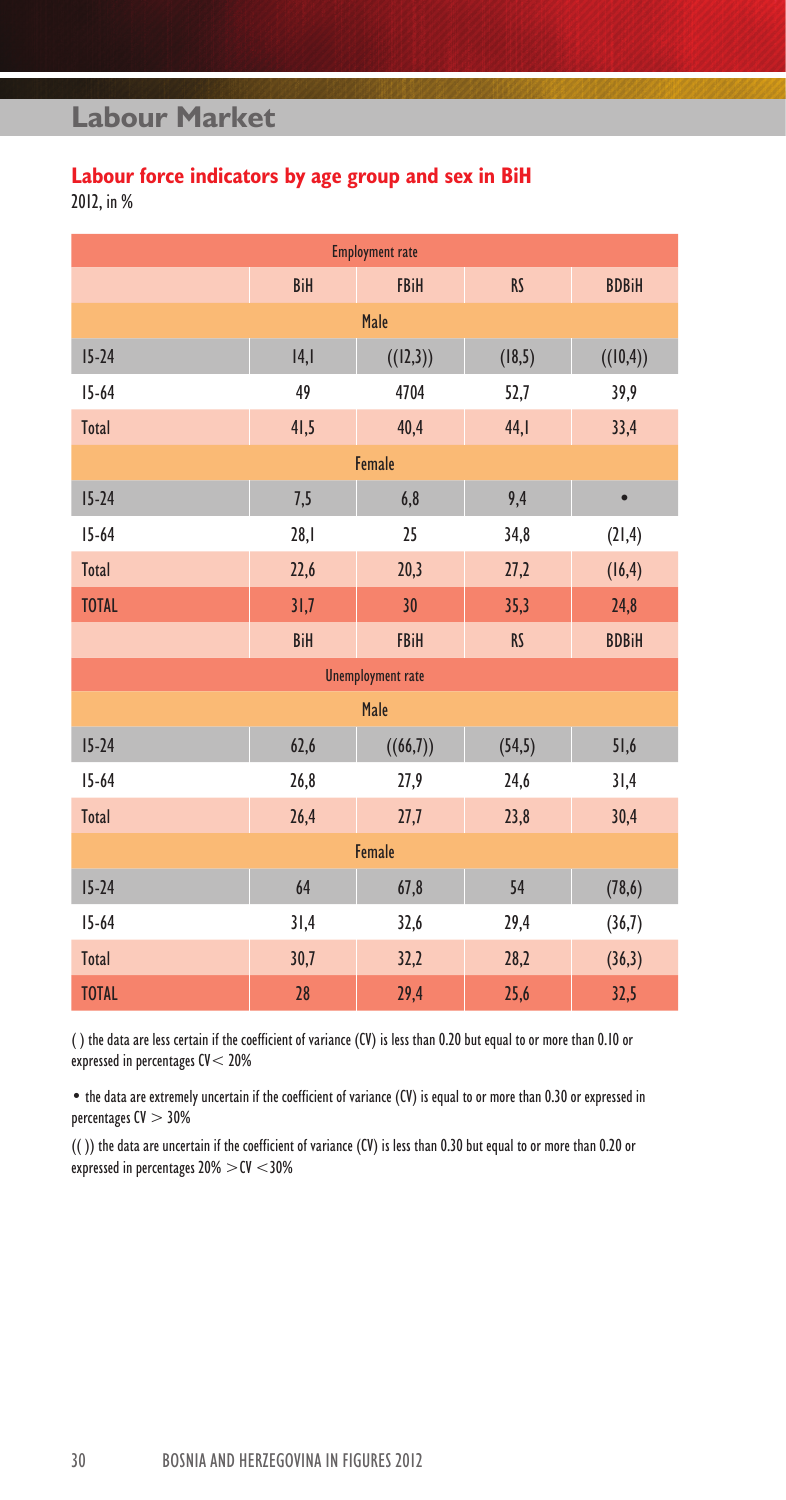# **Labour force indicators by age group and sex in BiH**

2012, in %

|              |            | <b>Employment rate</b>   |           |              |  |  |  |
|--------------|------------|--------------------------|-----------|--------------|--|--|--|
|              | <b>BiH</b> | <b>FBiH</b>              | <b>RS</b> | <b>BDBiH</b> |  |  |  |
|              |            | Male                     |           |              |  |  |  |
| $15 - 24$    | 4,         | ((12,3))                 | (18, 5)   | ((10,4))     |  |  |  |
| $15 - 64$    | 49         | 4704                     | 52,7      | 39,9         |  |  |  |
| Total        | 41,5       | 40,4                     | 44,1      | 33,4         |  |  |  |
| Female       |            |                          |           |              |  |  |  |
| $15 - 24$    | 7,5        | 6,8                      | 9,4       | $\bullet$    |  |  |  |
| $15 - 64$    | 28,1       | 25                       | 34,8      | (21, 4)      |  |  |  |
| Total        | 22,6       | 20,3                     | 27,2      | (16, 4)      |  |  |  |
| <b>TOTAL</b> | 31,7       | 30                       | 35,3      | 24,8         |  |  |  |
|              | BiH        | <b>FBiH</b>              | <b>RS</b> | <b>BDBiH</b> |  |  |  |
|              |            | <b>Unemployment rate</b> |           |              |  |  |  |
|              |            | Male                     |           |              |  |  |  |
| $15 - 24$    | 62,6       | ((66,7))                 | (54, 5)   | 51,6         |  |  |  |
| $15 - 64$    | 26,8       | 27,9                     | 24,6      | 31,4         |  |  |  |
| Total        | 26,4       | 27,7                     | 23,8      | 30,4         |  |  |  |
| Female       |            |                          |           |              |  |  |  |
| $15 - 24$    | 64         | 67,8                     | 54        | (78, 6)      |  |  |  |
| $15 - 64$    | 31,4       | 32,6                     | 29,4      | (36,7)       |  |  |  |
| Total        | 30,7       | 32,2                     | 28,2      | (36,3)       |  |  |  |
| <b>TOTAL</b> | 28         | 29,4                     | 25,6      | 32,5         |  |  |  |

( ) the data are less certain if the coefficient of variance (CV) is less than 0.20 but equal to or more than 0.10 or expressed in percentages CV< 20%

Ï

• the data are extremely uncertain if the coefficient of variance (CV) is equal to or more than 0.30 or expressed in percentages  $CV > 30%$ 

(( )) the data are uncertain if the coefficient of variance (CV) is less than 0.30 but equal to or more than 0.20 or expressed in percentages  $20\% > CV < 30\%$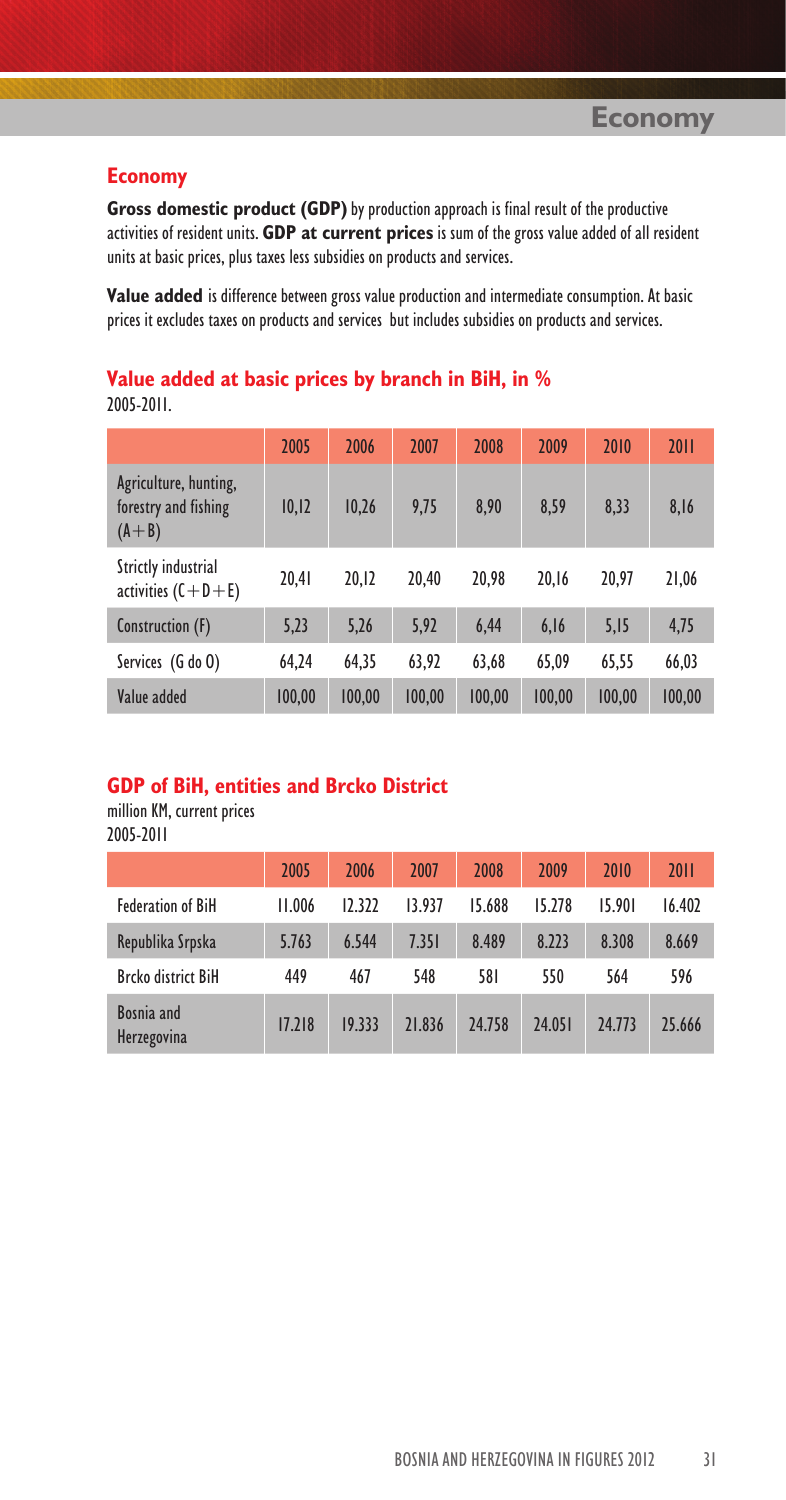**Gross domestic product (GDP)** by production approach is final result of the productive activities of resident units. **GDP at current prices** is sum of the gross value added of all resident units at basic prices, plus taxes less subsidies on products and services.

**Value added** is difference between gross value production and intermediate consumption. At basic prices it excludes taxes on products and services but includes subsidies on products and services.

### **Value added at basic prices by branch in BiH, in %** 2005-2011.

|                                                            | 2005   | 2006   | 2007   | 2008   | 2009   | 2010   | 2011   |
|------------------------------------------------------------|--------|--------|--------|--------|--------|--------|--------|
| Agriculture, hunting,<br>forestry and fishing<br>$(A + B)$ | 10,12  | 10.26  | 9,75   | 8.90   | 8,59   | 8,33   | 8,16   |
| Strictly industrial<br>activities $(C + D + E)$            | 20,41  | 20.12  | 20.40  | 20.98  | 20.16  | 20.97  | 21,06  |
| Construction (F)                                           | 5,23   | 5,26   | 5,92   | 6,44   | 6,16   | 5,15   | 4,75   |
| Services (G do O)                                          | 64.24  | 64,35  | 63,92  | 63,68  | 65.09  | 65,55  | 66,03  |
| Value added                                                | 100.00 | 100.00 | 100.00 | 100.00 | 100.00 | 100.00 | 100.00 |

### **GDP of BiH, entities and Brcko District**

million KM, current prices 2005-2011

|                           | 2005   | 2006   | 2007   | 2008   | 2009   | 2010   | 2011   |
|---------------------------|--------|--------|--------|--------|--------|--------|--------|
| <b>Federation of BiH</b>  | 11.006 | 12.322 | 13.937 | 15.688 | 15.278 | 15.901 | 16.402 |
| Republika Srpska          | 5.763  | 6.544  | 7.351  | 8.489  | 8.223  | 8.308  | 8.669  |
| <b>Brcko district BiH</b> | 449    | 467    | 548    | 581    | 550    | 564    | 596    |
| Bosnia and<br>Herzegovina | 17.218 | 19.333 | 21.836 | 24.758 | 24.051 | 24.773 | 25.666 |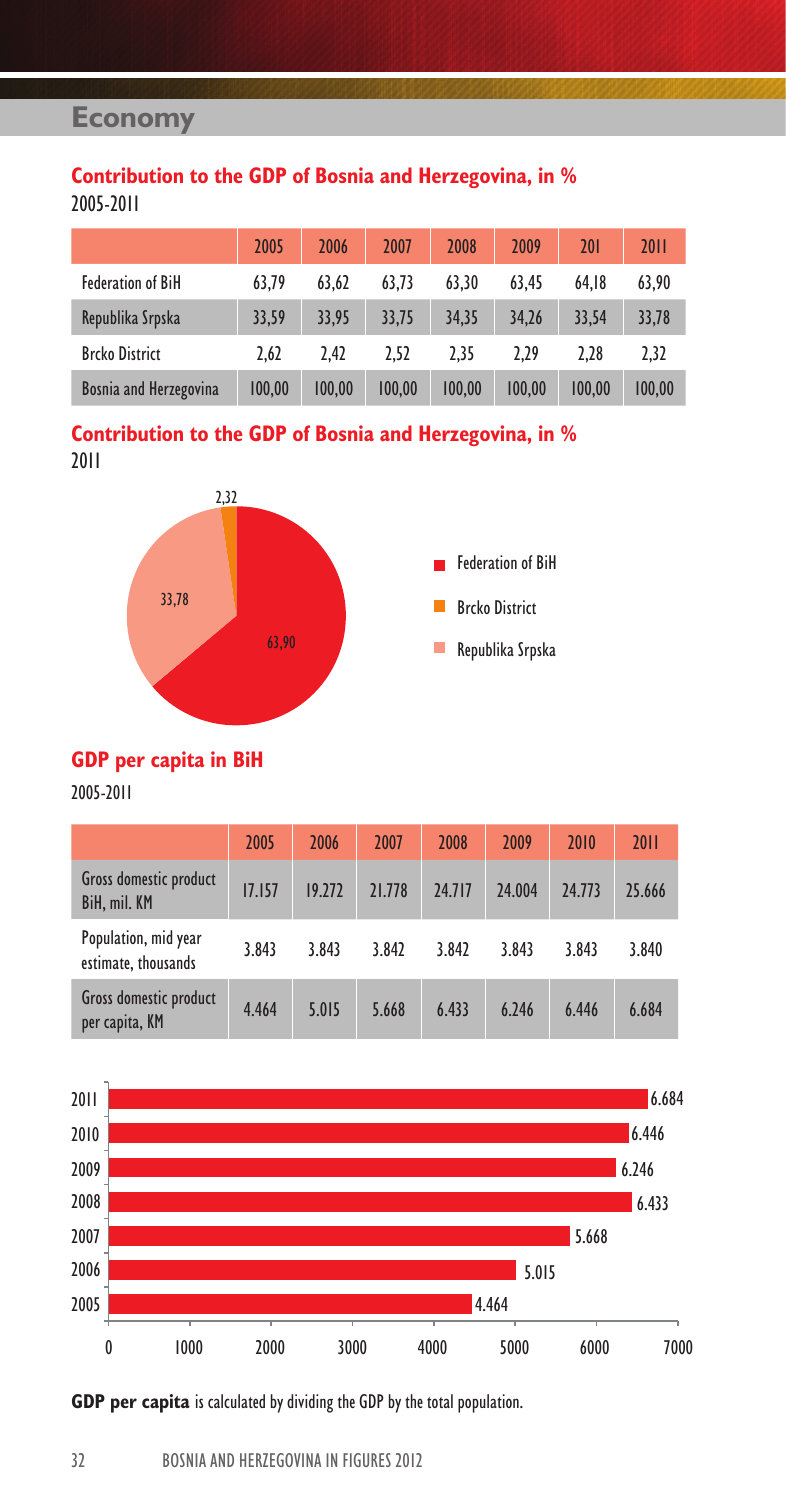### **Contribution to the GDP of Bosnia and Herzegovina, in %** 2005-2011

|                          | 2005   | 2006   | 2007   | 2008   | 2009   | 201    | 2011   |
|--------------------------|--------|--------|--------|--------|--------|--------|--------|
| <b>Federation of BiH</b> | 63.79  | 63.62  | 63.73  | 63.30  | 63.45  | 64.18  | 63.90  |
| Republika Srpska         | 33.59  | 33.95  | 33.75  | 34.35  | 34.26  | 33.54  | 33,78  |
| <b>Brcko District</b>    | 2.62   | 2.42   | 2.52   | 2.35   | 2.29   | 2.28   | 2,32   |
| Bosnia and Herzegovina   | 100.00 | 100.00 | 100.00 | 100.00 | 100.00 | 100.00 | 100.00 |

**Contribution to the GDP of Bosnia and Herzegovina, in %** 2011



### **GDP per capita in BiH**

2005-2011

|                                                 | 2005   | 2006   | 2007   | 2008   | 2009   | 2010   | 2011   |
|-------------------------------------------------|--------|--------|--------|--------|--------|--------|--------|
| Gross domestic product<br>BiH, mil. KM          | 17.157 | 19.272 | 21.778 | 24.717 | 24.004 | 24.773 | 25.666 |
| Population, mid year<br>estimate, thousands     | 3.843  | 3.843  | 3.842  | 3.842  | 3.843  | 3.843  | 3.840  |
| <b>Gross domestic product</b><br>per capita, KM | 4.464  | 5.015  | 5.668  | 6.433  | 6.246  | 6.446  | 6.684  |



**GDP per capita** is calculated by dividing the GDP by the total population.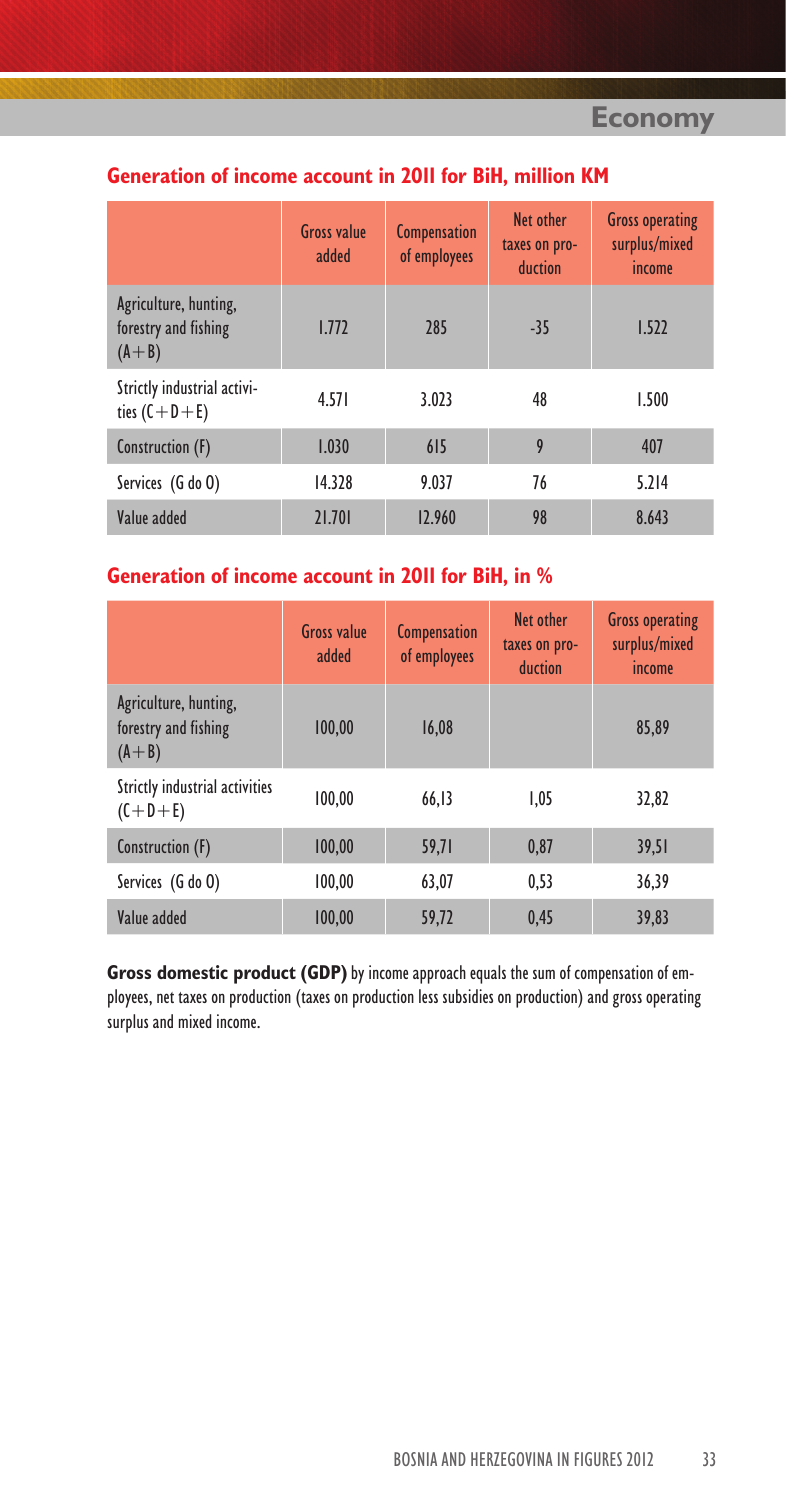# **Generation of income account in 2011 for BiH, million KM**

|                                                            | <b>Gross value</b><br>added | Compensation<br>of employees | Net other<br>taxes on pro-<br>duction | <b>Gross operating</b><br>surplus/mixed<br>income |
|------------------------------------------------------------|-----------------------------|------------------------------|---------------------------------------|---------------------------------------------------|
| Agriculture, hunting,<br>forestry and fishing<br>$(A + B)$ | 1.772                       | 285                          | $-35$                                 | 1.522                                             |
| Strictly industrial activi-<br>ties $(C+D+E)$              | 4.571                       | 3.023                        | 48                                    | 1.500                                             |
| Construction (F)                                           | 1.030                       | 615                          | 9                                     | 407                                               |
| Services (G do O)                                          | 14.328                      | 9.037                        | 76                                    | 5.214                                             |
| Value added                                                | 21.701                      | 12.960                       | 98                                    | 8.643                                             |

# **Generation of income account in 2011 for BiH, in %**

|                                                            | <b>Gross value</b><br>added | <b>Compensation</b><br>of employees | Net other<br>taxes on pro-<br>duction | <b>Gross operating</b><br>surplus/mixed<br>income |
|------------------------------------------------------------|-----------------------------|-------------------------------------|---------------------------------------|---------------------------------------------------|
| Agriculture, hunting,<br>forestry and fishing<br>$(A + B)$ | 100.00                      | 16.08                               |                                       | 85.89                                             |
| Strictly industrial activities<br>$(C+D+E)$                | 100.00                      | 66.13                               | 1.05                                  | 32.82                                             |
| Construction (F)                                           | 100.00                      | 59.71                               | 0.87                                  | 39.51                                             |
| Services (G do O)                                          | 100.00                      | 63.07                               | 0.53                                  | 36.39                                             |
| Value added                                                | 100.00                      | 59.72                               | 0.45                                  | 39.83                                             |

**Gross domestic product (GDP)** by income approach equals the sum of compensation of employees, net taxes on production (taxes on production less subsidies on production) and gross operating surplus and mixed income.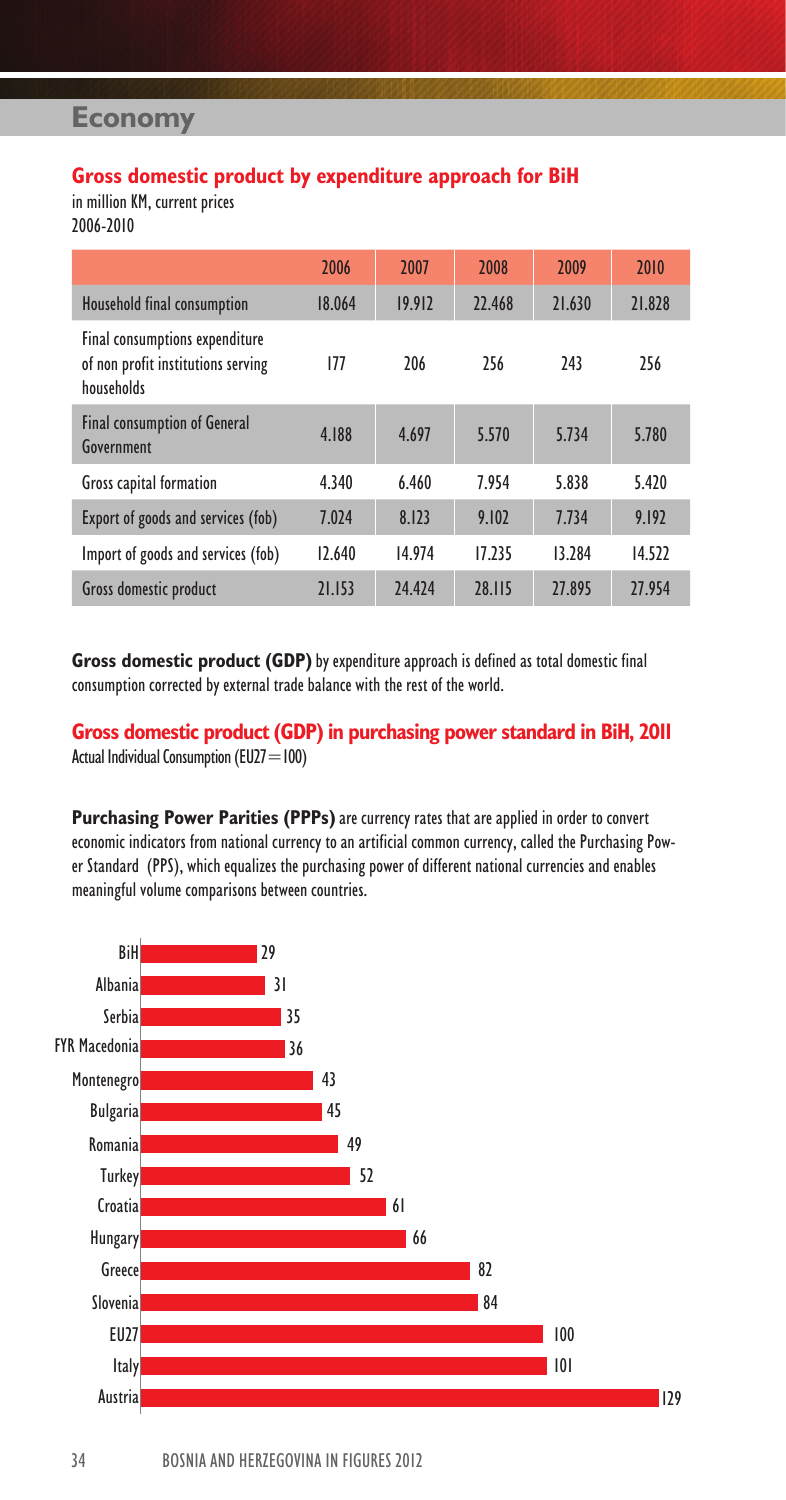### **Gross domestic product by expenditure approach for BiH**

in million KM, current prices 2006-2010

|                                                                                    | 2006   | 2007   | 2008   | 2009   | 2010   |
|------------------------------------------------------------------------------------|--------|--------|--------|--------|--------|
| Household final consumption                                                        | 18.064 | 19.912 | 22.468 | 21.630 | 21.828 |
| Final consumptions expenditure<br>of non profit institutions serving<br>households | 177    | 206    | 256    | 243    | 256    |
| <b>Final consumption of General</b><br>Government                                  | 4.188  | 4.697  | 5.570  | 5.734  | 5.780  |
| Gross capital formation                                                            | 4.340  | 6.460  | 7.954  | 5.838  | 5.420  |
| Export of goods and services (fob)                                                 | 7.024  | 8.123  | 9.102  | 7.734  | 9.192  |
| Import of goods and services (fob)                                                 | 12.640 | 14.974 | 17.235 | 13.284 | 14.522 |
| Gross domestic product                                                             | 21.153 | 24,424 | 28.115 | 27.895 | 27.954 |

**Gross domestic product (GDP)** by expenditure approach is defined as total domestic final consumption corrected by external trade balance with the rest of the world.

**Gross domestic product (GDP) in purchasing power standard in BiH, 2011** Actual Individual Consumption (EU27=100)

**Purchasing Power Parities (PPPs)** are currency rates that are applied in order to convert economic indicators from national currency to an artificial common currency, called the Purchasing Power Standard (PPS), which equalizes the purchasing power of different national currencies and enables meaningful volume comparisons between countries.

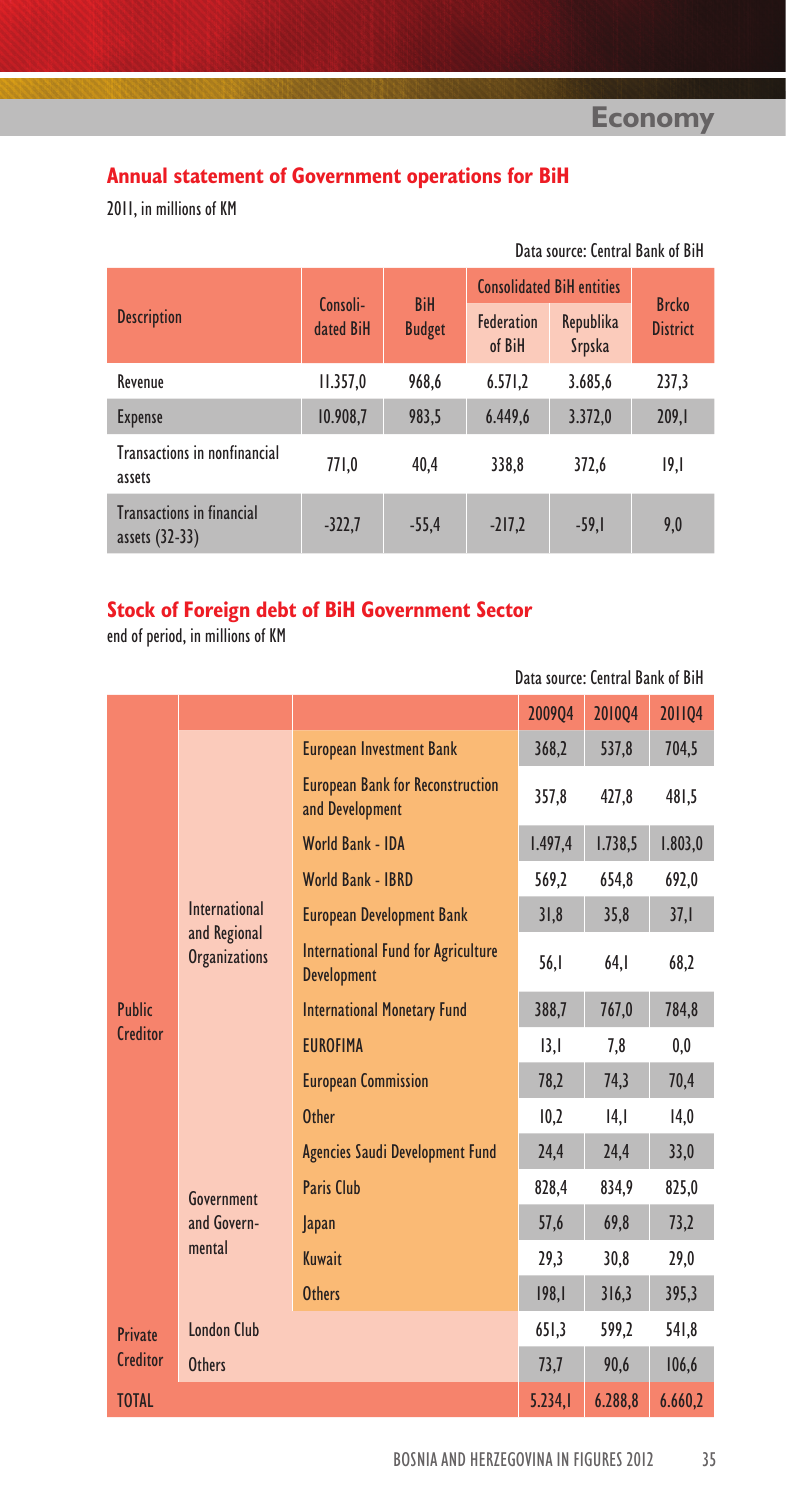Data source: Central Bank of BiH

# **Annual statement of Government operations for BiH**

2011, in millions of KM

|                                                    |                       |                             | <b>Consolidated BiH entities</b> | <b>Brcko</b>        |                 |  |
|----------------------------------------------------|-----------------------|-----------------------------|----------------------------------|---------------------|-----------------|--|
| <b>Description</b>                                 | Consoli-<br>dated BiH | <b>BiH</b><br><b>Budget</b> | <b>Federation</b><br>of BiH      | Republika<br>Srpska | <b>District</b> |  |
| Revenue                                            | 11.357,0              | 968.6                       | 6.571,2                          | 3.685,6             | 237,3           |  |
| <b>Expense</b>                                     | 10.908,7              | 983,5                       | 6.449,6                          | 3.372,0             | 209,1           |  |
| Transactions in nonfinancial<br>assets             | 771.0                 | 40.4                        | 338.8                            | 372,6               | 9,              |  |
| <b>Transactions in financial</b><br>assets (32-33) | $-322,7$              | $-55.4$                     | $-217.2$                         | $-59.1$             | 9,0             |  |

**Stock of Foreign debt of BiH Government Sector**

end of period, in millions of KM

### Data source: Central Bank of BiH

|                                                              |                                                                 |                                    | 200904  | 201004  | 201104  |
|--------------------------------------------------------------|-----------------------------------------------------------------|------------------------------------|---------|---------|---------|
|                                                              |                                                                 | <b>European Investment Bank</b>    | 368,2   | 537,8   | 704,5   |
|                                                              | <b>European Bank for Reconstruction</b><br>and Development      | 357,8                              | 427,8   | 481,5   |         |
|                                                              |                                                                 | World Bank - IDA                   | 1.497,4 | 1.738,5 | 1.803,0 |
|                                                              |                                                                 | <b>World Bank - IBRD</b>           | 569,2   | 654,8   | 692,0   |
| <b>International</b><br>and Regional<br><b>Organizations</b> | <b>European Development Bank</b>                                | 31,8                               | 35,8    | 37,1    |         |
|                                                              | <b>International Fund for Agriculture</b><br><b>Development</b> | 56,1                               | 64,1    | 68,2    |         |
| <b>Public</b>                                                |                                                                 | <b>International Monetary Fund</b> | 388,7   | 767.0   | 784,8   |
| Creditor                                                     | <b>FUROFIMA</b>                                                 | 3,                                 | 7,8     | 0,0     |         |
|                                                              | <b>European Commission</b>                                      | 78,2                               | 74,3    | 70,4    |         |
|                                                              |                                                                 | <b>Other</b>                       | 10,2    | 4,      | 14,0    |
|                                                              |                                                                 | Agencies Saudi Development Fund    | 24,4    | 24.4    | 33,0    |
|                                                              | Government                                                      | Paris Club                         | 828.4   | 834.9   | 825,0   |
|                                                              | and Govern-                                                     | <b>Japan</b>                       | 57,6    | 69,8    | 73,2    |
|                                                              | mental                                                          | Kuwait                             | 29,3    | 30,8    | 29,0    |
|                                                              |                                                                 | <b>Others</b>                      | 198,1   | 316,3   | 395,3   |
| Private                                                      | <b>London Club</b>                                              |                                    | 651,3   | 599,2   | 541,8   |
| Creditor                                                     | <b>Others</b>                                                   |                                    | 73,7    | 90,6    | 106,6   |
| <b>TOTAL</b>                                                 |                                                                 |                                    | 5.234.1 | 6.288.8 | 6.660.2 |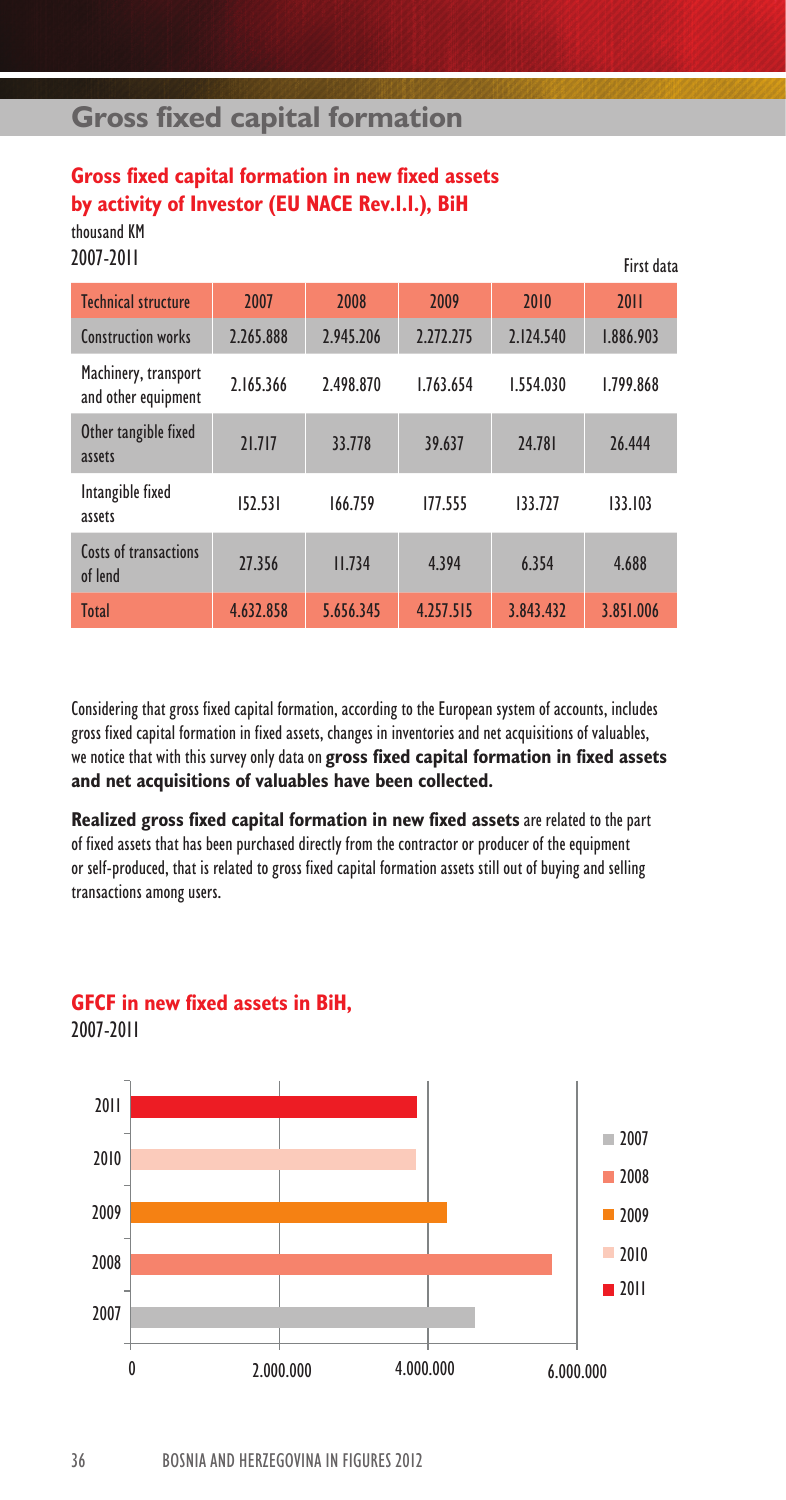# **Gross fixed capital formation**

# **Gross fixed capital formation in new fixed assets by activity of Investor (EU NACE Rev.1.1.), BiH**

thousand KM 2007-2011

| 2007-2011                                   |           |           |           |           | First data |
|---------------------------------------------|-----------|-----------|-----------|-----------|------------|
| <b>Technical structure</b>                  | 2007      | 2008      | 2009      | 2010      | 2011       |
| Construction works                          | 2.265.888 | 2.945.206 | 2.272.275 | 2.124.540 | 1.886.903  |
| Machinery, transport<br>and other equipment | 2.165.366 | 2.498.870 | 1.763.654 | 1.554.030 | 1.799.868  |
| Other tangible fixed<br>assets              | 21.717    | 33.778    | 39.637    | 24.781    | 26,444     |
| Intangible fixed<br>assets                  | 152.531   | 166.759   | 177.555   | 133.727   | 133.103    |
| Costs of transactions<br>of lend            | 27.356    | 11.734    | 4.394     | 6.354     | 4.688      |
| Total                                       | 4.632.858 | 5.656.345 | 4.257.515 | 3.843.432 | 3.851.006  |

Considering that gross fixed capital formation, according to the European system of accounts, includes gross fixed capital formation in fixed assets, changes in inventories and net acquisitions of valuables, we notice that with this survey only data on **gross fixed capital formation in fixed assets and net acquisitions of valuables have been collected.**

**Realized gross fixed capital formation in new fixed assets** are related to the part of fixed assets that has been purchased directly from the contractor or producer of the equipment or self-produced, that is related to gross fixed capital formation assets still out of buying and selling transactions among users.

### **GFCF in new fixed assets in BiH,**

2007-2011

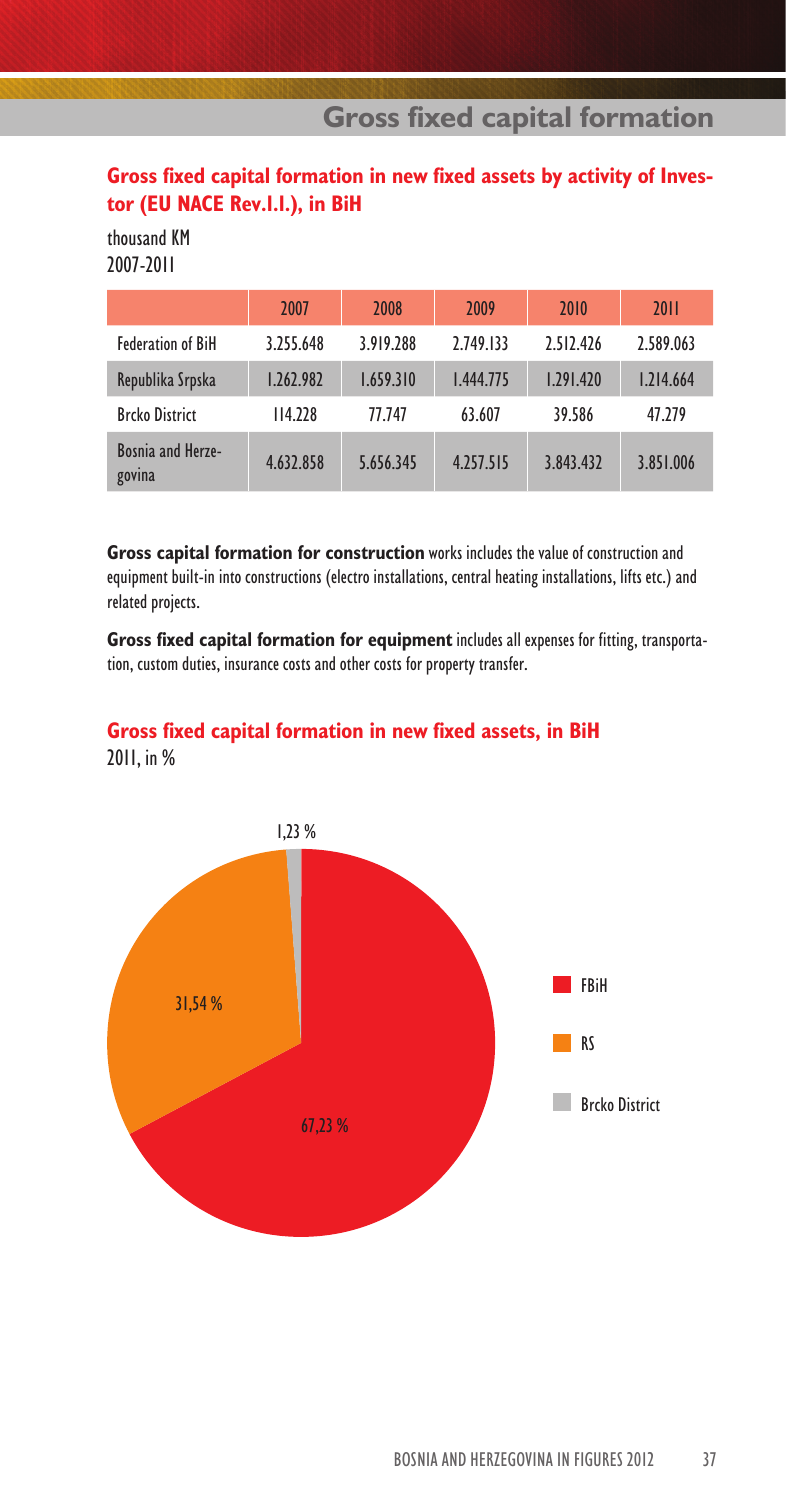### **Gross fixed capital formation in new fixed assets by activity of Investor (EU NACE Rev.1.1.), in BiH**

thousand KM 2007-2011

|                             | 2007      | 2008      | 2009      | 2010      | <b>2011</b> |
|-----------------------------|-----------|-----------|-----------|-----------|-------------|
| <b>Federation of BiH</b>    | 3.255.648 | 3.919.288 | 2.749.133 | 2.512.426 | 2.589.063   |
| Republika Srpska            | 1.262.982 | 1.659.310 | 1.444.775 | 1.291.420 | 1.214.664   |
| <b>Brcko District</b>       | 114.228   | 77.747    | 63.607    | 39.586    | 47.279      |
| Bosnia and Herze-<br>govina | 4.632.858 | 5.656.345 | 4.257.515 | 3.843.432 | 3.851.006   |

**Gross capital formation for construction** works includes the value of construction and equipment built-in into constructions (electro installations, central heating installations, lifts etc.) and related projects.

**Gross fixed capital formation for equipment** includes all expenses for fitting, transportation, custom duties, insurance costs and other costs for property transfer.

# **Gross fixed capital formation in new fixed assets, in BiH**

2011, in %

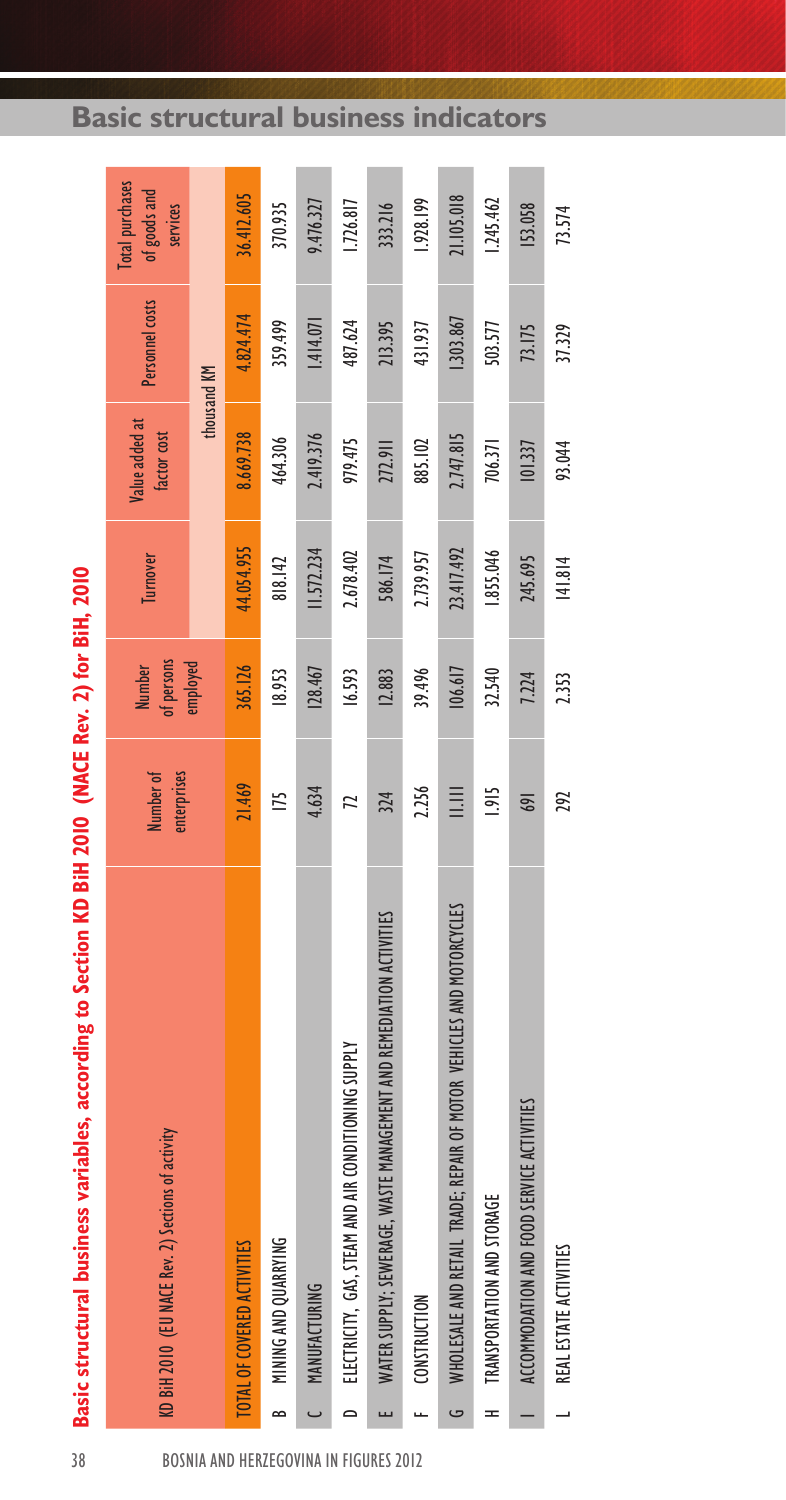|                          | Basic structural business variables, according to Section KD BiH 2010 (NACE Rev. 2) for BiH, 2010 |                          |                             |            |                               |                 |                                                    |
|--------------------------|---------------------------------------------------------------------------------------------------|--------------------------|-----------------------------|------------|-------------------------------|-----------------|----------------------------------------------------|
|                          | KD BiH 2010 (EU NACE Rev. 2) Sections of activity                                                 | Number of<br>enterprises | of persons<br><b>Number</b> | Turnover   | Value added at<br>factor cost | Personnel costs | <b>Total purchases</b><br>of goods and<br>services |
|                          |                                                                                                   |                          | employed                    |            | thousand KM                   |                 |                                                    |
|                          | TOTAL OF COVERED ACTIVITIES                                                                       | 21.469                   | 365.126                     | 44.054.955 | 8.669.738                     | 4.824.474       | 36.412.605                                         |
| $\approx$                | MINING AND QUARRYING                                                                              | IT5                      | 18.953                      | 818.142    | 464.306                       | 359.499         | 370.935                                            |
|                          | MANUFACTURING                                                                                     | 4.634                    | 128.467                     | II.572.234 | 2.419.376                     | 1.414.071       | 9.476.327                                          |
| $\overline{\phantom{0}}$ | ELECTRICITY, GAS, STEAM AND AIR CONDITIONING SUPPLY                                               | 12                       | 16.593                      | 2.678.402  | 979.475                       | 487.624         | 1.726.817                                          |
|                          | WATER SUPPLY; SEWERAGE, WASTE MANAGEMENT AND REMEDIATION ACTIVITIES                               | 324                      | 12.883                      | 586.174    | 272.911                       | 213.395         | 333.216                                            |
|                          | CONSTRUCTION                                                                                      | 2.256                    | 39.496                      | 2.739.957  | 885.102                       | 431.937         | 1.928.199                                          |
| G                        | WHOLESALE AND RETAIL TRADE; REPAIR OF MOTOR VEHICLES AND MOTORCYCLES                              | m                        | 106.617                     | 23.417.492 | 2.747.815                     | .303.867        | 21.105.018                                         |
| $=$                      | TRANSPORTATION AND STORAGE                                                                        | 1.915                    | 32.540                      | .855.046   | 706.371                       | 503.577         | 1.245.462                                          |
|                          | ACCOMMODATION AND FOOD SERVICE ACTIVITIES                                                         | 169                      | 7.224                       | 245.695    | 101.337                       | 73.175          | 153.058                                            |
|                          | REAL ESTATE ACTIVITIES                                                                            | 292                      | 2.353                       | 141.814    | 93.044                        | 37.329          | 73.574                                             |

Basic structural business variables, according to Section KD BiH 2010 (NACE Rev. 2) for BiH, 2010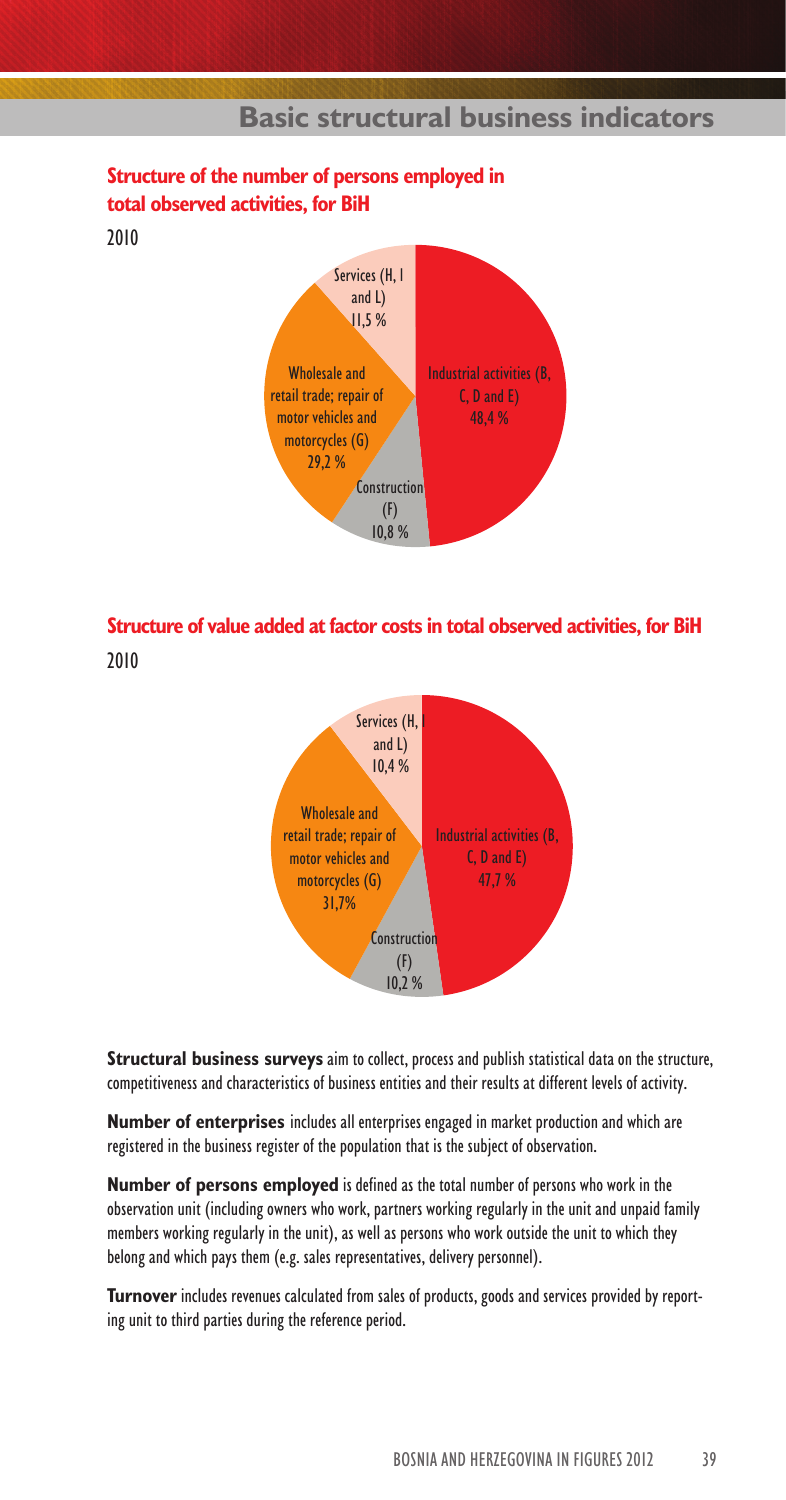

#### **Structure of the number of persons employed in total observed activities, for BiH**

2010

## **Structure of value added at factor costs in total observed activities, for BiH**

2010



**Structural business surveys** aim to collect, process and publish statistical data on the structure, competitiveness and characteristics of business entities and their results at different levels of activity.

**Number of enterprises** includes all enterprises engaged in market production and which are registered in the business register of the population that is the subject of observation.

**Number of persons employed** is defined as the total number of persons who work in the observation unit (including owners who work, partners working regularly in the unit and unpaid family members working regularly in the unit), as well as persons who work outside the unit to which they belong and which pays them (e.g. sales representatives, delivery personnel).

**Turnover** includes revenues calculated from sales of products, goods and services provided by reporting unit to third parties during the reference period.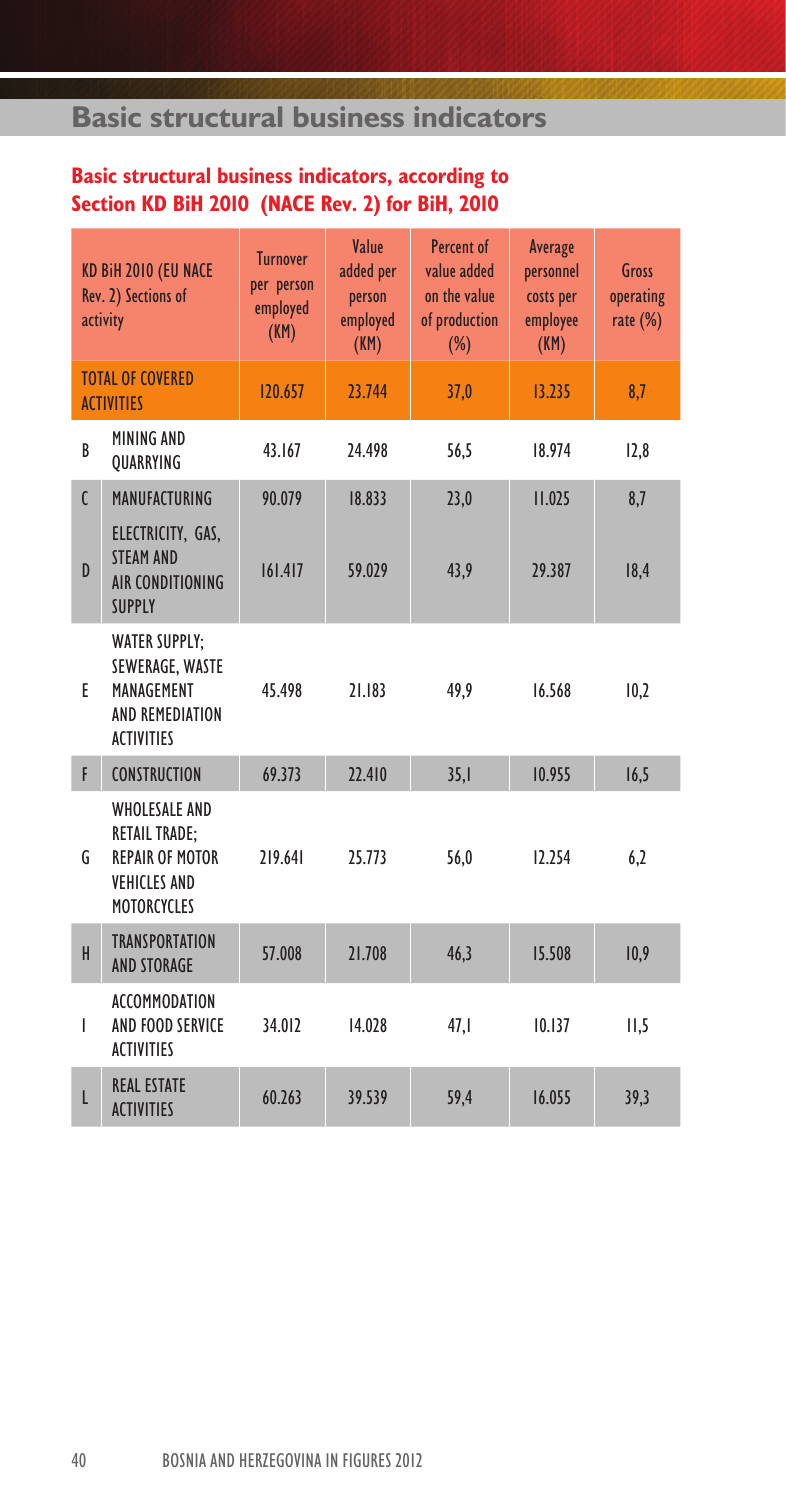## **Basic structural business indicators, according to Section KD BiH 2010 (NACE Rev. 2) for BiH, 2010**

|                | KD BiH 2010 (EU NACE<br><b>Rev. 2) Sections of</b><br>activity                                                      | <b>Turnover</b><br>per person<br>employed<br>(KM) | Value<br>added per<br>person<br>employed<br>(KM) | Percent of<br>value added<br>on the value<br>of production<br>$(\%)$ | Average<br>personnel<br>costs per<br>employee<br>(KM) | Gross<br>operating<br>rate $(\%)$ |
|----------------|---------------------------------------------------------------------------------------------------------------------|---------------------------------------------------|--------------------------------------------------|----------------------------------------------------------------------|-------------------------------------------------------|-----------------------------------|
|                | <b>TOTAL OF COVERED</b><br><b>ACTIVITIES</b>                                                                        | 120.657                                           | 23.744                                           | 37,0                                                                 | 13.235                                                | 8,7                               |
| B              | MINING AND<br>QUARRYING                                                                                             | 43.167                                            | 24.498                                           | 56,5                                                                 | 18.974                                                | 12,8                              |
| $\mathfrak{c}$ | MANUFACTURING                                                                                                       | 90.079                                            | 18.833                                           | 23,0                                                                 | 11.025                                                | 8,7                               |
| $\overline{D}$ | ELECTRICITY, GAS,<br><b>STEAM AND</b><br><b>AIR CONDITIONING</b><br><b>SUPPLY</b>                                   | 161.417                                           | 59.029                                           | 43,9                                                                 | 29.387                                                | 18,4                              |
| F              | <b>WATER SUPPLY;</b><br>SEWERAGE, WASTE<br>MANAGEMENT<br>AND REMEDIATION<br><b>ACTIVITIES</b>                       | 45.498                                            | 21.183                                           | 49,9                                                                 | 16.568                                                | 10,2                              |
| F              | <b>CONSTRUCTION</b>                                                                                                 | 69.373                                            | 22.410                                           | 35,1                                                                 | 10.955                                                | 16,5                              |
| G              | <b>WHOLESALE AND</b><br><b>RETAIL TRADE:</b><br><b>REPAIR OF MOTOR</b><br><b>VEHICLES AND</b><br><b>MOTORCYCLES</b> | 219.641                                           | 25.773                                           | 56,0                                                                 | 12.254                                                | 6,2                               |
| H              | <b>TRANSPORTATION</b><br><b>AND STORAGE</b>                                                                         | 57.008                                            | 21.708                                           | 46,3                                                                 | 15.508                                                | 10,9                              |
| L              | ACCOMMODATION<br>AND FOOD SERVICE<br><b>ACTIVITIES</b>                                                              | 34.012                                            | 14.028                                           | 47,1                                                                 | 10.137                                                | II, 5                             |
| L              | <b>REAL ESTATE</b><br><b>ACTIVITIES</b>                                                                             | 60.263                                            | 39.539                                           | 59,4                                                                 | 16.055                                                | 39,3                              |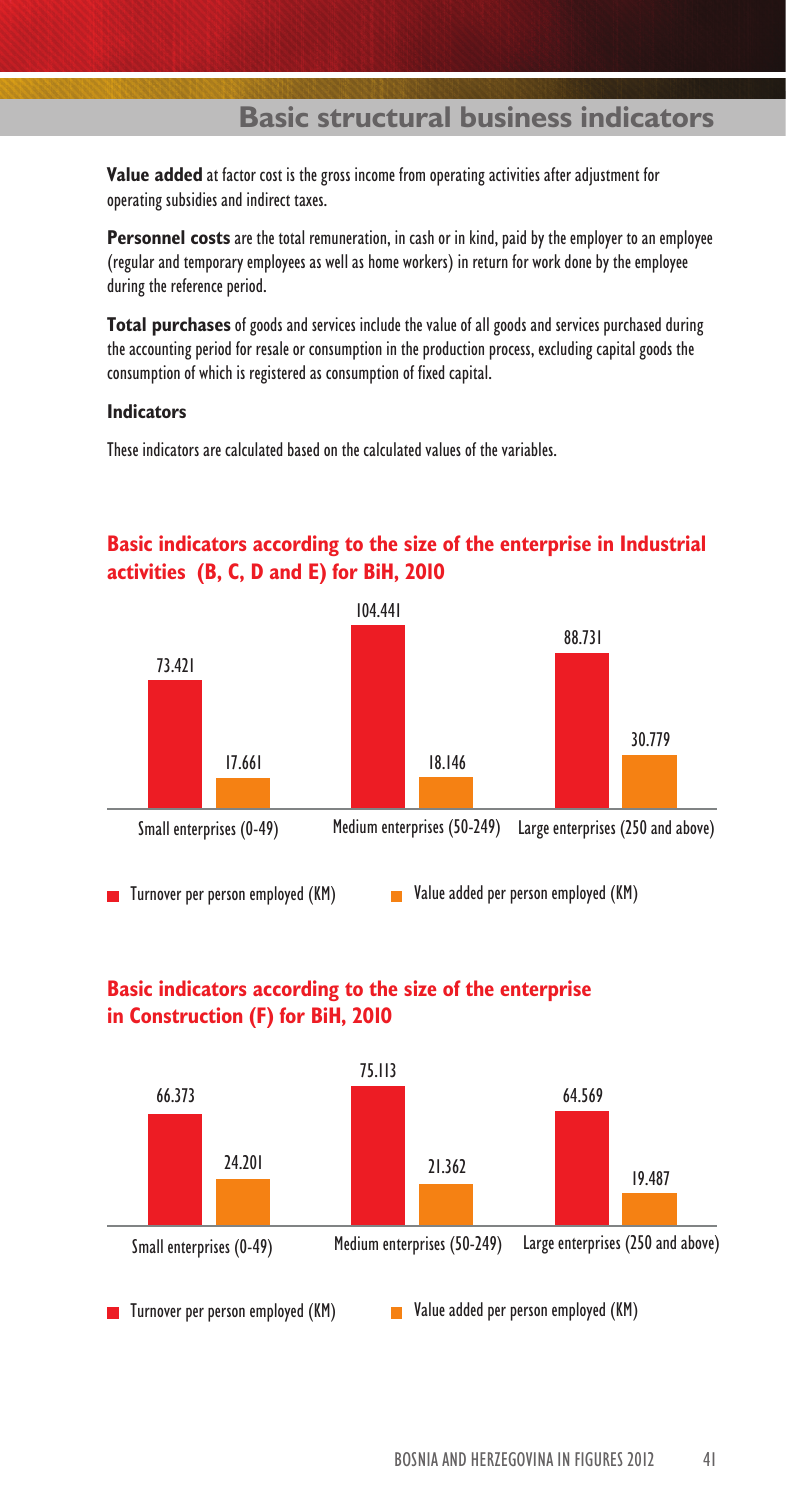**Value added** at factor cost is the gross income from operating activities after adjustment for operating subsidies and indirect taxes.

**Personnel costs** are the total remuneration, in cash or in kind, paid by the employer to an employee (regular and temporary employees as well as home workers) in return for work done by the employee during the reference period.

**Total purchases** of goods and services include the value of all goods and services purchased during the accounting period for resale or consumption in the production process, excluding capital goods the consumption of which is registered as consumption of fixed capital.

#### **Indicators**

These indicators are calculated based on the calculated values of the variables.

#### **Basic indicators according to the size of the enterprise in Industrial activities (B, C, D and E) for BiH, 2010**



#### **Basic indicators according to the size of the enterprise in Construction (F) for BiH, 2010**

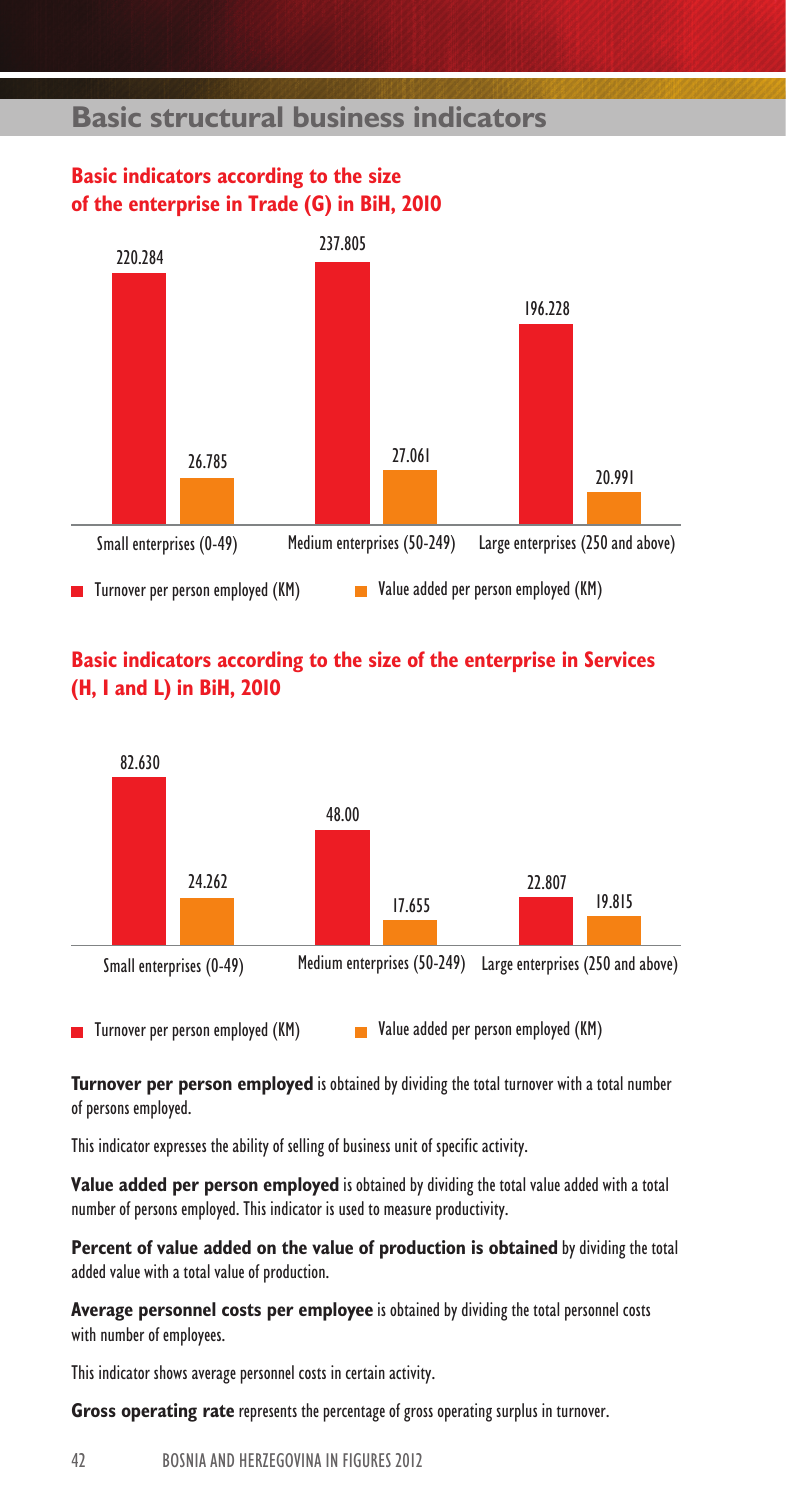#### **Basic indicators according to the size of the enterprise in Trade (G) in BiH, 2010**



#### **Basic indicators according to the size of the enterprise in Services (H, I and L) in BiH, 2010**



**T**urnover per person employed (KM) Value added per person employed (KM)

**Turnover per person employed** is obtained by dividing the total turnover with a total number of persons employed.

This indicator expresses the ability of selling of business unit of specific activity.

**Value added per person employed** is obtained by dividing the total value added with a total number of persons employed. This indicator is used to measure productivity.

**Percent of value added on the value of production is obtained** by dividing the total added value with a total value of production.

**Average personnel costs per employee** is obtained by dividing the total personnel costs with number of employees.

This indicator shows average personnel costs in certain activity.

**Gross operating rate** represents the percentage of gross operating surplus in turnover.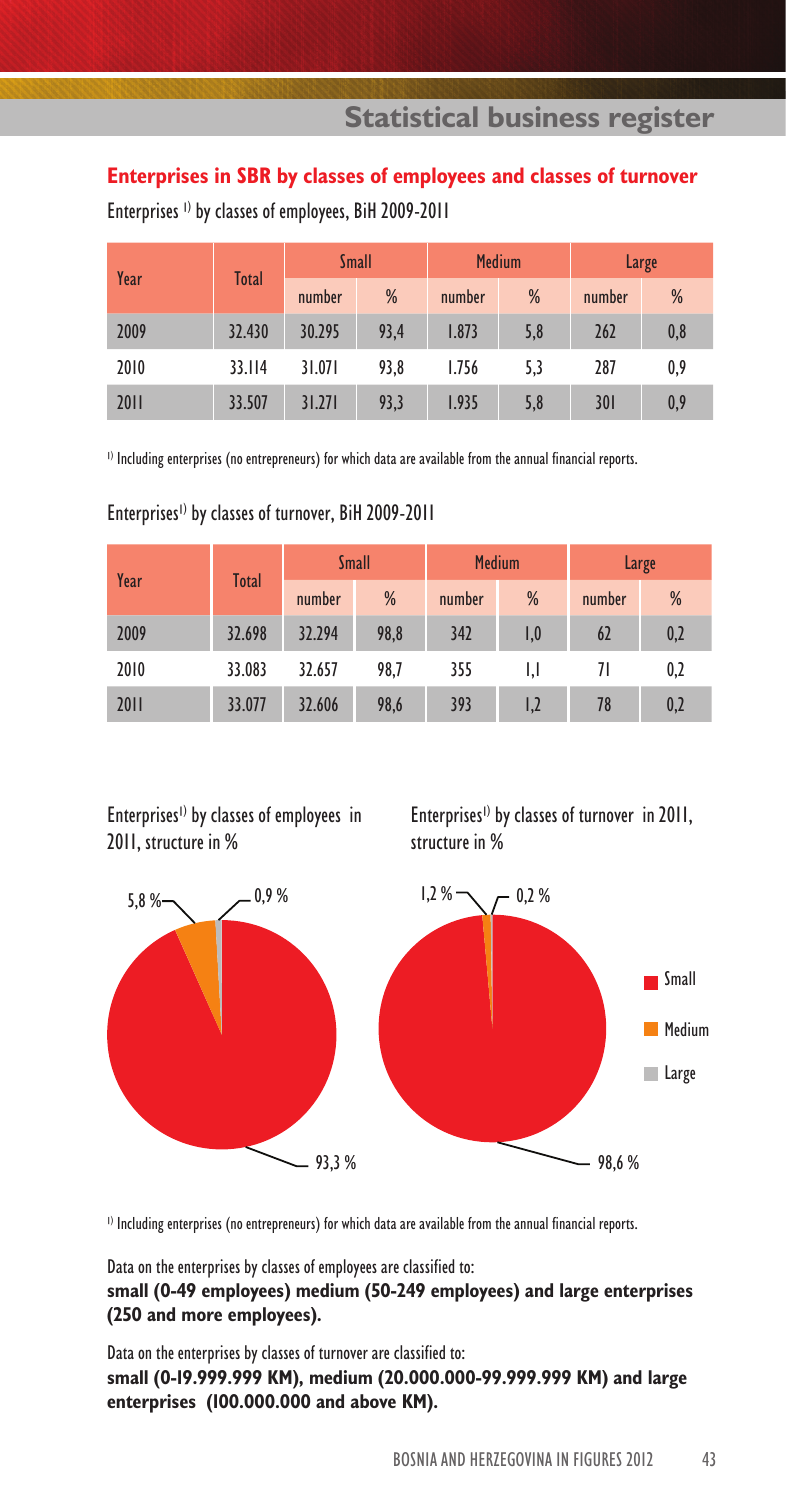**Statistical business register**

#### **Enterprises in SBR by classes of employees and classes of turnover**

| Year | Total  | <b>Small</b> |      | <b>Medium</b> |     |        | Large |
|------|--------|--------------|------|---------------|-----|--------|-------|
|      |        | number       | %    | number        | %   | number | %     |
| 2009 | 32.430 | 30.295       | 93,4 | 1.873         | 5,8 | 262    | 0,8   |
| 2010 | 33.114 | 31.071       | 93,8 | 1.756         | 5.3 | 287    | 0,9   |
| 2011 | 33.507 | 31.271       | 93,3 | 1.935         | 5,8 | 301    | 0,9   |

Enterprises 1) by classes of employees, BiH 2009-2011

l ) Including enterprises (no entrepreneurs) for which data are available from the annual financial reports.

| Year | Total  |        | <b>Small</b> | <b>Medium</b> |     |        | Large |
|------|--------|--------|--------------|---------------|-----|--------|-------|
|      |        | number | %            | number        | %   | number | %     |
| 2009 | 32.698 | 32.294 | 98,8         | 342           | 1,0 | 62     | 0,2   |
| 2010 | 33.083 | 32.657 | 98,7         | 355           | IJ  | 71     | 0,2   |
| 2011 | 33.077 | 32.606 | 98,6         | 393           | 1,2 | 78     | 0,2   |

Enterprises<sup>1)</sup> by classes of turnover, BiH 2009-2011

Enterprises<sup>1)</sup> by classes of employees in 2011, structure in %

Enterprises<sup>1)</sup> by classes of turnover in 2011, structure in %



l ) Including enterprises (no entrepreneurs) for which data are available from the annual financial reports.

Data on the enterprises by classes of employees are classified to:

#### **small (0-49 employees) medium (50-249 employees) and large enterprises (250 and more employees).**

Data on the enterprises by classes of turnover are classified to: **small (0-19.999.999 KM), medium (20.000.000-99.999.999 KM) and large enterprises (100.000.000 and above KM).**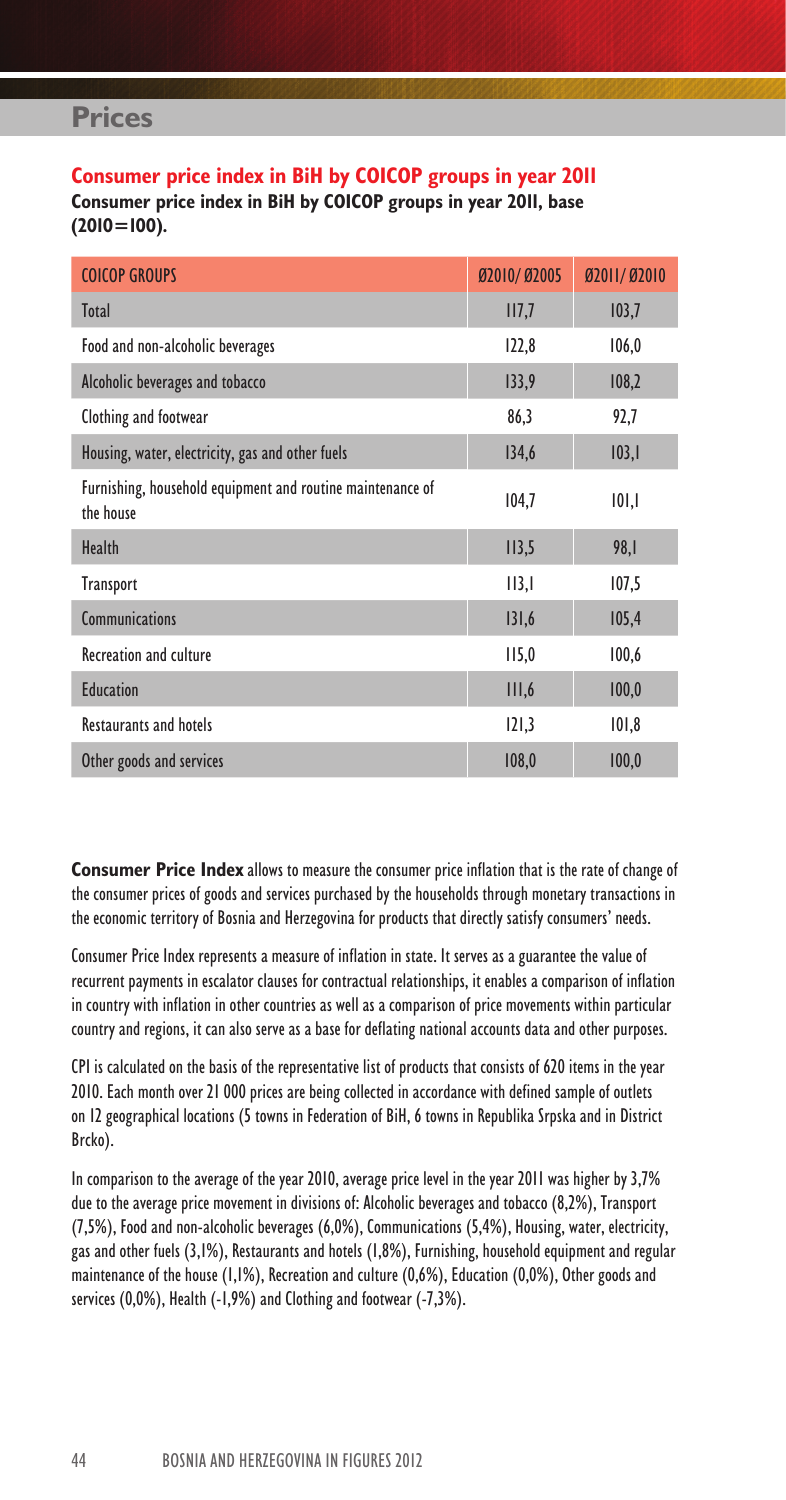#### **Consumer price index in BiH by COICOP groups in year 2011 Consumer price index in BiH by COICOP groups in year 2011, base (2010=100).**

| <b>COICOP GROUPS</b>                                                    | Ø2010/Ø2005      | Ø2011/Ø2010 |
|-------------------------------------------------------------------------|------------------|-------------|
| <b>Total</b>                                                            | III <sub>1</sub> | 103,7       |
| Food and non-alcoholic beverages                                        | 122,8            | 106,0       |
| Alcoholic beverages and tobacco                                         | 133,9            | 108,2       |
| Clothing and footwear                                                   | 86,3             | 92,7        |
| Housing, water, electricity, gas and other fuels                        | 134,6            | 103,1       |
| Furnishing, household equipment and routine maintenance of<br>the house | 104,7            | 101,1       |
| Health                                                                  | II3,5            | 98,I        |
| <b>Transport</b>                                                        | II3,I            | 107,5       |
| <b>Communications</b>                                                   | 131,6            | 105,4       |
| <b>Recreation and culture</b>                                           | II5,0            | 100,6       |
| <b>Education</b>                                                        | III,6            | 100,0       |
| <b>Restaurants and hotels</b>                                           | 121,3            | 101,8       |
| Other goods and services                                                | 108,0            | 100,0       |

**Consumer Price Index** allows to measure the consumer price inflation that is the rate of change of the consumer prices of goods and services purchased by the households through monetary transactions in the economic territory of Bosnia and Herzegovina for products that directly satisfy consumers' needs.

Consumer Price Index represents a measure of inflation in state. It serves as a guarantee the value of recurrent payments in escalator clauses for contractual relationships, it enables a comparison of inflation in country with inflation in other countries as well as a comparison of price movements within particular country and regions, it can also serve as a base for deflating national accounts data and other purposes.

CPI is calculated on the basis of the representative list of products that consists of 620 items in the year 2010. Each month over 21 000 prices are being collected in accordance with defined sample of outlets on 12 geographical locations (5 towns in Federation of BiH, 6 towns in Republika Srpska and in District Brcko).

In comparison to the average of the year 2010, average price level in the year 2011 was higher by 3,7% due to the average price movement in divisions of: Alcoholic beverages and tobacco (8,2%), Transport (7,5%), Food and non-alcoholic beverages (6,0%), Communications (5,4%), Housing, water, electricity, gas and other fuels (3,1%), Restaurants and hotels (1,8%), Furnishing, household equipment and regular maintenance of the house (1,1%), Recreation and culture (0,6%), Education (0,0%), Other goods and services (0,0%), Health (-1,9%) and Clothing and footwear (-7,3%).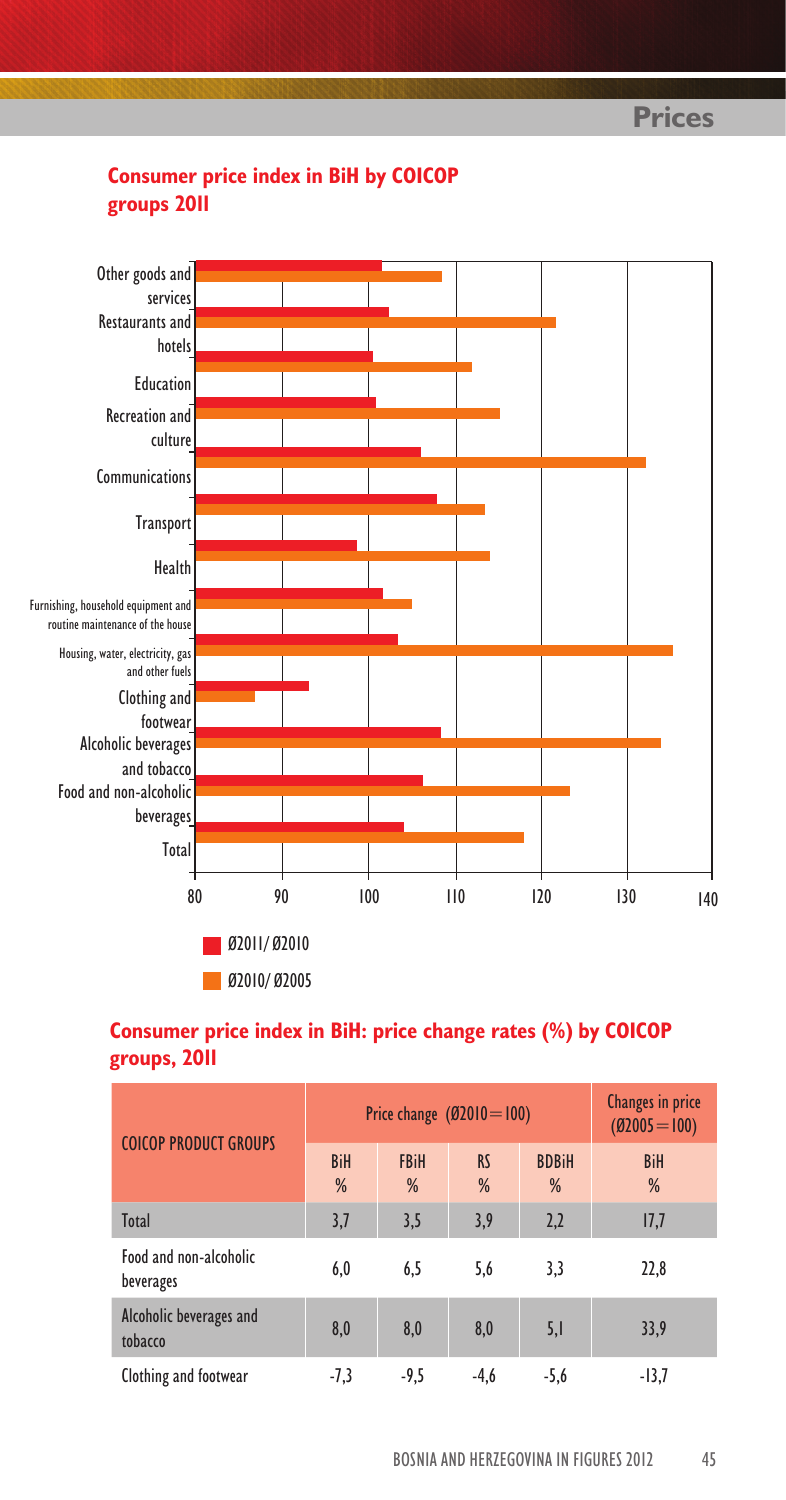

## **Consumer price index in BiH by COICOP groups 2011**

### **Consumer price index in BiH: price change rates (%) by COICOP groups, 2011**

| <b>COICOP PRODUCT GROUPS</b>        | Price change $(02010=100)$ | Changes in price<br>$(02005=100)$ |                |                   |                 |
|-------------------------------------|----------------------------|-----------------------------------|----------------|-------------------|-----------------|
|                                     | <b>BiH</b><br>%            | <b>FBiH</b><br>%                  | <b>RS</b><br>% | <b>BDBiH</b><br>% | <b>BiH</b><br>% |
| Total                               | 3,7                        | 3,5                               | 3,9            | 2,2               | 17,7            |
| Food and non-alcoholic<br>beverages | 6,0                        | 6.5                               | 5,6            | 3,3               | 22,8            |
| Alcoholic beverages and<br>tobacco  | 8.0                        | 8.0                               | 8,0            | 5,1               | 33,9            |
| Clothing and footwear               | $-7,3$                     | -9,5                              | $-4,6$         | $-5,6$            | $-13,7$         |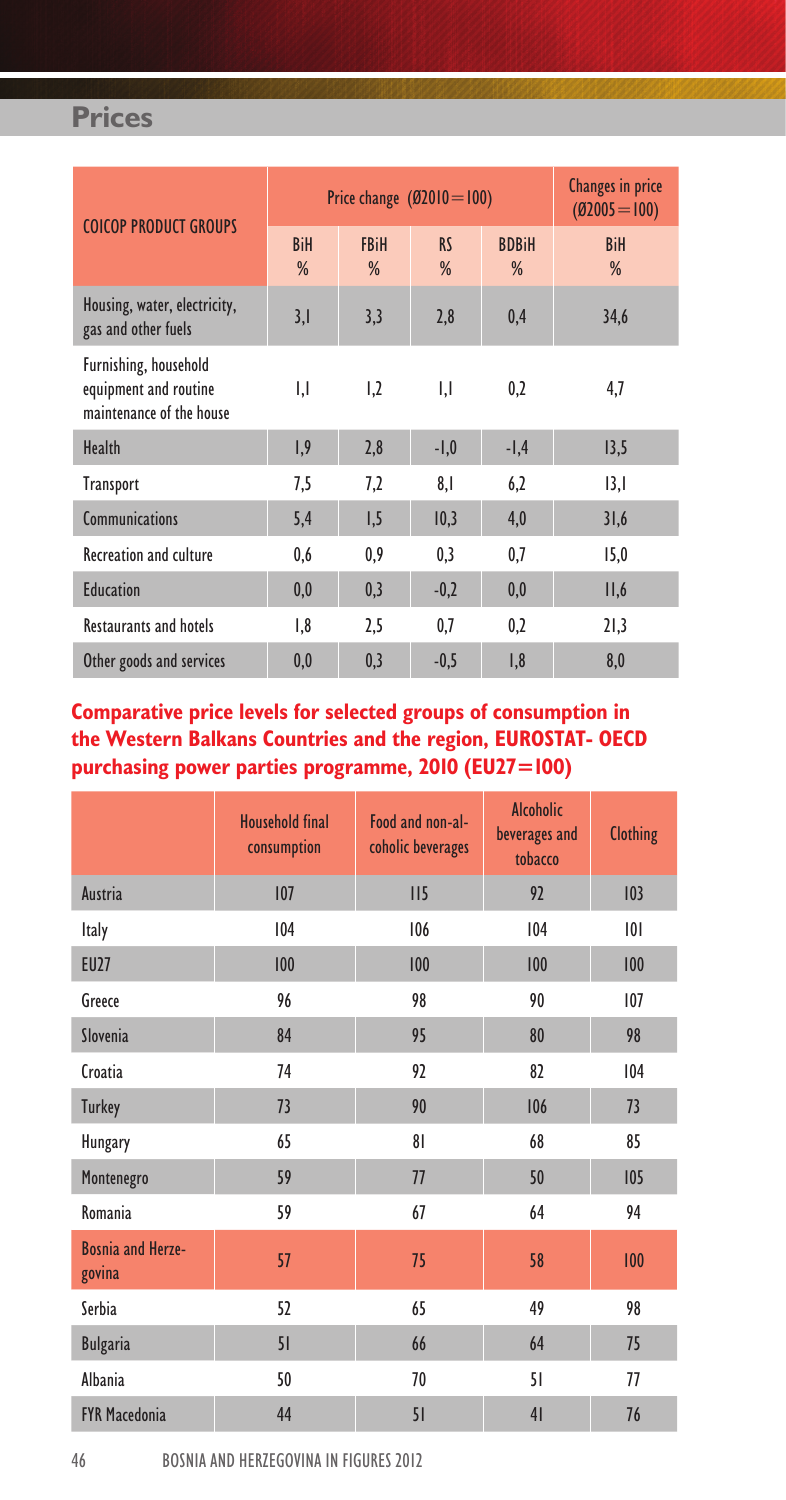| <b>COICOP PRODUCT GROUPS</b>                                               | Price change $(02010=100)$ | Changes in price<br>$(02005=100)$ |                |                   |                 |
|----------------------------------------------------------------------------|----------------------------|-----------------------------------|----------------|-------------------|-----------------|
|                                                                            | <b>BiH</b><br>%            | <b>FBiH</b><br>%                  | <b>RS</b><br>% | <b>BDBiH</b><br>% | <b>BiH</b><br>% |
| Housing, water, electricity,<br>gas and other fuels                        | 3,1                        | 3,3                               | 2,8            | 0,4               | 34,6            |
| Furnishing, household<br>equipment and routine<br>maintenance of the house | IJ                         | 1,2                               | IJ             | 0,2               | 4,7             |
| <b>Health</b>                                                              | 1,9                        | 2,8                               | $-1,0$         | $-1,4$            | 13,5            |
| Transport                                                                  | 7,5                        | 7,2                               | 8,1            | 6,2               | 3,              |
| <b>Communications</b>                                                      | 5,4                        | 1,5                               | 10,3           | 4,0               | 31,6            |
| <b>Recreation and culture</b>                                              | 0,6                        | 0,9                               | 0,3            | 0,7               | 15,0            |
| <b>Education</b>                                                           | 0,0                        | 0,3                               | $-0,2$         | 0,0               | II, 6           |
| <b>Restaurants and hotels</b>                                              | 1,8                        | 2,5                               | 0,7            | 0,2               | 21,3            |
| Other goods and services                                                   | 0,0                        | 0.3                               | $-0.5$         | 1,8               | 8,0             |

### **Comparative price levels for selected groups of consumption in the Western Balkans Countries and the region, EUROSTAT- OECD purchasing power parties programme, 2010 (EU27=100)**

|                                    | <b>Household final</b><br>consumption | Food and non-al-<br>coholic beverages | <b>Alcoholic</b><br>beverages and<br>tobacco | Clothing |
|------------------------------------|---------------------------------------|---------------------------------------|----------------------------------------------|----------|
| Austria                            | 107                                   | II <sub>5</sub>                       | 92                                           | 103      |
| Italy                              | 104                                   | 106                                   | 104                                          | 0        |
| <b>EU27</b>                        | 100                                   | 100                                   | 100                                          | 100      |
| Greece                             | 96                                    | 98                                    | 90                                           | 107      |
| Slovenia                           | 84                                    | 95                                    | 80                                           | 98       |
| Croatia                            | 74                                    | 92                                    | 82                                           | 104      |
| <b>Turkey</b>                      | 73                                    | 90                                    | 106                                          | 73       |
| Hungary                            | 65                                    | 81                                    | 68                                           | 85       |
| Montenegro                         | 59                                    | 77                                    | 50                                           | 105      |
| Romania                            | 59                                    | 67                                    | 64                                           | 94       |
| <b>Bosnia and Herze-</b><br>govina | 57                                    | 75                                    | 58                                           | 100      |
| Serbia                             | 52                                    | 65                                    | 49                                           | 98       |
| <b>Bulgaria</b>                    | 51                                    | 66                                    | 64                                           | 75       |
| Albania                            | 50                                    | 70                                    | 51                                           | 77       |
| <b>FYR Macedonia</b>               | 44                                    | 51                                    | 41                                           | 76       |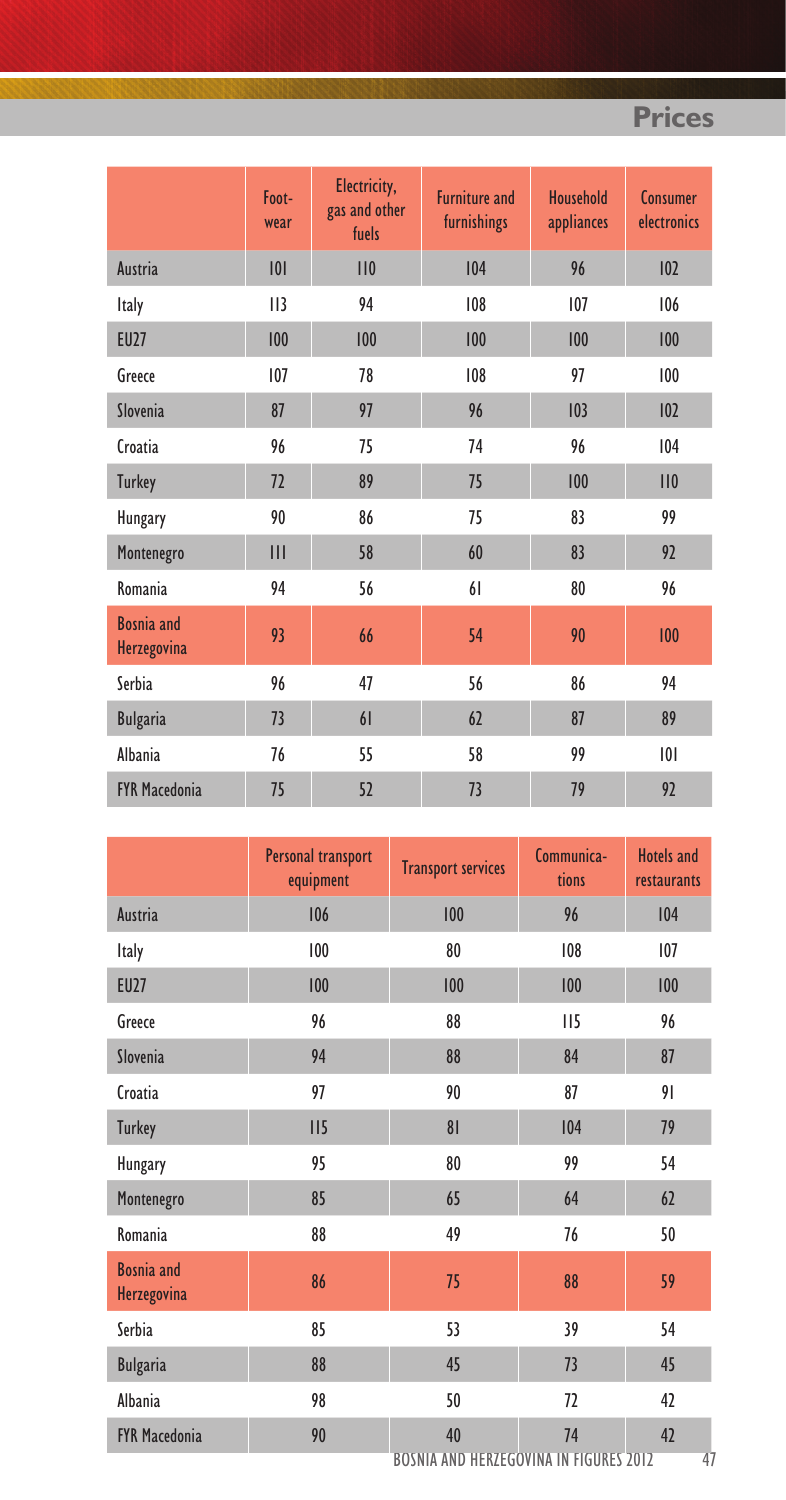|                                         | Foot-<br>wear | Electricity,<br>gas and other<br>fuels | <b>Furniture and</b><br>furnishings | Household<br>appliances | Consumer<br>electronics |
|-----------------------------------------|---------------|----------------------------------------|-------------------------------------|-------------------------|-------------------------|
| Austria                                 | 101           | 110                                    | 104                                 | 96                      | 102                     |
| Italy                                   |               | 94                                     | 108                                 | 107                     | 106                     |
| <b>EU27</b>                             | 100           | 100                                    | 100                                 | 100                     | 100                     |
| Greece                                  | 107           | 78                                     | 108                                 | 97                      | 100                     |
| Slovenia                                | 87            | 97                                     | 96                                  | 103                     | 102                     |
| Croatia                                 | 96            | 75                                     | 74                                  | 96                      | 104                     |
| <b>Turkey</b>                           | 72            | 89                                     | 75                                  | 100                     | 110                     |
| Hungary                                 | 90            | 86                                     | 75                                  | 83                      | 99                      |
| Montenegro                              | III           | 58                                     | 60                                  | 83                      | 92                      |
| Romania                                 | 94            | 56                                     | 61                                  | 80                      | 96                      |
| <b>Bosnia</b> and<br><b>Herzegovina</b> | 93            | 66                                     | 54                                  | 90                      | 100                     |
| Serbia                                  | 96            | 47                                     | 56                                  | 86                      | 94                      |
| <b>Bulgaria</b>                         | 73            | 61                                     | 62                                  | 87                      | 89                      |
| Albania                                 | 76            | 55                                     | 58                                  | 99                      | 101                     |
| <b>FYR Macedonia</b>                    | 75            | 52                                     | 73                                  | 79                      | 92                      |

|                                         | Personal transport<br>equipment | <b>Transport services</b>                           | Communica-<br>tions | <b>Hotels and</b><br>restaurants |
|-----------------------------------------|---------------------------------|-----------------------------------------------------|---------------------|----------------------------------|
| Austria                                 | 106                             | 100                                                 | 96                  | 104                              |
| <b>Italy</b>                            | 100                             | 80                                                  | 108                 | 107                              |
| <b>EU27</b>                             | 100                             | 100                                                 | 100                 | 100                              |
| Greece                                  | 96                              | 88                                                  | II5                 | 96                               |
| Slovenia                                | 94                              | 88                                                  | 84                  | 87                               |
| Croatia                                 | 97                              | 90                                                  | 87                  | 91                               |
| <b>Turkey</b>                           | II5                             | 8 <sup>1</sup>                                      | 104                 | 79                               |
| Hungary                                 | 95                              | 80                                                  | 99                  | 54                               |
| Montenegro                              | 85                              | 65                                                  | 64                  | 62                               |
| Romania                                 | 88                              | 49                                                  | 76                  | 50                               |
| <b>Bosnia</b> and<br><b>Herzegovina</b> | 86                              | 75                                                  | 88                  | 59                               |
| Serbia                                  | 85                              | 53                                                  | 39                  | 54                               |
| <b>Bulgaria</b>                         | 88                              | 45                                                  | 73                  | 45                               |
| Albania                                 | 98                              | 50                                                  | 72                  | 42                               |
| <b>FYR Macedonia</b>                    | 90                              | 40<br><b>BOSNIA AND HERZEGOVINA IN FIGURES 2012</b> | 74                  | 42<br>47                         |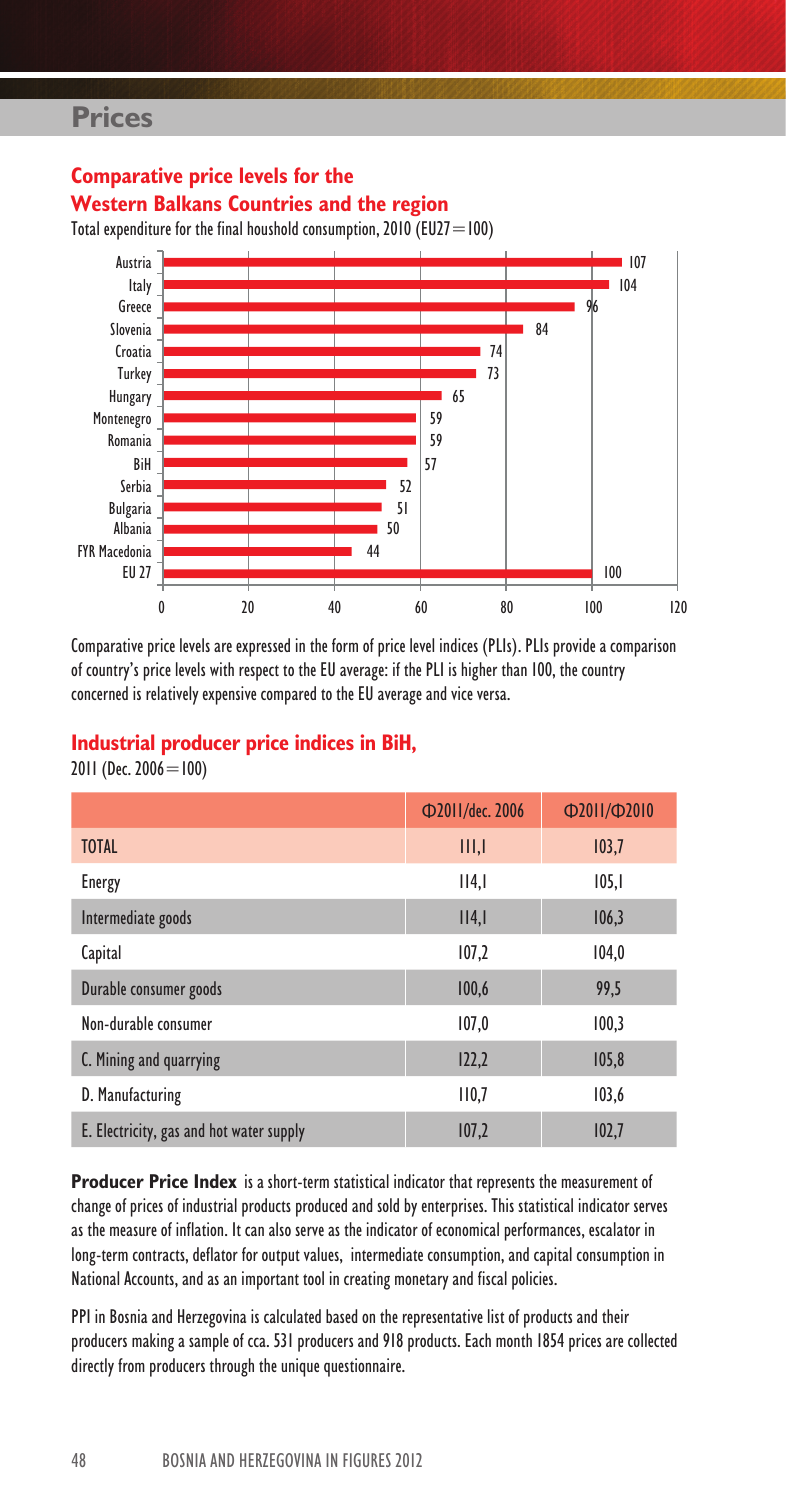**Comparative price levels for the**



Comparative price levels are expressed in the form of price level indices (PLIs). PLIs provide a comparison of country's price levels with respect to the EU average: if the PLI is higher than 100, the country

#### **Industrial producer price indices in BiH,**

concerned is relatively expensive compared to the EU average and vice versa.

2011 (Dec. 2006 = 100)

|                                          | Ф2011/dec. 2006 | D2011/D2010 |
|------------------------------------------|-----------------|-------------|
| <b>TOTAL</b>                             | III, I          | 103,7       |
| Energy                                   | II4, I          | 105,1       |
| Intermediate goods                       | II4, I          | 106,3       |
| Capital                                  | 107,2           | 104,0       |
| Durable consumer goods                   | 100,6           | 99.5        |
| Non-durable consumer                     | 107,0           | 100,3       |
| C. Mining and quarrying                  | 122,2           | 105,8       |
| D. Manufacturing                         | 110,7           | 103,6       |
| E. Electricity, gas and hot water supply | 107,2           | 102,7       |

**Producer Price Index** is a short-term statistical indicator that represents the measurement of change of prices of industrial products produced and sold by enterprises. This statistical indicator serves as the measure of inflation. It can also serve as the indicator of economical performances, escalator in long-term contracts, deflator for output values, intermediate consumption, and capital consumption in National Accounts, and as an important tool in creating monetary and fiscal policies.

PPI in Bosnia and Herzegovina is calculated based on the representative list of products and their producers making a sample of cca. 531 producers and 918 products. Each month 1854 prices are collected directly from producers through the unique questionnaire.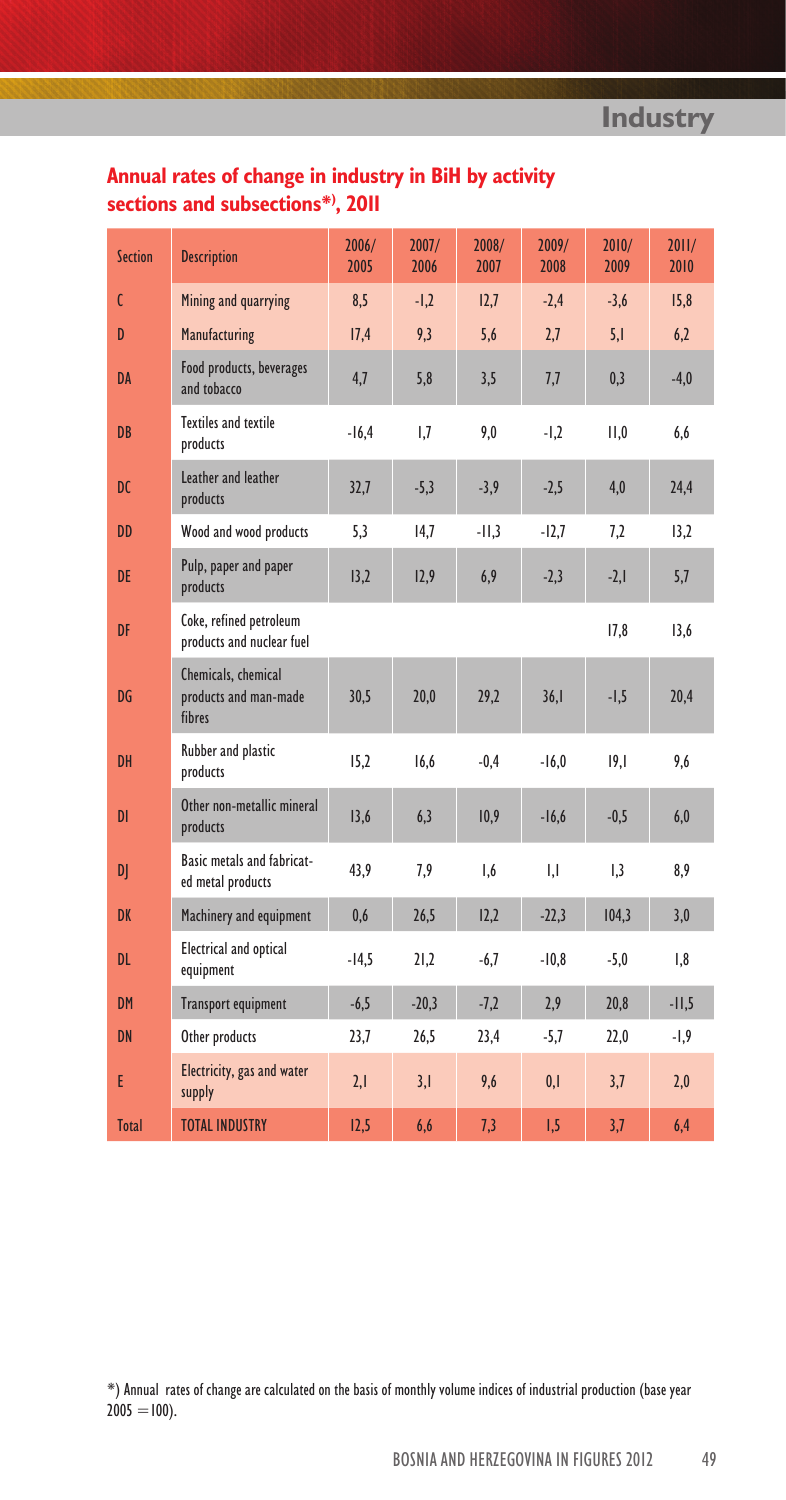## **Annual rates of change in industry in BiH by activity sections and subsections\*) , 2011**

| <b>Section</b> | <b>Description</b>                                     | 2006/<br>2005 | 2007/<br>2006 | 2008/<br>2007 | 2009/<br>2008 | 2010/<br>2009 | 2011/<br>2010 |
|----------------|--------------------------------------------------------|---------------|---------------|---------------|---------------|---------------|---------------|
| C              | Mining and quarrying                                   | 8,5           | $-1.2$        | 12,7          | $-2.4$        | $-3.6$        | 15.8          |
| D              | Manufacturing                                          | 17,4          | 9,3           | 5,6           | 2,7           | 5,1           | 6,2           |
| <b>DA</b>      | Food products, beverages<br>and tobacco                | 4,7           | 5,8           | 3,5           | 7,7           | 0,3           | $-4,0$        |
| DB             | Textiles and textile<br>products                       | $-16,4$       | 1,7           | 9,0           | $-1,2$        | 11,0          | 6,6           |
| <b>DC</b>      | Leather and leather<br>products                        | 32,7          | $-5,3$        | $-3,9$        | $-2,5$        | 4,0           | 24,4          |
| DD             | Wood and wood products                                 | 5.3           | 14.7          | $-11.3$       | $-12.7$       | 7.2           | 13.2          |
| <b>DE</b>      | Pulp, paper and paper<br>products                      | 13,2          | 12,9          | 6,9           | $-2,3$        | $-2,1$        | 5,7           |
| DF             | Coke, refined petroleum<br>products and nuclear fuel   |               |               |               |               | 17.8          | 13.6          |
| DG             | Chemicals, chemical<br>products and man-made<br>fibres | 30,5          | 20,0          | 29,2          | 36,1          | $-1,5$        | 20,4          |
| DH             | Rubber and plastic<br>products                         | 15,2          | 16.6          | $-0,4$        | $-16.0$       | 19.1          | 9.6           |
| DI             | Other non-metallic mineral<br>products                 | 13,6          | 6,3           | 10,9          | $-16,6$       | $-0,5$        | 6,0           |
| D              | Basic metals and fabricat-<br>ed metal products        | 43,9          | 7,9           | 1,6           | IJ            | 1,3           | 8,9           |
| <b>DK</b>      | Machinery and equipment                                | 0,6           | 26,5          | 12,2          | $-22,3$       | 104.3         | 3,0           |
| DL             | <b>Electrical and optical</b><br>equipment             | $-14,5$       | 21,2          | $-6,7$        | $-10,8$       | $-5,0$        | 1,8           |
| <b>DM</b>      | <b>Transport equipment</b>                             | $-6,5$        | $-20,3$       | $-7,2$        | 2,9           | 20,8          | $-11,5$       |
| <b>DN</b>      | Other products                                         | 23,7          | 26,5          | 23,4          | $-5,7$        | 22,0          | $-1,9$        |
| E              | Electricity, gas and water<br>supply                   | 2,1           | 3,1           | 9,6           | 0,1           | 3,7           | 2,0           |
| <b>Total</b>   | <b>TOTAL INDUSTRY</b>                                  | 12,5          | 6.6           | 7,3           | 1,5           | 3,7           | 6.4           |

\*) Annual rates of change are calculated on the basis of monthly volume indices of industrial production (base year  $2005 = 100$ ).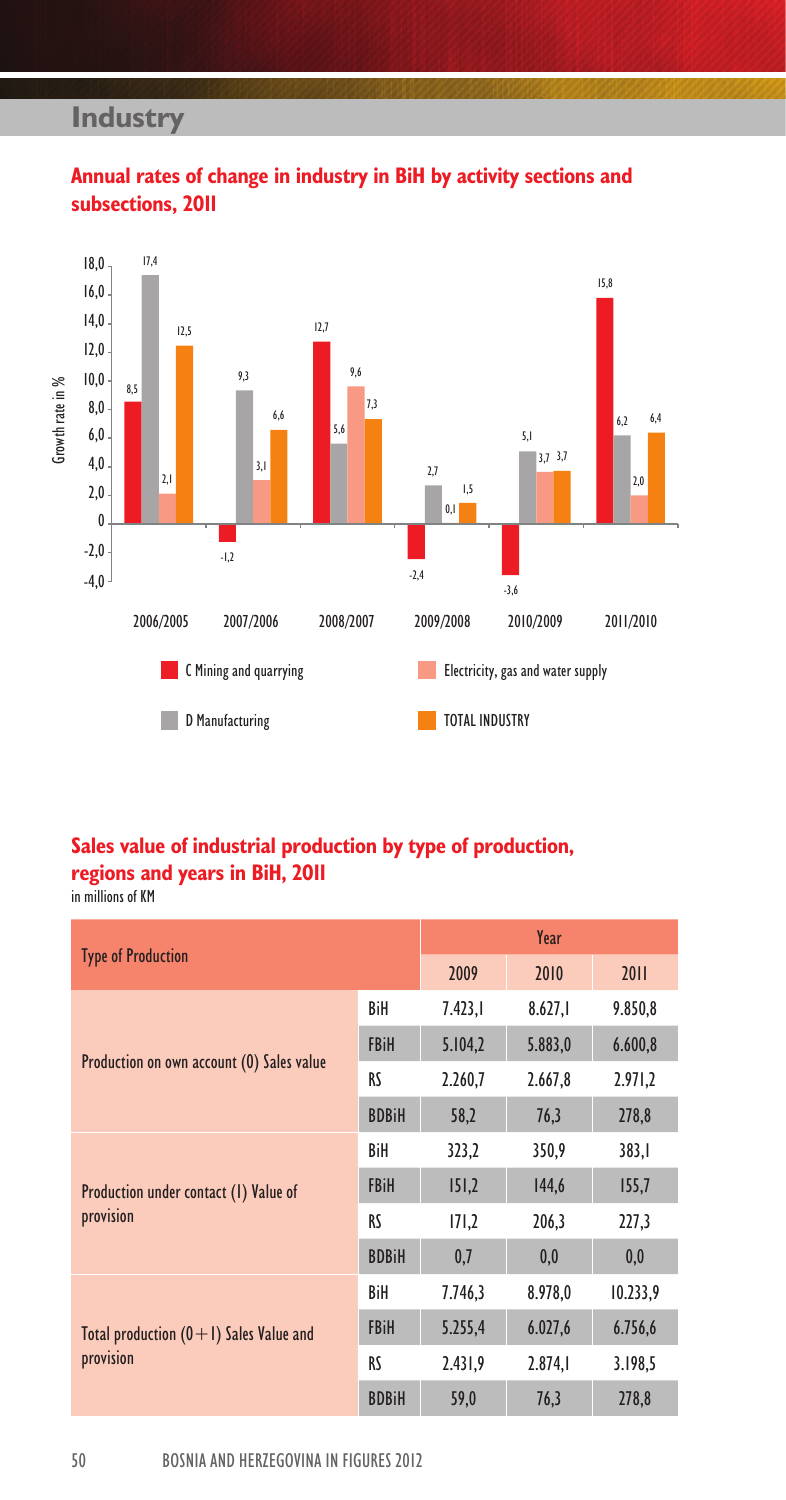## **Industry**



## **Annual rates of change in industry in BiH by activity sections and subsections, 2011**

#### **Sales value of industrial production by type of production, regions and years in BiH, 2011** in millions of KM

|                                           |              |         | Year    |          |  |  |
|-------------------------------------------|--------------|---------|---------|----------|--|--|
| <b>Type of Production</b>                 |              | 2009    | 2010    | 2011     |  |  |
|                                           | BiH          | 7.423.1 | 8.627,1 | 9.850,8  |  |  |
| Production on own account (0) Sales value | <b>FBiH</b>  | 5.104,2 | 5.883,0 | 6.600,8  |  |  |
|                                           | RS           | 2.260,7 | 2.667,8 | 2.971,2  |  |  |
|                                           | <b>BDBiH</b> | 58,2    | 76,3    | 278,8    |  |  |
|                                           | BiH          | 323,2   | 350,9   | 383,1    |  |  |
| Production under contact (1) Value of     | <b>FBiH</b>  | 151,2   | 144,6   | 155,7    |  |  |
| provision                                 | RS           | 171,2   | 206,3   | 227,3    |  |  |
|                                           | <b>BDBiH</b> | 0,7     | 0,0     | 0,0      |  |  |
|                                           | BiH          | 7.746,3 | 8.978,0 | 10.233,9 |  |  |
| Total production $(0+1)$ Sales Value and  | <b>FBiH</b>  | 5.255,4 | 6.027,6 | 6.756,6  |  |  |
| provision                                 | RS           | 2.431,9 | 2.874,  | 3.198,5  |  |  |
|                                           | <b>BDBiH</b> | 59,0    | 76,3    | 278,8    |  |  |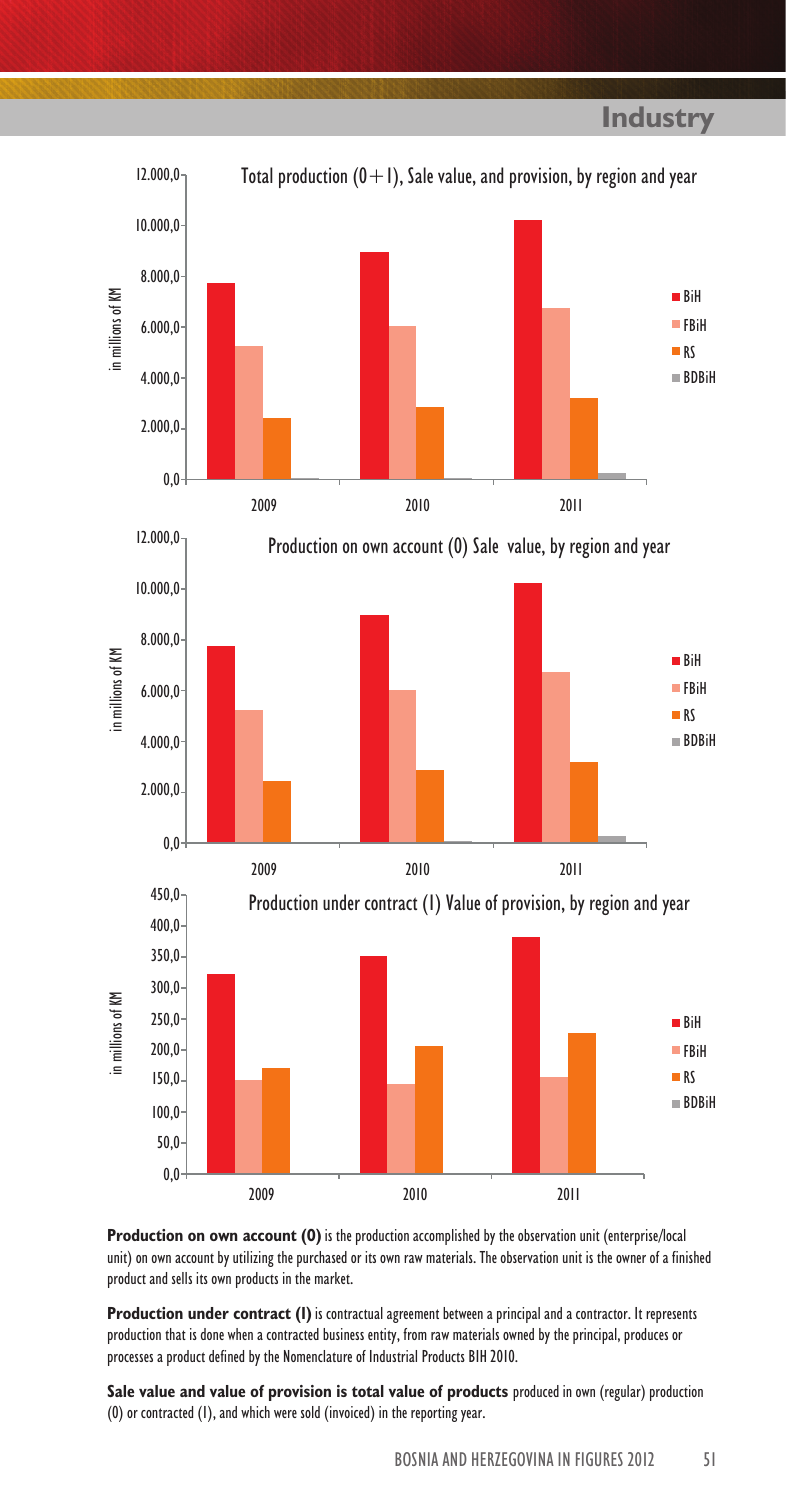

**Production on own account (0)** is the production accomplished by the observation unit (enterprise/local unit) on own account by utilizing the purchased or its own raw materials. The observation unit is the owner of a finished product and sells its own products in the market.

**Production under contract (I)** is contractual agreement between a principal and a contractor. It represents production that is done when a contracted business entity, from raw materials owned by the principal, produces or processes a product defined by the Nomenclature of Industrial Products BIH 2010.

**Sale value and value of provision is total value of products** produced in own (regular) production (0) or contracted (1), and which were sold (invoiced) in the reporting year.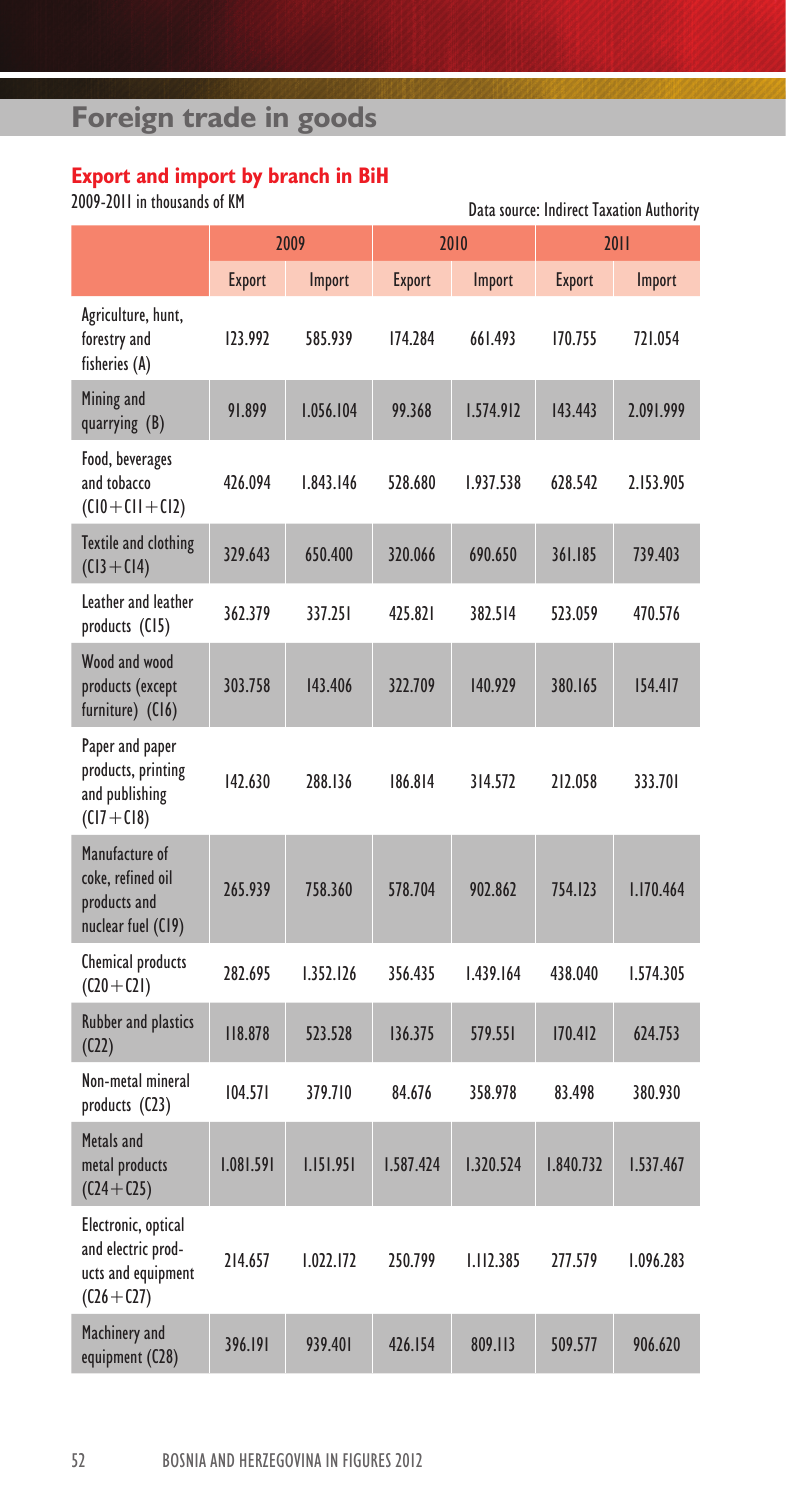# **Foreign trade in goods**

#### **Export and import by branch in BiH**

2009-2011 in thousands of KM

| VV7-LVII III UIVUSAIIUS VI NIT                                                   |               |           | Data source: Indirect Taxation Authority |                  |               |           |  |
|----------------------------------------------------------------------------------|---------------|-----------|------------------------------------------|------------------|---------------|-----------|--|
|                                                                                  |               | 2009      |                                          | 2010             |               | 2011      |  |
|                                                                                  | <b>Export</b> | Import    | <b>Export</b>                            | Import           | <b>Export</b> | Import    |  |
| Agriculture, hunt,<br>forestry and<br>fisheries (A)                              | 123.992       | 585.939   | 174.284                                  | 661.493          | 170.755       | 721.054   |  |
| Mining and<br>quarrying (B)                                                      | 91.899        | 1.056.104 | 99.368                                   | 1.574.912        | 143.443       | 2.091.999 |  |
| Food, beverages<br>and tobacco<br>$(Cl0+Cl1+Cl2)$                                | 426.094       | 1.843.146 | 528.680                                  | 1.937.538        | 628.542       | 2.153.905 |  |
| Textile and clothing<br>$(C13 + C14)$                                            | 329.643       | 650.400   | 320.066                                  | 690.650          | 361.185       | 739.403   |  |
| Leather and leather<br>products (CI5)                                            | 362.379       | 337.251   | 425.821                                  | 382.514          | 523.059       | 470.576   |  |
| Wood and wood<br>products (except<br>furniture) (C16)                            | 303.758       | 143.406   | 322.709                                  | 140.929          | 380.165       | 154.417   |  |
| Paper and paper<br>products, printing<br>and publishing<br>$(CI7+CI8)$           | 142.630       | 288.136   | 186.814                                  | 314.572          | 212.058       | 333.701   |  |
| Manufacture of<br>coke, refined oil<br>products and<br>nuclear fuel (C19)        | 265.939       | 758.360   | 578.704                                  | 902.862          | 754.123       | 1.170.464 |  |
| Chemical products<br>$(C20 + C21)$                                               | 282.695       | 1.352.126 | 356.435                                  | 1.439.164        | 438.040       | 1.574.305 |  |
| <b>Rubber and plastics</b><br>(C22)                                              | 118.878       | 523.528   | 136.375                                  | 579.551          | 170.412       | 624.753   |  |
| Non-metal mineral<br>products (C23)                                              | 104.571       | 379.710   | 84.676                                   | 358.978          | 83.498        | 380.930   |  |
| Metals and<br>metal products<br>$(C24 + C25)$                                    | 1.081.591     | 1.151.951 | 1.587.424                                | 1.320.524        | 1.840.732     | 1.537.467 |  |
| Electronic, optical<br>and electric prod-<br>ucts and equipment<br>$(C26 + C27)$ | 214.657       | 1.022.172 | 250.799                                  | <b>I.II2.385</b> | 277.579       | 1.096.283 |  |
| Machinery and<br>equipment (C28)                                                 | 396.191       | 939.401   | 426.154                                  | 809.113          | 509.577       | 906.620   |  |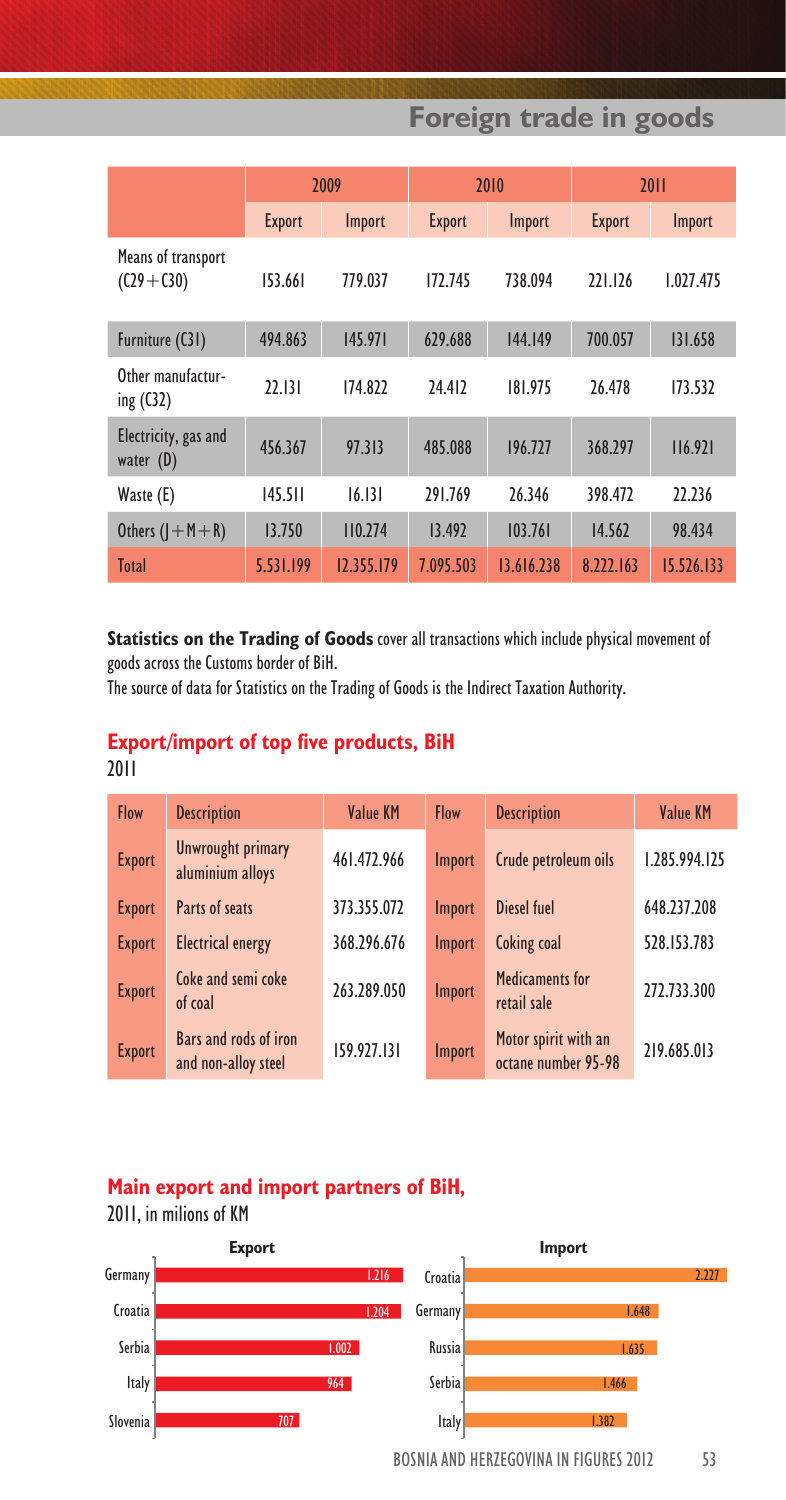**Foreign trade in goods**

|                                      | 2009          |            | 2010          |            | 2011          |            |
|--------------------------------------|---------------|------------|---------------|------------|---------------|------------|
|                                      | <b>Export</b> | Import     | <b>Export</b> | Import     | <b>Export</b> | Import     |
| Means of transport<br>$(C29 + C30)$  | 153.661       | 779.037    | 172.745       | 738.094    | 221.126       | 1.027.475  |
| Furniture (C31)                      | 494.863       | 145.971    | 629.688       | 144.149    | 700.057       | 131.658    |
| Other manufactur-<br>ing $($ C32 $)$ | 22.131        | 174.822    | 24.412        | 181.975    | 26.478        | 173.532    |
| Electricity, gas and<br>water $(D)$  | 456.367       | 97.313     | 485.088       | 196.727    | 368.297       | 116.921    |
| Waste (E)                            | 145.511       | 16.131     | 291.769       | 26.346     | 398.472       | 22.236     |
| Others $($   $+$ M $+$ R)            | 13.750        | 110.274    | 13.492        | 103.761    | 14.562        | 98.434     |
| <b>Total</b>                         | 5.531.199     | 12.355.179 | 7.095.503     | 13.616.238 | 8.222.163     | 15.526.133 |

**Statistics on the Trading of Goods** cover all transactions which include physical movement of goods across the Customs border of BiH.

The source of data for Statistics on the Trading of Goods is the Indirect Taxation Authority.

#### **Export/import of top five products, BiH** 2011

| <b>Flow</b>   | <b>Description</b>                           | <b>Value KM</b> | <b>Flow</b> | <b>Description</b>                          | <b>Value KM</b> |
|---------------|----------------------------------------------|-----------------|-------------|---------------------------------------------|-----------------|
| <b>Export</b> | Unwrought primary<br>aluminium alloys        | 461.472.966     | Import      | Crude petroleum oils                        | 1.285.994.125   |
| <b>Export</b> | Parts of seats                               | 373.355.072     | Import      | Diesel fuel                                 | 648.237.208     |
| <b>Export</b> | <b>Electrical energy</b>                     | 368.296.676     | Import      | Coking coal                                 | 528.153.783     |
| <b>Export</b> | Coke and semi coke<br>of coal                | 263.289.050     | Import      | Medicaments for<br>retail sale              | 272.733.300     |
| <b>Export</b> | Bars and rods of iron<br>and non-alloy steel | 159.927.131     | Import      | Motor spirit with an<br>octane number 95-98 | 219.685.013     |

### **Main export and import partners of BiH,**

BOSNIA AND HERZEGOVINA IN FIGURES 2012 53 **Export** 2011, in milions of KM **Import** 1.216 Croatia **Croatia 1.204 Germany 1.648** 1.635 1.466 1.382 1.002  $064$ 707 Croatia Germany Serbia **Russia** Russia Italy **Serbia** and the Serbia Slovenia **International Contract Contract Contract Contract Contract Contract Contract Contract Contract Contract Contract Contract Contract Contract Contract Contract Contract Contract Contract Contract Contract Contract**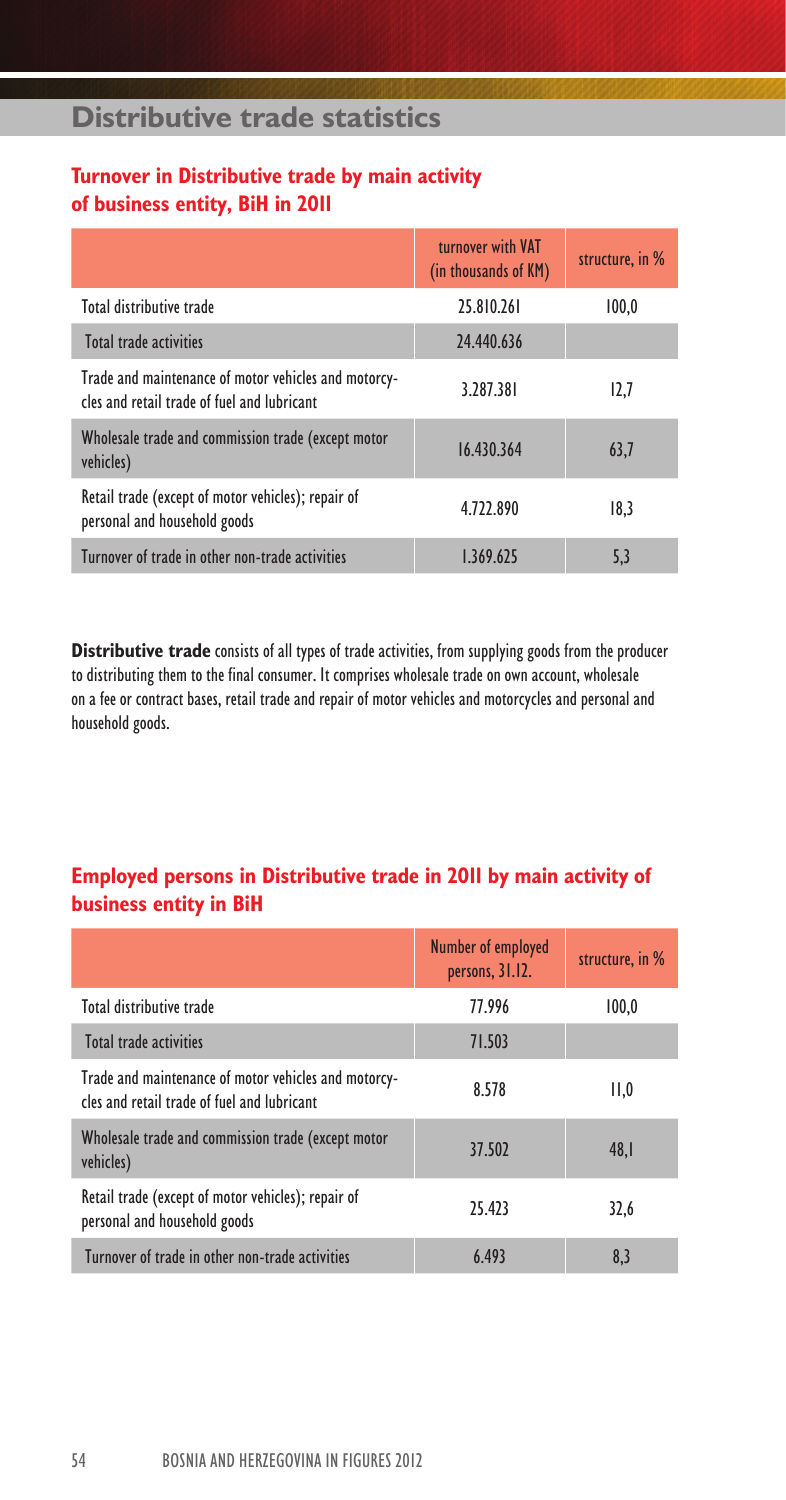## **Distributive trade statistics**

### **Turnover in Distributive trade by main activity of business entity, BiH in 2011**

|                                                                                                     | turnover with VAT<br>(in thousands of KM) | structure, in % |
|-----------------------------------------------------------------------------------------------------|-------------------------------------------|-----------------|
| Total distributive trade                                                                            | 25.810.261                                | 100.0           |
| Total trade activities                                                                              | 24.440.636                                |                 |
| Trade and maintenance of motor vehicles and motorcy-<br>cles and retail trade of fuel and lubricant | 3.287.381                                 | 12,7            |
| Wholesale trade and commission trade (except motor<br>vehicles)                                     | 16.430.364                                | 63,7            |
| Retail trade (except of motor vehicles); repair of<br>personal and household goods                  | 4.722.890                                 | 18,3            |
| Turnover of trade in other non-trade activities                                                     | 1.369.625                                 | 5,3             |

**Distributive trade** consists of all types of trade activities, from supplying goods from the producer to distributing them to the final consumer. It comprises wholesale trade on own account, wholesale on a fee or contract bases, retail trade and repair of motor vehicles and motorcycles and personal and household goods.

### **Employed persons in Distributive trade in 2011 by main activity of business entity in BiH**

|                                                                                                     | <b>Number of employed</b><br>persons, 31.12. | structure, in % |
|-----------------------------------------------------------------------------------------------------|----------------------------------------------|-----------------|
| Total distributive trade                                                                            | 77.996                                       | 100.0           |
| Total trade activities                                                                              | 71.503                                       |                 |
| Trade and maintenance of motor vehicles and motorcy-<br>cles and retail trade of fuel and lubricant | 8.578                                        | II,0            |
| Wholesale trade and commission trade (except motor<br>vehicles)                                     | 37.502                                       | 48.1            |
| Retail trade (except of motor vehicles); repair of<br>personal and household goods                  | 25.423                                       | 32,6            |
| Turnover of trade in other non-trade activities                                                     | 6.493                                        | 8,3             |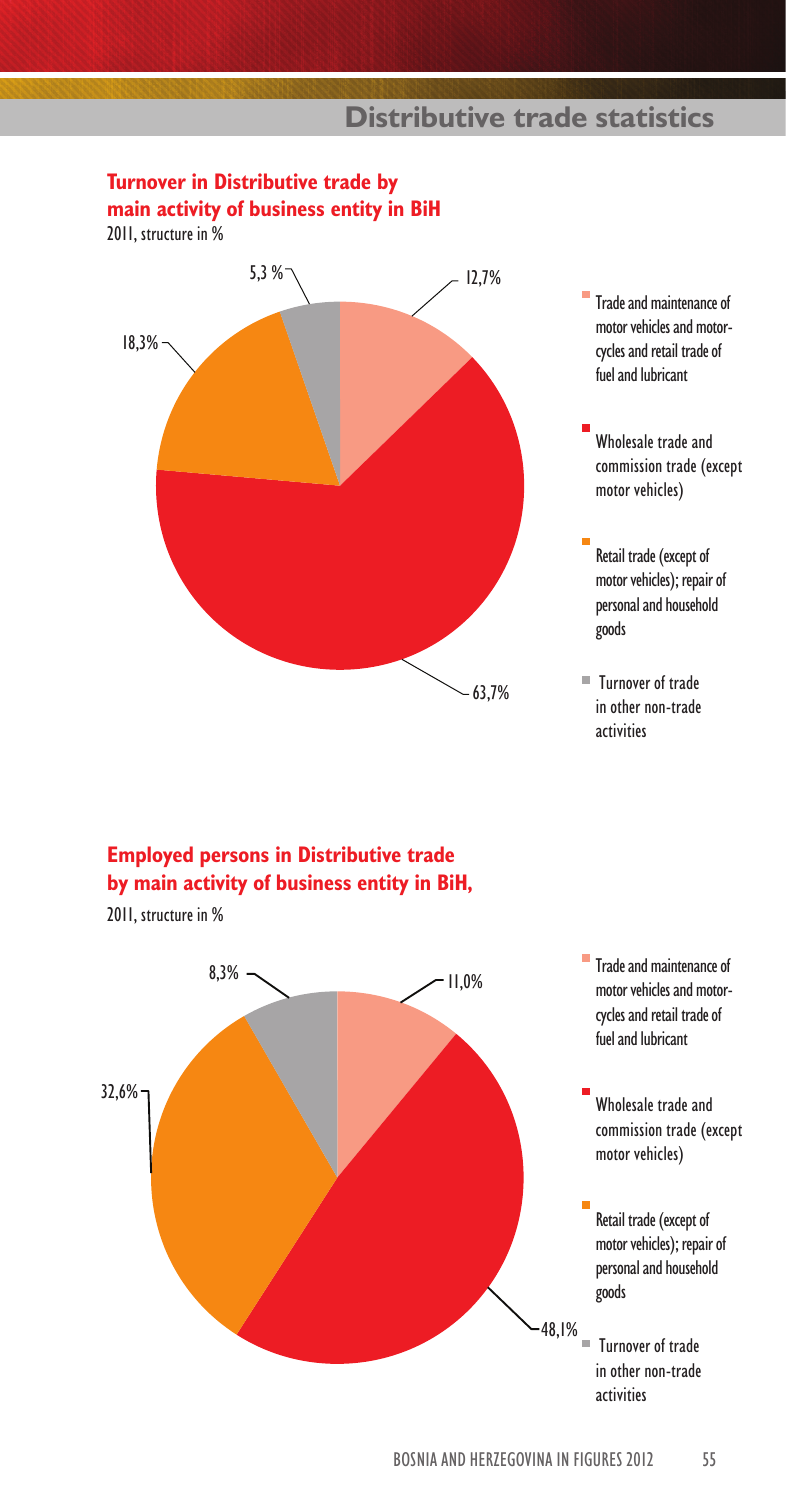## **Distributive trade statistics**

# **Turnover in Distributive trade by**

**main activity of business entity in BiH**

2011, structure in %



- Trade and maintenance of motor vehicles and motorcycles and retail trade of fuel and lubricant
- Wholesale trade and commission trade (except motor vehicles)
- Retail trade (except of motor vehicles); repair of personal and household goods
- Turnover of trade in other non-trade activities

### **Employed persons in Distributive trade by main activity of business entity in BiH,**

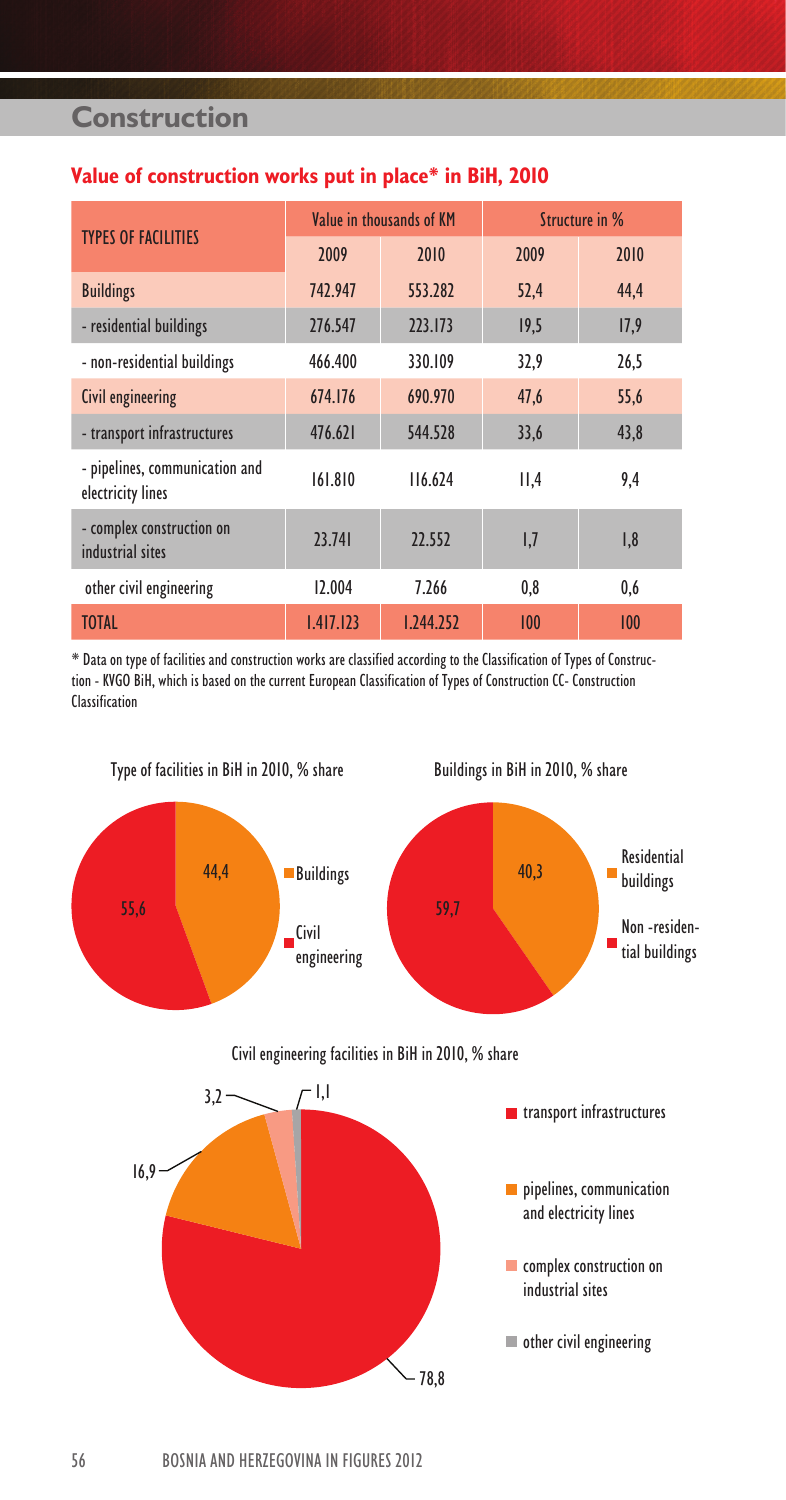## **Construction**

#### **Value of construction works put in place\* in BiH, 2010**

|                                                     |           | Value in thousands of KM | Structure in % |      |  |
|-----------------------------------------------------|-----------|--------------------------|----------------|------|--|
| <b>TYPES OF FACILITIES</b>                          | 2009      | 2010                     | 2009           | 2010 |  |
| <b>Buildings</b>                                    | 742.947   | 553.282                  | 52,4           | 44.4 |  |
| - residential buildings                             | 276.547   | 223.173                  | 19,5           | 17,9 |  |
| - non-residential buildings                         | 466.400   | 330.109                  | 32,9           | 26,5 |  |
| Civil engineering                                   | 674.176   | 690.970                  | 47.6           | 55,6 |  |
| - transport infrastructures                         | 476.621   | 544.528                  | 33,6           | 43,8 |  |
| - pipelines, communication and<br>electricity lines | 161.810   | 116.624                  | II,4           | 9,4  |  |
| - complex construction on<br>industrial sites       | 23.741    | 22.552                   | 1,7            | 1,8  |  |
| other civil engineering                             | 12.004    | 7.266                    | 0.8            | 0,6  |  |
| <b>TOTAL</b>                                        | 1.417.123 | 1.244.252                | 100            | 100  |  |

\* Data on type of facilities and construction works are classified according to the Classification of Types of Construction - KVGO BiH, which is based on the current European Classification of Types of Construction CC- Construction Classification

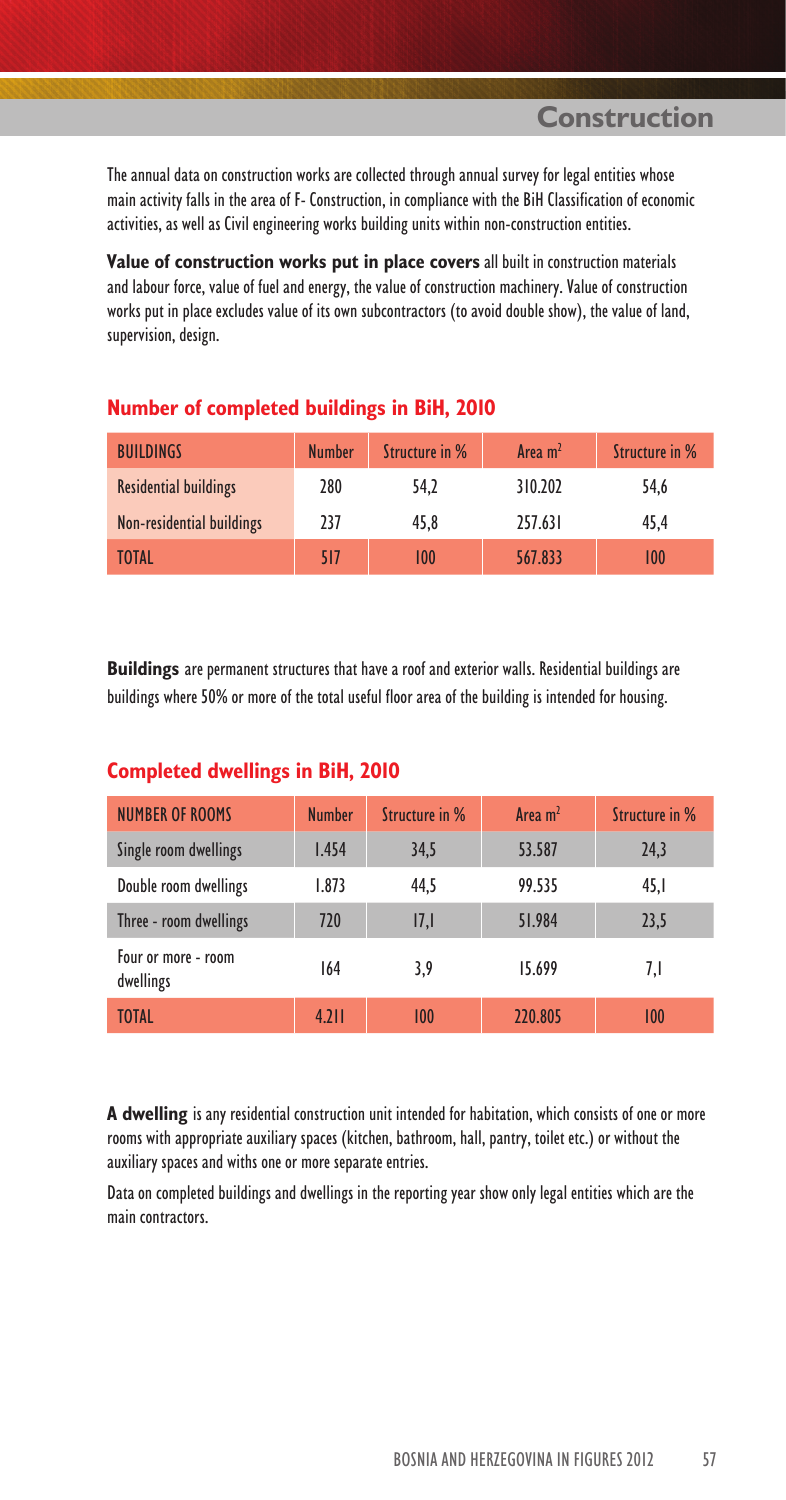**Construction**

The annual data on construction works are collected through annual survey for legal entities whose main activity falls in the area of F- Construction, in compliance with the BiH Classification of economic activities, as well as Civil engineering works building units within non-construction entities.

**Value of construction works put in place covers** all built in construction materials and labour force, value of fuel and energy, the value of construction machinery. Value of construction works put in place excludes value of its own subcontractors (to avoid double show), the value of land, supervision, design.

| <b>BUILDINGS</b>             | <b>Number</b> | Structure in % | Area $m2$ | Structure in % |
|------------------------------|---------------|----------------|-----------|----------------|
| <b>Residential buildings</b> | 280           | 54.2           | 310.202   | 54.6           |
| Non-residential buildings    | 237           | 45.8           | 257.631   | 45.4           |
| <b>TOTAL</b>                 | 517           | 100            | 567.833   | 100            |

#### **Number of completed buildings in BiH, 2010**

**Buildings** are permanent structures that have a roof and exterior walls. Residential buildings are buildings where 50% or more of the total useful floor area of the building is intended for housing.

| <b>NUMBER OF ROOMS</b>           | <b>Number</b> | Structure in % | Area m <sup>2</sup> | Structure in % |
|----------------------------------|---------------|----------------|---------------------|----------------|
| Single room dwellings            | 1.454         | 34,5           | 53.587              | 24,3           |
| Double room dwellings            | 1.873         | 44.5           | 99.535              | 45,1           |
| Three - room dwellings           | 720           | 17,1           | 51.984              | 23,5           |
| Four or more - room<br>dwellings | 164           | 3,9            | 15.699              | 7,I            |
| <b>TOTAL</b>                     | 4.211         | 100            | 220.805             | 100            |

#### **Completed dwellings in BiH, 2010**

**A dwelling** is any residential construction unit intended for habitation, which consists of one or more rooms with appropriate auxiliary spaces (kitchen, bathroom, hall, pantry, toilet etc.) or without the auxiliary spaces and withs one or more separate entries.

Data on completed buildings and dwellings in the reporting year show only legal entities which are the main contractors.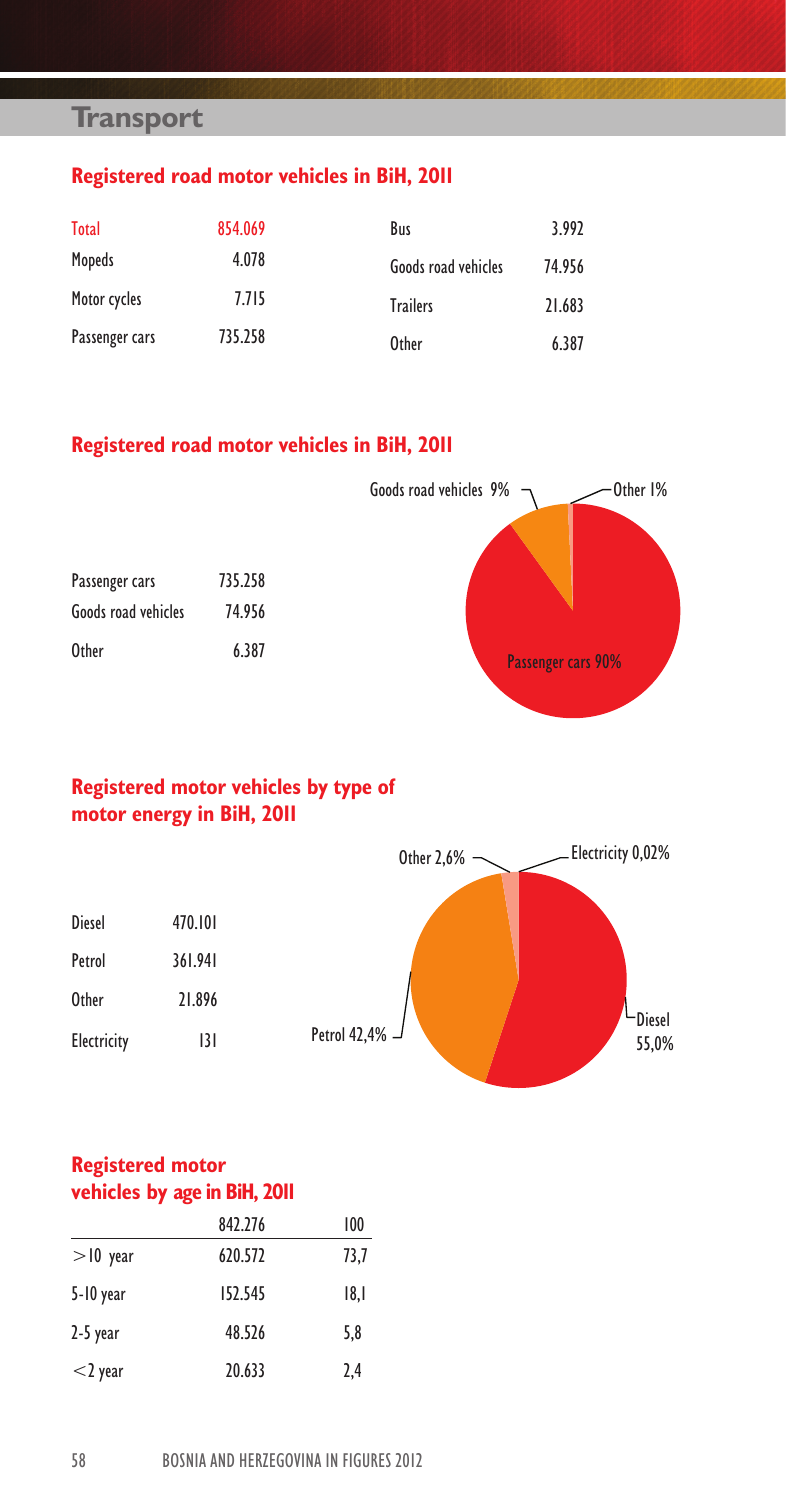## **Transport**

## **Registered road motor vehicles in BiH, 2011**

| <b>Total</b>   | 854.069 | Bus                 | 3.992  |
|----------------|---------|---------------------|--------|
| Mopeds         | 4.078   | Goods road vehicles | 74.956 |
| Motor cycles   | 7.715   | <b>Trailers</b>     | 21.683 |
| Passenger cars | 735.258 | <b>Other</b>        | 6.387  |

### **Registered road motor vehicles in BiH, 2011**

|                                       |                   | Goods road vehicles 9%<br>Other 1% |
|---------------------------------------|-------------------|------------------------------------|
| Passenger cars<br>Goods road vehicles | 735.258<br>74.956 |                                    |
| <b>Other</b>                          | 6.387             | Passenger cars 90%                 |

## **Registered motor vehicles by type of motor energy in BiH, 2011**

|               |         | Other 2,6%          | Electricity 0,02%             |
|---------------|---------|---------------------|-------------------------------|
|               |         |                     |                               |
| <b>Diesel</b> | 470.101 |                     |                               |
| Petrol        | 361.941 |                     |                               |
| Other         | 21.896  |                     |                               |
| Electricity   | 3       | Petrol 42,4% $\Box$ | <b><u>Diesel</u></b><br>55,0% |

### **Registered motor vehicles by age in BiH, 2011**

|             | 842.276 | 100  |
|-------------|---------|------|
| $>$ 10 year | 620.572 | 73,7 |
| 5-10 year   | 152.545 | 8.   |
| $2-5$ year  | 48.526  | 5.8  |
| $<$ 2 year  | 20.633  | 2.4  |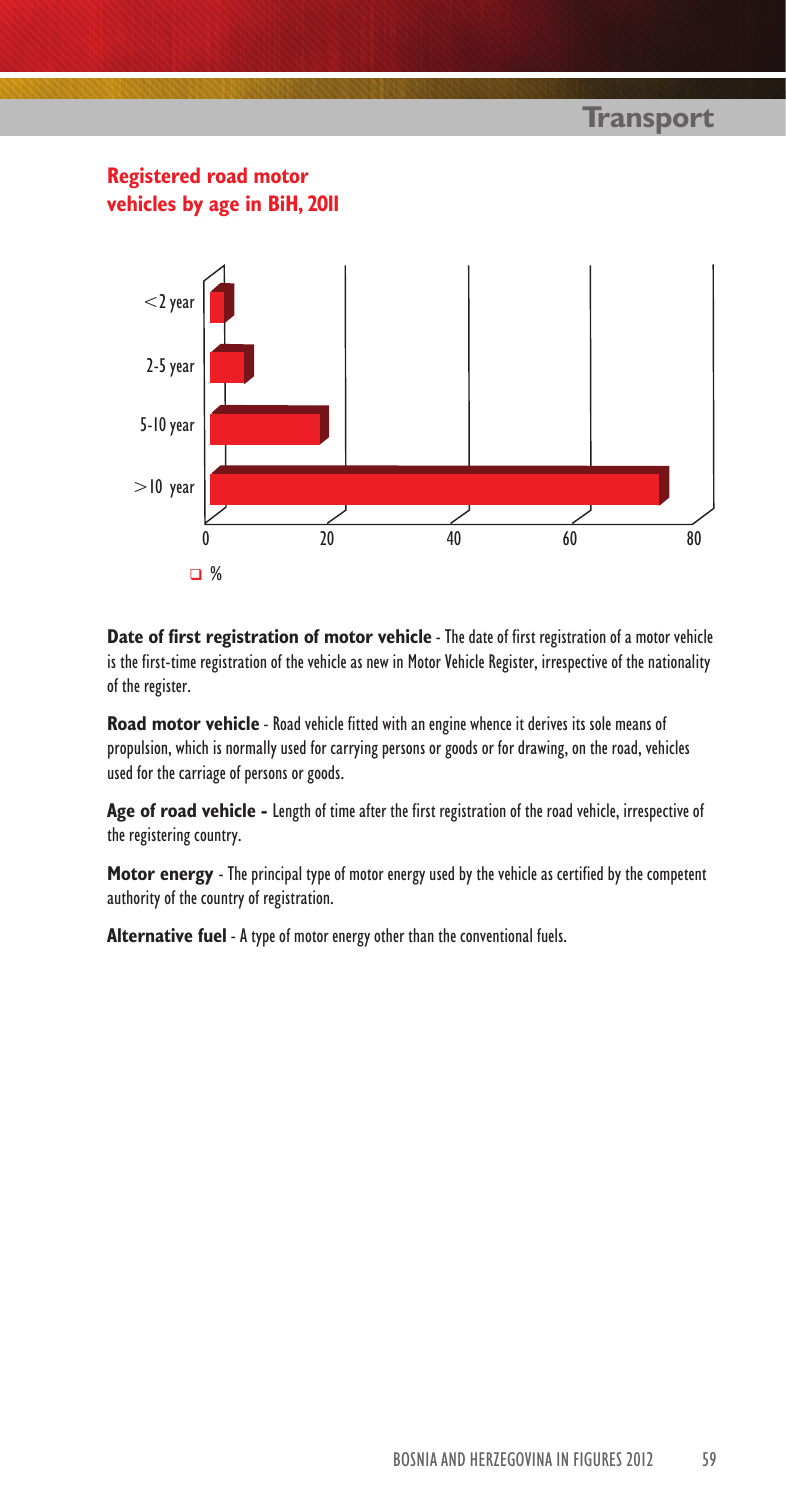## **Transport**



**Date of first registration of motor vehicle** - The date of first registration of a motor vehicle is the first-time registration of the vehicle as new in Motor Vehicle Register, irrespective of the nationality of the register.

**Road motor vehicle** - Road vehicle fitted with an engine whence it derives its sole means of propulsion, which is normally used for carrying persons or goods or for drawing, on the road, vehicles used for the carriage of persons or goods.

**Age of road vehicle -** Length of time after the first registration of the road vehicle, irrespective of the registering country.

**Motor energy** - The principal type of motor energy used by the vehicle as certified by the competent authority of the country of registration.

**Alternative fuel** - A type of motor energy other than the conventional fuels.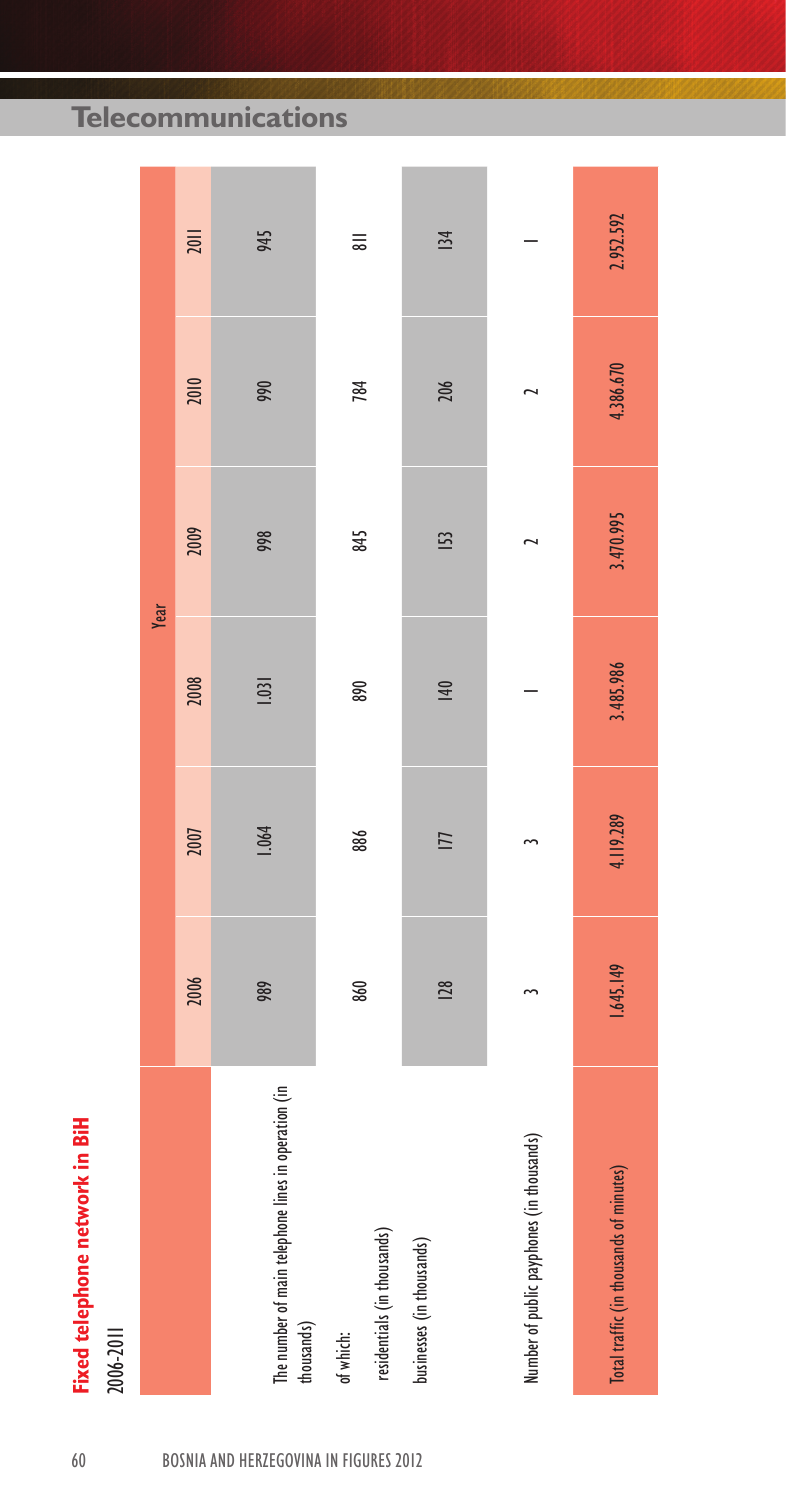**Telecommunications**

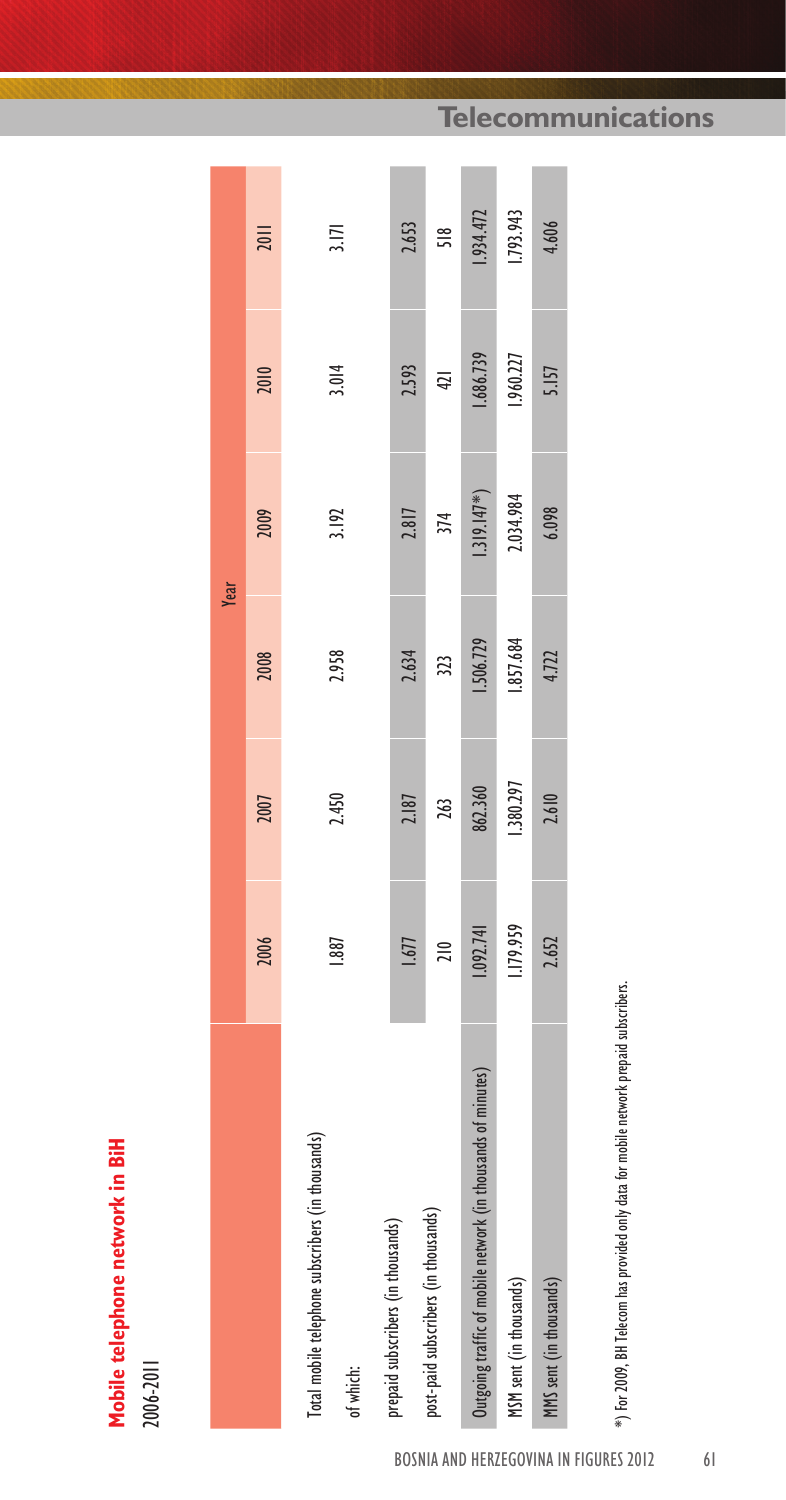| í |        |
|---|--------|
|   |        |
|   |        |
|   |        |
|   |        |
|   |        |
|   |        |
|   |        |
|   |        |
|   |        |
|   |        |
|   |        |
| э |        |
|   |        |
|   |        |
|   |        |
| п |        |
|   |        |
|   |        |
|   |        |
|   |        |
|   |        |
|   |        |
|   |        |
|   |        |
|   |        |
|   |        |
|   |        |
|   |        |
|   | ī<br>٠ |
|   |        |
|   |        |
|   |        |
|   |        |

|                                                                |               |           | Year      |               |           |           |
|----------------------------------------------------------------|---------------|-----------|-----------|---------------|-----------|-----------|
|                                                                | 2006          | 2007      | 2008      | 2009          | 2010      | 201       |
| Total mobile telephone subscribers (in thousands)<br>of which: | 1.887         | 2.450     | 2.958     | 3.192         | 3.014     | 3.171     |
|                                                                |               |           |           |               |           |           |
| prepaid subscribers (in thousands)                             | 1.677         | 2.187     | 2.634     | 2.817         | 2.593     | 2.653     |
| post-paid subscribers (in thousands)                           | $\frac{1}{2}$ | 263       | 323       | 374           | 421       | 518       |
| Outgoing traffic of mobile network (in thousands of minutes)   | 1.092.741     | 862.360   | 1.506.729 | $1.319.147*)$ | 1.686.739 | .934.472  |
| MSM sent (in thousands)                                        | 1.179.959     | 1.380.297 | 1.857.684 | 2.034.984     | 1.960.227 | 1.793.943 |
| MMS sent (in thousands)                                        | 2.652         | 2.610     | 4.722     | 6.098         | 5.157     | 4,606     |
|                                                                |               |           |           |               |           |           |

## **Telecommunications**

\*) For 2009, BH Telecom has provided only data for mobile network prepaid subscribers. \*) For 2009, BH Telecom has provided only data for mobile network prepaid subscribers.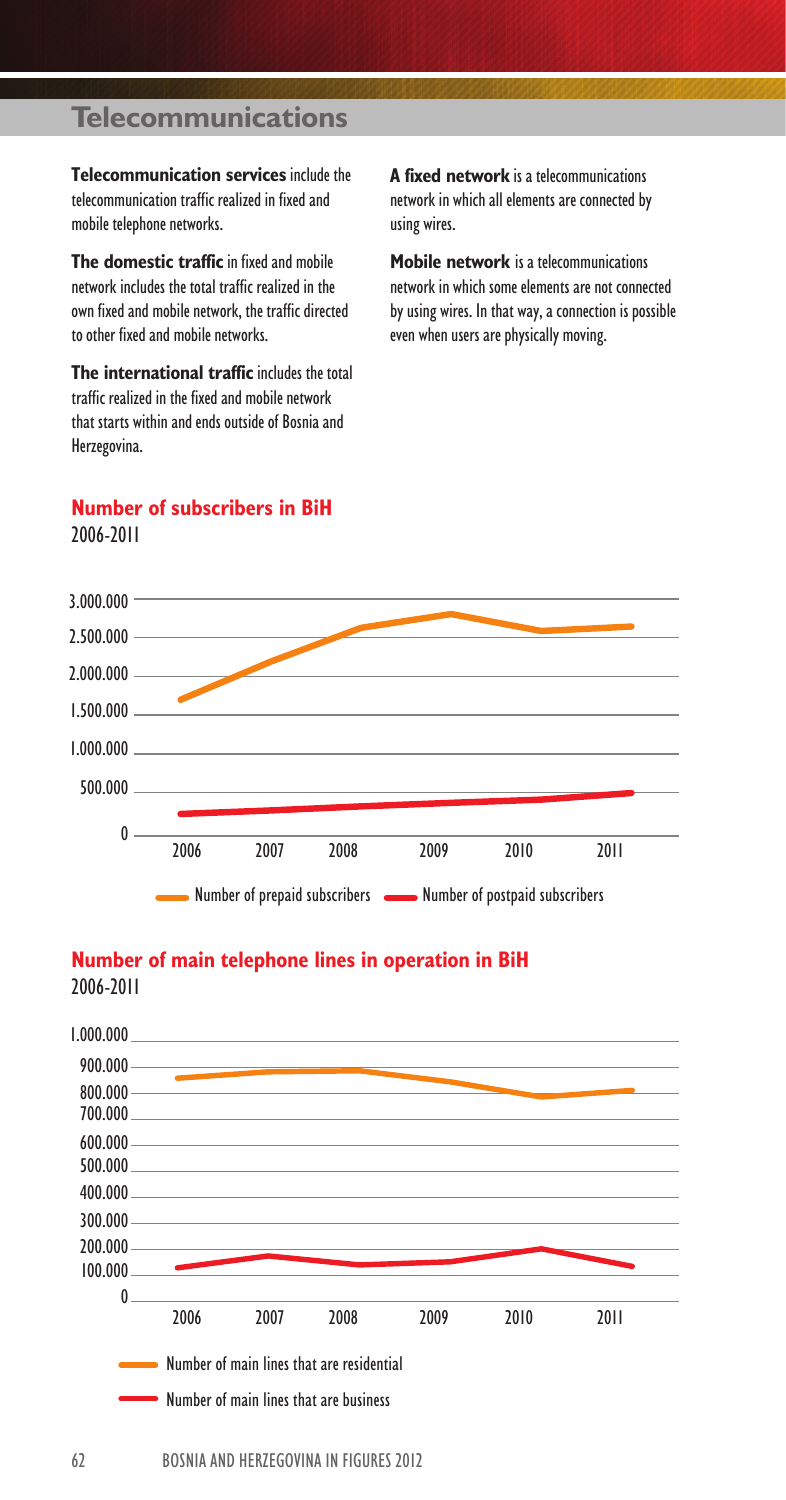## **Telecommunications**

**Telecommunication services** include the telecommunication traffic realized in fixed and mobile telephone networks.

**The domestic traffic** in fixed and mobile network includes the total traffic realized in the own fixed and mobile network, the traffic directed to other fixed and mobile networks.

**The international traffic** includes the total traffic realized in the fixed and mobile network that starts within and ends outside of Bosnia and Herzegovina.

**Number of subscribers in BiH**

**A fixed network** is a telecommunications network in which all elements are connected by using wires.

**Mobile network** is a telecommunications network in which some elements are not connected by using wires. In that way, a connection is possible even when users are physically moving.





### **Number of main telephone lines in operation in BiH**

2006-2011

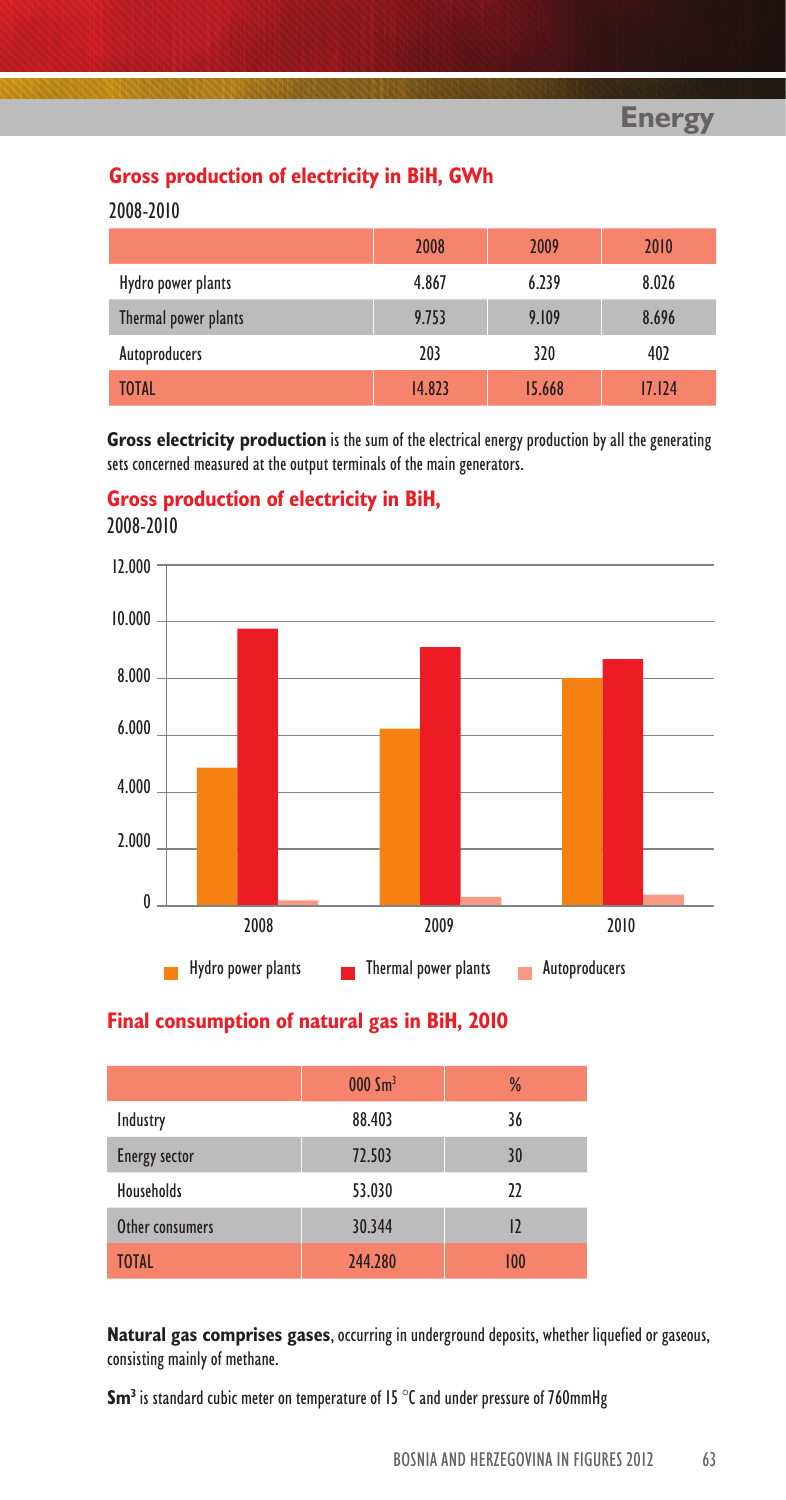### **Gross production of electricity in BiH, GWh**

2008-2010

|                      | 2008   | 2009   | 2010   |
|----------------------|--------|--------|--------|
| Hydro power plants   | 4.867  | 6.239  | 8.026  |
| Thermal power plants | 9.753  | 9.109  | 8.696  |
| Autoproducers        | 203    | 320    | 402    |
| <b>TOTAL</b>         | 14.823 | 15.668 | 17.124 |

**Gross electricity production** is the sum of the electrical energy production by all the generating sets concerned measured at the output terminals of the main generators.

**Gross production of electricity in BiH,** 2008-2010



#### **Final consumption of natural gas in BiH, 2010**

|                      | $000 \, \text{Sm}^3$ | %   |
|----------------------|----------------------|-----|
| Industry             | 88.403               | 36  |
| <b>Energy sector</b> | 72.503               | 30  |
| <b>Households</b>    | 53.030               | 22  |
| Other consumers      | 30.344               | 12  |
| <b>TOTAL</b>         | 244.280              | 100 |

**Natural gas comprises gases**, occurring in underground deposits, whether liquefied or gaseous, consisting mainly of methane.

**Sm3** is standard cubic meter on temperature of 15 °C and under pressure of 760mmHg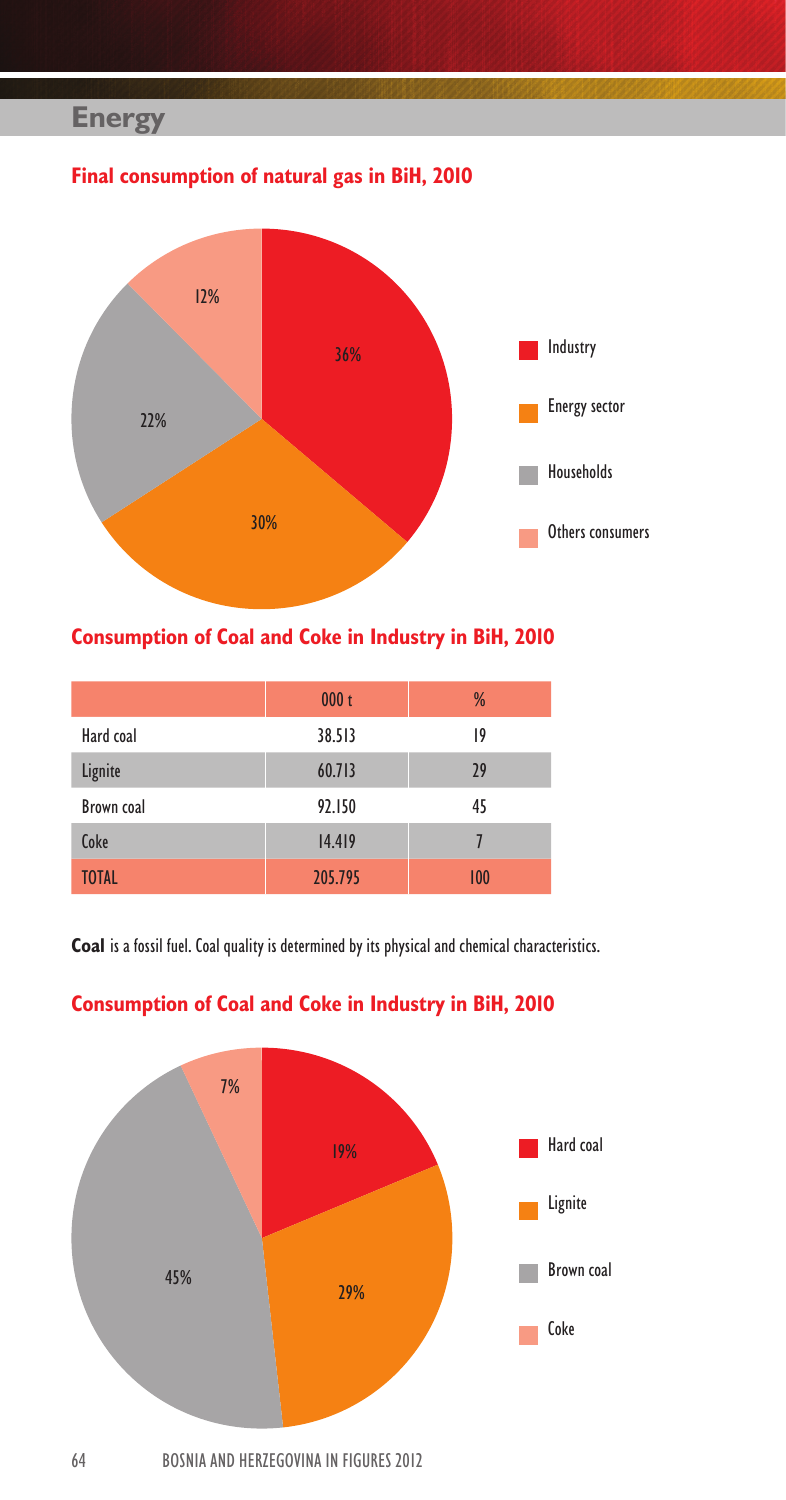## **Energy**

## **Final consumption of natural gas in BiH, 2010**



## **Consumption of Coal and Coke in Industry in BiH, 2010**

|              | 000 <sub>t</sub> | %   |
|--------------|------------------|-----|
| Hard coal    | 38.513           | 19  |
| Lignite      | 60.713           | 29  |
| Brown coal   | 92.150           | 45  |
| Coke         | 14.419           |     |
| <b>TOTAL</b> | 205.795          | 100 |

**Coal** is a fossil fuel. Coal quality is determined by its physical and chemical characteristics.



## **Consumption of Coal and Coke in Industry in BiH, 2010**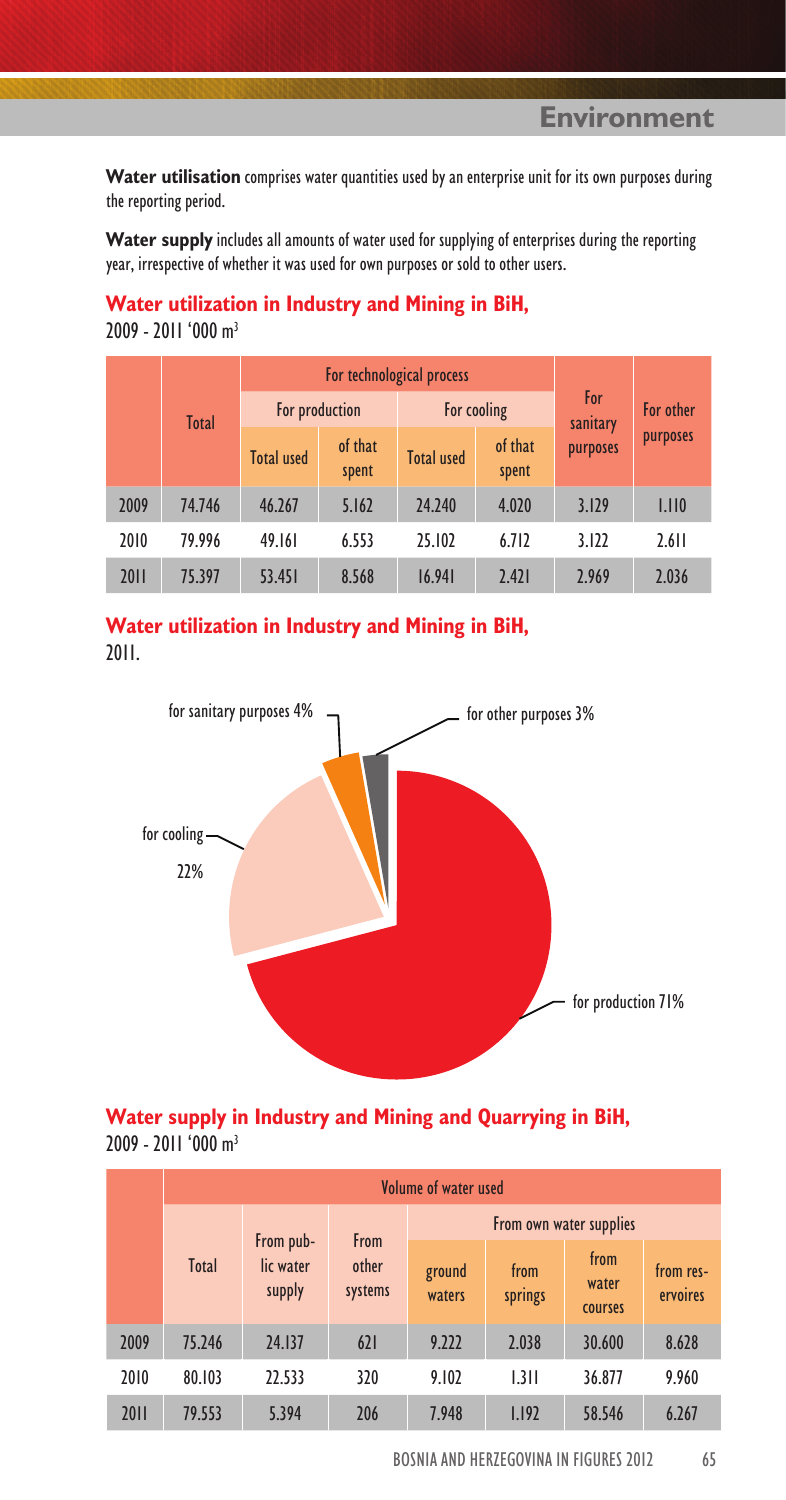**Environment**

**Water utilisation** comprises water quantities used by an enterprise unit for its own purposes during the reporting period.

**Water supply** includes all amounts of water used for supplying of enterprises during the reporting year, irrespective of whether it was used for own purposes or sold to other users.

#### **Water utilization in Industry and Mining in BiH,**

2009 - 2011 '000 m3

|      |              |                   | For technological process |                   |                  |                 |           |
|------|--------------|-------------------|---------------------------|-------------------|------------------|-----------------|-----------|
|      | <b>Total</b> | For production    |                           |                   | For cooling      | For<br>sanitary | For other |
|      |              | <b>Total used</b> | of that<br>spent          | <b>Total used</b> | of that<br>spent | purposes        | purposes  |
| 2009 | 74.746       | 46.267            | 5.162                     | 24.240            | 4.020            | 3.129           | 1.110     |
| 2010 | 79.996       | 49.161            | 6.553                     | 25.102            | 6.712            | 3.122           | 2.611     |
| 2011 | 75.397       | 53.451            | 8.568                     | 16.941            | 2.421            | 2.969           | 2.036     |



2011.



#### **Water supply in Industry and Mining and Quarrying in BiH,** 2009 - 2011 '000 m3

|      | Volume of water used |                                  |                  |                         |                 |                          |                       |  |  |
|------|----------------------|----------------------------------|------------------|-------------------------|-----------------|--------------------------|-----------------------|--|--|
|      |                      |                                  | <b>From</b>      | From own water supplies |                 |                          |                       |  |  |
|      | Total                | From pub-<br>lic water<br>supply | other<br>systems | ground<br>waters        | from<br>springs | from<br>water<br>courses | from res-<br>ervoires |  |  |
| 2009 | 75.246               | 24.137                           | 621              | 9.222                   | 2.038           | 30.600                   | 8.628                 |  |  |
| 2010 | 80.103               | 22.533                           | 320              | 9.102                   | 1.311           | 36.877                   | 9.960                 |  |  |
| 2011 | 79.553               | 5.394                            | 206              | 7.948                   | 1.192           | 58.546                   | 6.267                 |  |  |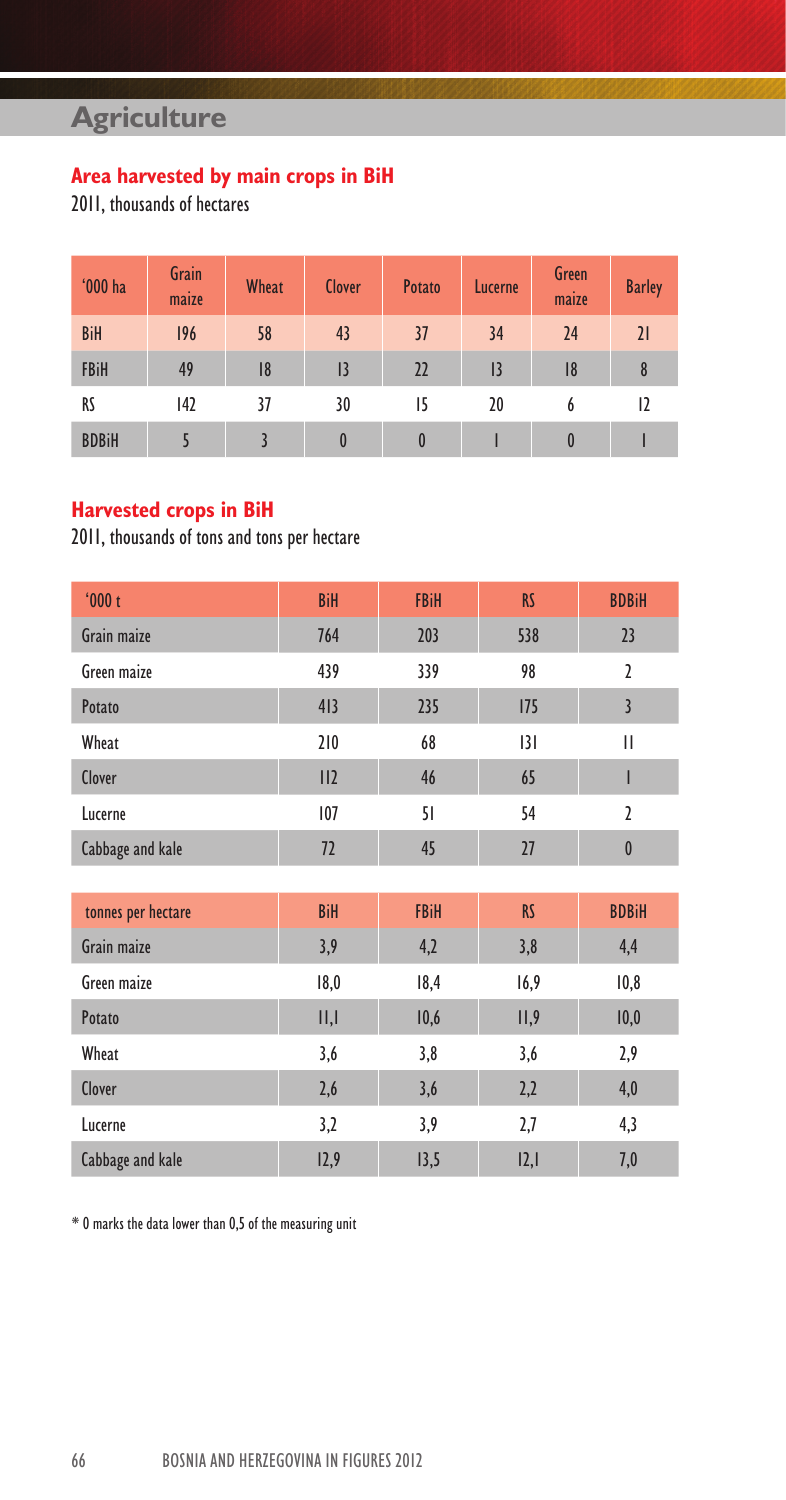## **Agriculture**

## **Area harvested by main crops in BiH**

2011, thousands of hectares

| '000 ha      | Grain<br>maize | <b>Wheat</b> | <b>Clover</b> | <b>Potato</b> | Lucerne        | Green<br>maize | <b>Barley</b> |
|--------------|----------------|--------------|---------------|---------------|----------------|----------------|---------------|
| <b>BiH</b>   | 196            | 58           | 43            | 37            | 34             | 24             | 21            |
| <b>FBiH</b>  | 49             | 8            | 3             | 22            | $\overline{1}$ | 8              | 8             |
| RS           | 142            | 37           | 30            | 15            | 20             | b              | 12            |
| <b>BDBiH</b> |                |              | 0             | 0             |                | $\bf{0}$       |               |

### **Harvested crops in BiH**

2011, thousands of tons and tons per hectare

| '000t              | <b>BiH</b> | <b>FBiH</b> | <b>RS</b> | <b>BDBiH</b>   |
|--------------------|------------|-------------|-----------|----------------|
| Grain maize        | 764        | 203         | 538       | 23             |
| Green maize        | 439        | 339         | 98        | $\overline{2}$ |
| Potato             | 413        | 235         | 175       | $\overline{3}$ |
| Wheat              | 210        | 68          | 3         | П              |
| Clover             | II2        | 46          | 65        | ı              |
| Lucerne            | 107        | 51          | 54        | $\overline{2}$ |
| Cabbage and kale   | 72         | 45          | 27        | $\bf{0}$       |
|                    |            |             |           |                |
| tonnes per hectare | <b>BiH</b> | <b>FBiH</b> | <b>RS</b> | <b>BDBiH</b>   |
| Grain maize        | 3,9        | 4,2         | 3,8       | 4,4            |
| Green maize        | 18,0       | 18,4        | 16,9      | 10,8           |
| Potato             | II, I      | 10,6        | II,9      | 10,0           |
| Wheat              | 3,6        | 3,8         | 3,6       | 2,9            |
| Clover             | 2,6        | 3,6         | 2,2       | 4,0            |
| Lucerne            | 3,2        | 3,9         | 2,7       | 4,3            |
| Cabbage and kale   | 12,9       | 13,5        | 2,        | 7,0            |

\* 0 marks the data lower than 0,5 of the measuring unit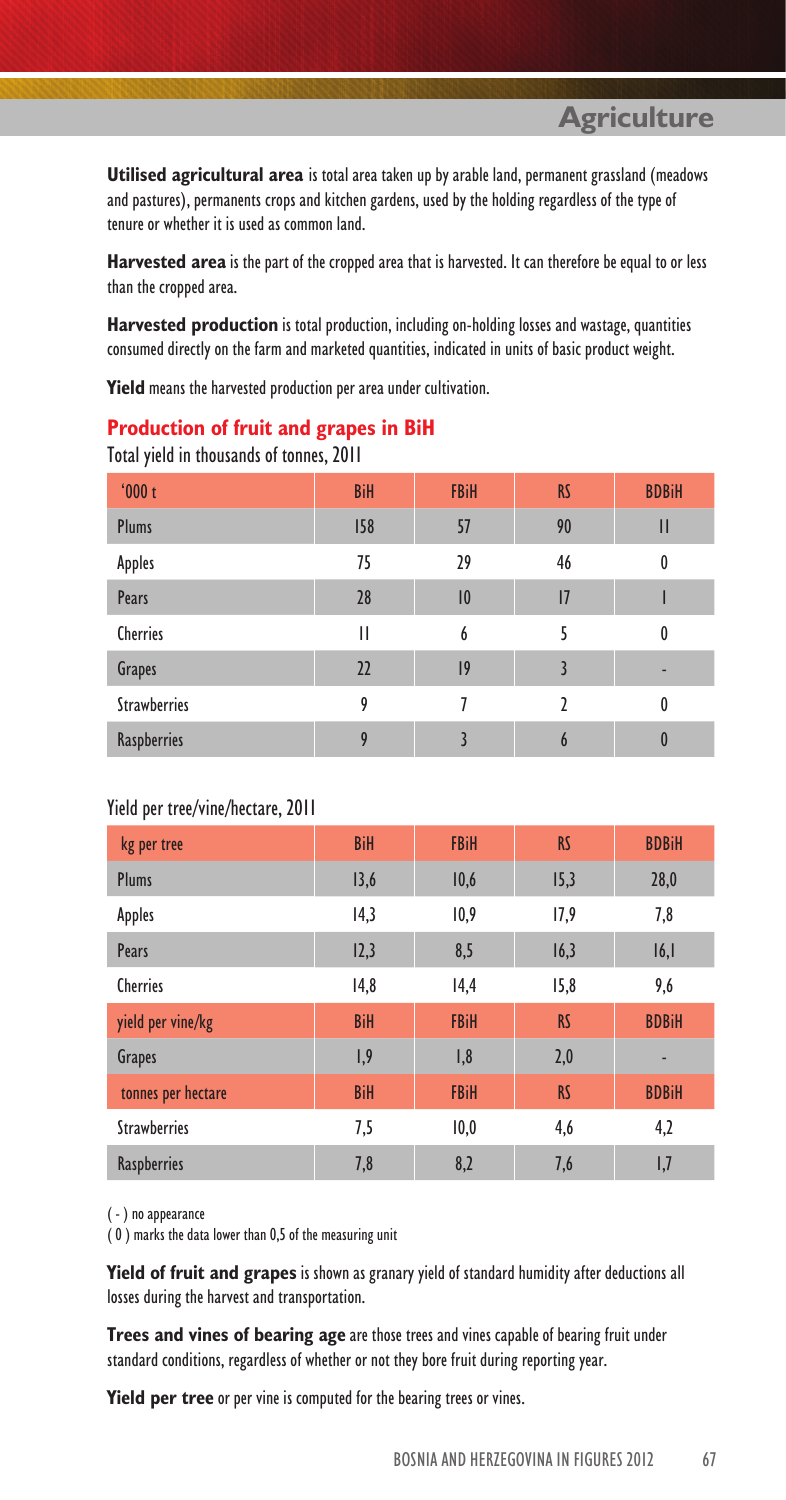**Agriculture**

**Utilised agricultural area** is total area taken up by arable land, permanent grassland (meadows and pastures), permanents crops and kitchen gardens, used by the holding regardless of the type of tenure or whether it is used as common land.

**Harvested area** is the part of the cropped area that is harvested. It can therefore be equal to or less than the cropped area.

**Harvested production** is total production, including on-holding losses and wastage, quantities consumed directly on the farm and marketed quantities, indicated in units of basic product weight.

**Yield** means the harvested production per area under cultivation.

#### **Production of fruit and grapes in BiH**

| '000t               | <b>BiH</b> | <b>FBiH</b> | <b>RS</b> | <b>BDBiH</b>     |
|---------------------|------------|-------------|-----------|------------------|
| <b>Plums</b>        | 158        | 57          | 90        | Ш                |
| Apples              | 75         | 29          | 46        | 0                |
| Pears               | 28         | 10          | 1         |                  |
| <b>Cherries</b>     | Ш          | 6           | 5         | $\boldsymbol{0}$ |
| Grapes              | 22         | 9           | 3         |                  |
| <b>Strawberries</b> | 9          |             | 7         | $\boldsymbol{0}$ |
| Raspberries         | 9          |             | 6         | 0                |

Total yield in thousands of tonnes, 2011

#### Yield per tree/vine/hectare, 2011

| kg per tree         | <b>BiH</b> | <b>FBiH</b> | <b>RS</b> | <b>BDBiH</b> |
|---------------------|------------|-------------|-----------|--------------|
| Plums               | 13,6       | 10,6        | 15,3      | 28,0         |
| <b>Apples</b>       | 14,3       | 10,9        | 17,9      | 7,8          |
| Pears               | 12,3       | 8,5         | 16,3      | 16,1         |
| <b>Cherries</b>     | 14,8       | 14,4        | 15,8      | 9,6          |
| yield per vine/kg   | <b>BiH</b> | <b>FBiH</b> | <b>RS</b> | <b>BDBiH</b> |
| <b>Grapes</b>       | 1,9        | 1,8         | 2,0       |              |
| tonnes per hectare  | <b>BiH</b> | <b>FBiH</b> | <b>RS</b> | <b>BDBiH</b> |
| <b>Strawberries</b> | 7,5        | 10,0        | 4,6       | 4,2          |
| <b>Raspberries</b>  | 7,8        | 8,2         | 7,6       | 1,7          |

( - ) no appearance

( 0 ) marks the data lower than 0,5 of the measuring unit

**Yield of fruit and grapes** is shown as granary yield of standard humidity after deductions all losses during the harvest and transportation.

**Trees and vines of bearing age** are those trees and vines capable of bearing fruit under standard conditions, regardless of whether or not they bore fruit during reporting year.

**Yield per tree** or per vine is computed for the bearing trees or vines.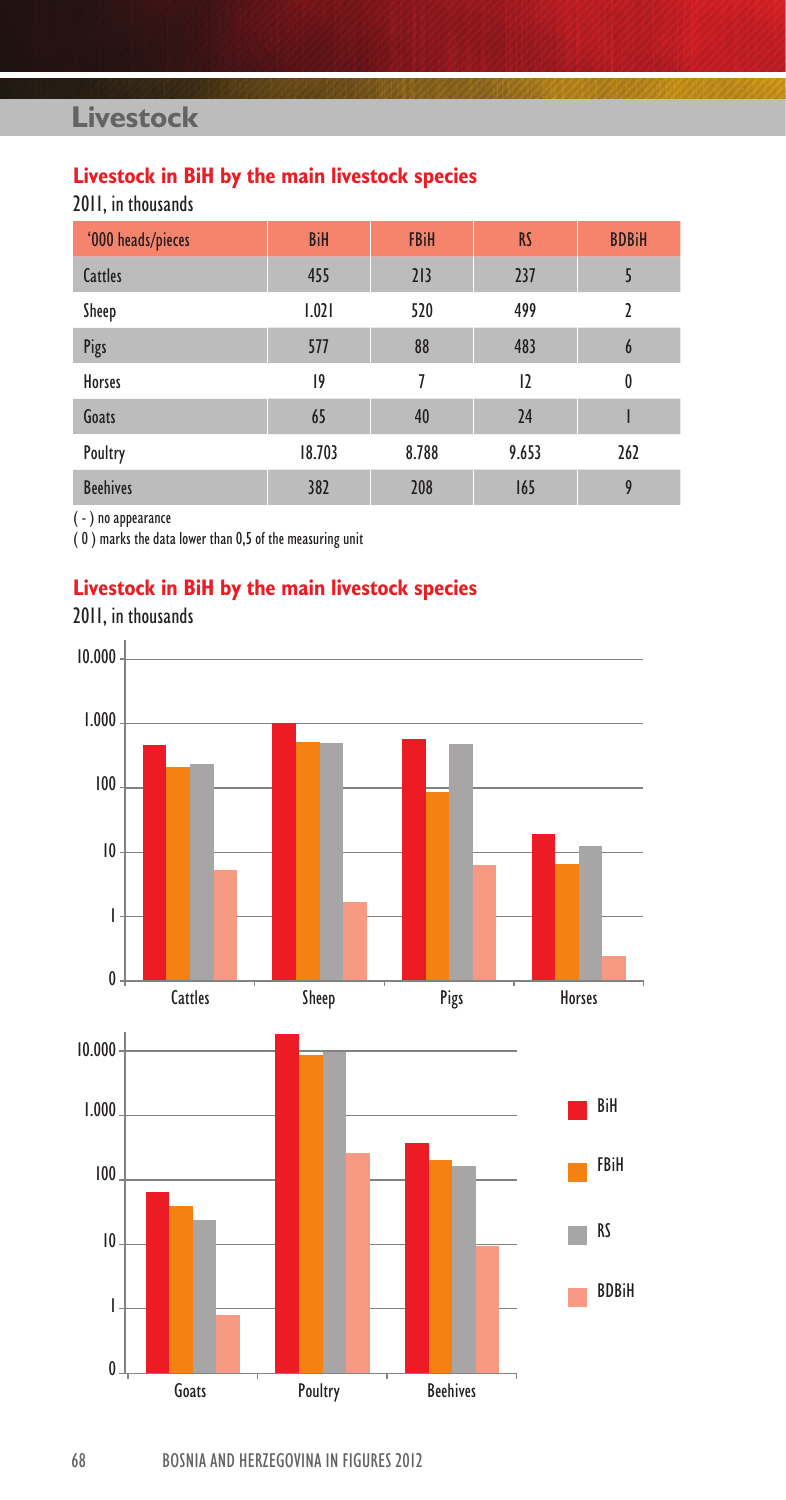## **Livestock**

## **Livestock in BiH by the main livestock species**

2011, in thousands

| '000 heads/pieces | <b>BiH</b> | <b>FBiH</b> | <b>RS</b> | <b>BDBiH</b>     |
|-------------------|------------|-------------|-----------|------------------|
| Cattles           | 455        | 213         | 237       |                  |
| Sheep             | 1.021      | 520         | 499       | 2                |
| Pigs              | 577        | 88          | 483       | 6                |
| <b>Horses</b>     | 9          | 7           | 2         | $\boldsymbol{0}$ |
| Goats             | 65         | 40          | 24        |                  |
| Poultry           | 18.703     | 8.788       | 9.653     | 262              |
| <b>Beehives</b>   | 382        | 208         | 165       | 9                |

( - ) no appearance

( 0 ) marks the data lower than 0,5 of the measuring unit

## **Livestock in BiH by the main livestock species**



2011, in thousands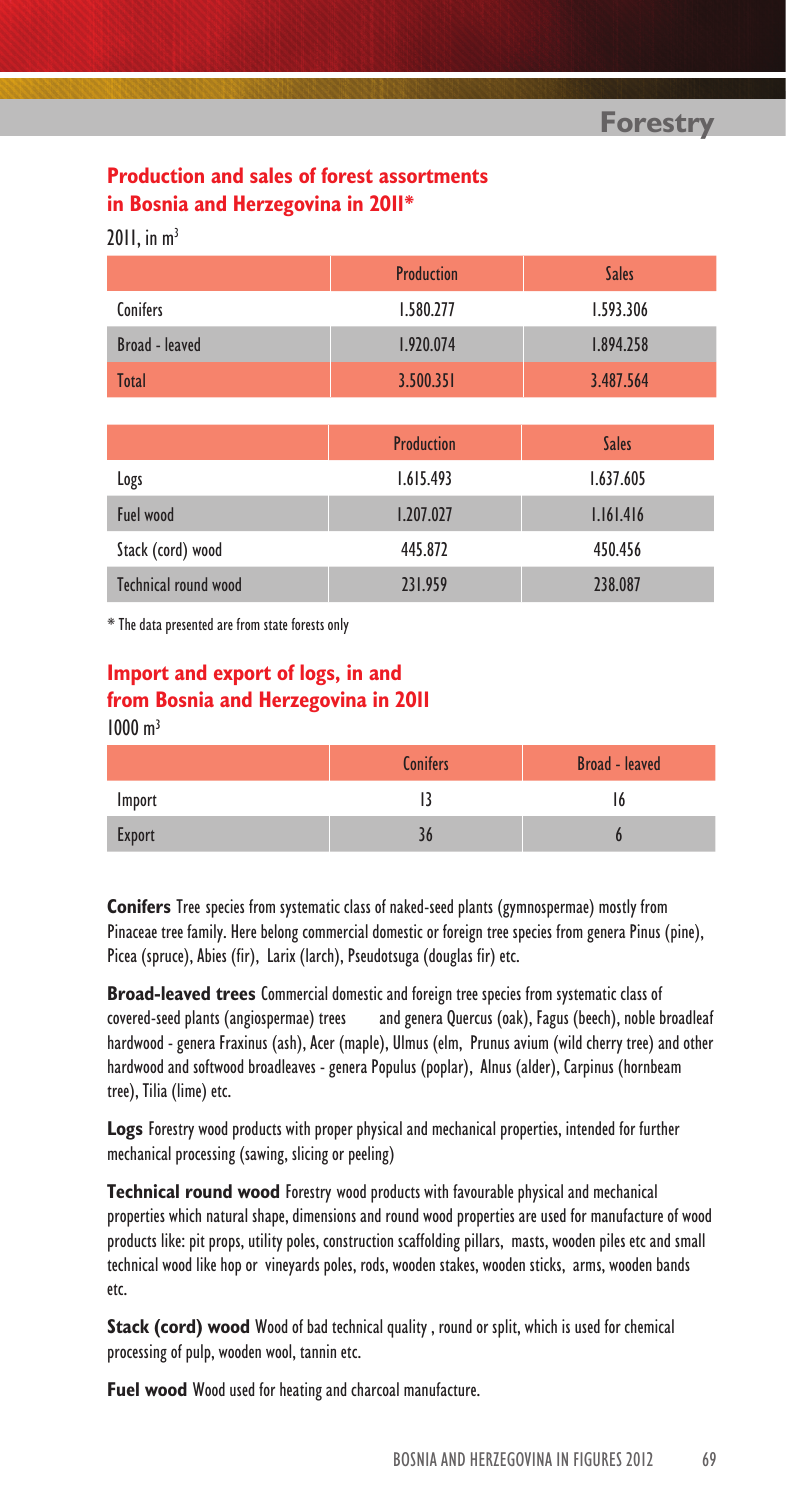**Forestry**

### **Production and sales of forest assortments in Bosnia and Herzegovina in 2011\***

 $2011$ , in  $m<sup>3</sup>$ 

|                       | <b>Production</b> | <b>Sales</b> |
|-----------------------|-------------------|--------------|
| <b>Conifers</b>       | 1.580.277         | 1.593.306    |
| <b>Broad - leaved</b> | 1.920.074         | 1.894.258    |
| <b>Total</b>          | 3.500.351         | 3.487.564    |
|                       |                   |              |
|                       | <b>Production</b> | <b>Sales</b> |
| Logs                  | 1.615.493         | 1.637.605    |
| Fuel wood             | 1.207.027         | 1.161.416    |
| Stack (cord) wood     | 445.872           | 450.456      |

Technical round wood 231.959 238.087

l, \* The data presented are from state forests only

#### **Import and export of logs, in and from Bosnia and Herzegovina in 2011**  $1000 m<sup>3</sup>$

|        | <b>Broad - leaved</b><br><b>Conifers</b> |  |
|--------|------------------------------------------|--|
| Import |                                          |  |
| Export |                                          |  |

**Conifers** Tree species from systematic class of naked-seed plants (gymnospermae) mostly from Pinaceae tree family. Here belong commercial domestic or foreign tree species from genera Pinus (pine), Picea (spruce), Abies (fir), Larix (larch), Pseudotsuga (douglas fir) etc.

**Broad-leaved trees** Commercial domestic and foreign tree species from systematic class of covered-seed plants (angiospermae) trees and genera Quercus (oak), Fagus (beech), noble broadleaf hardwood - genera Fraxinus (ash), Acer (maple), Ulmus (elm, Prunus avium (wild cherry tree) and other hardwood and softwood broadleaves - genera Populus (poplar), Alnus (alder), Carpinus (hornbeam tree), Tilia (lime) etc.

**Logs** Forestry wood products with proper physical and mechanical properties, intended for further mechanical processing (sawing, slicing or peeling)

**Technical round wood** Forestry wood products with favourable physical and mechanical properties which natural shape, dimensions and round wood properties are used for manufacture of wood products like: pit props, utility poles, construction scaffolding pillars, masts, wooden piles etc and small technical wood like hop or vineyards poles, rods, wooden stakes, wooden sticks, arms, wooden bands etc.

**Stack (cord) wood** Wood of bad technical quality , round or split, which is used for chemical processing of pulp, wooden wool, tannin etc.

**Fuel wood** Wood used for heating and charcoal manufacture.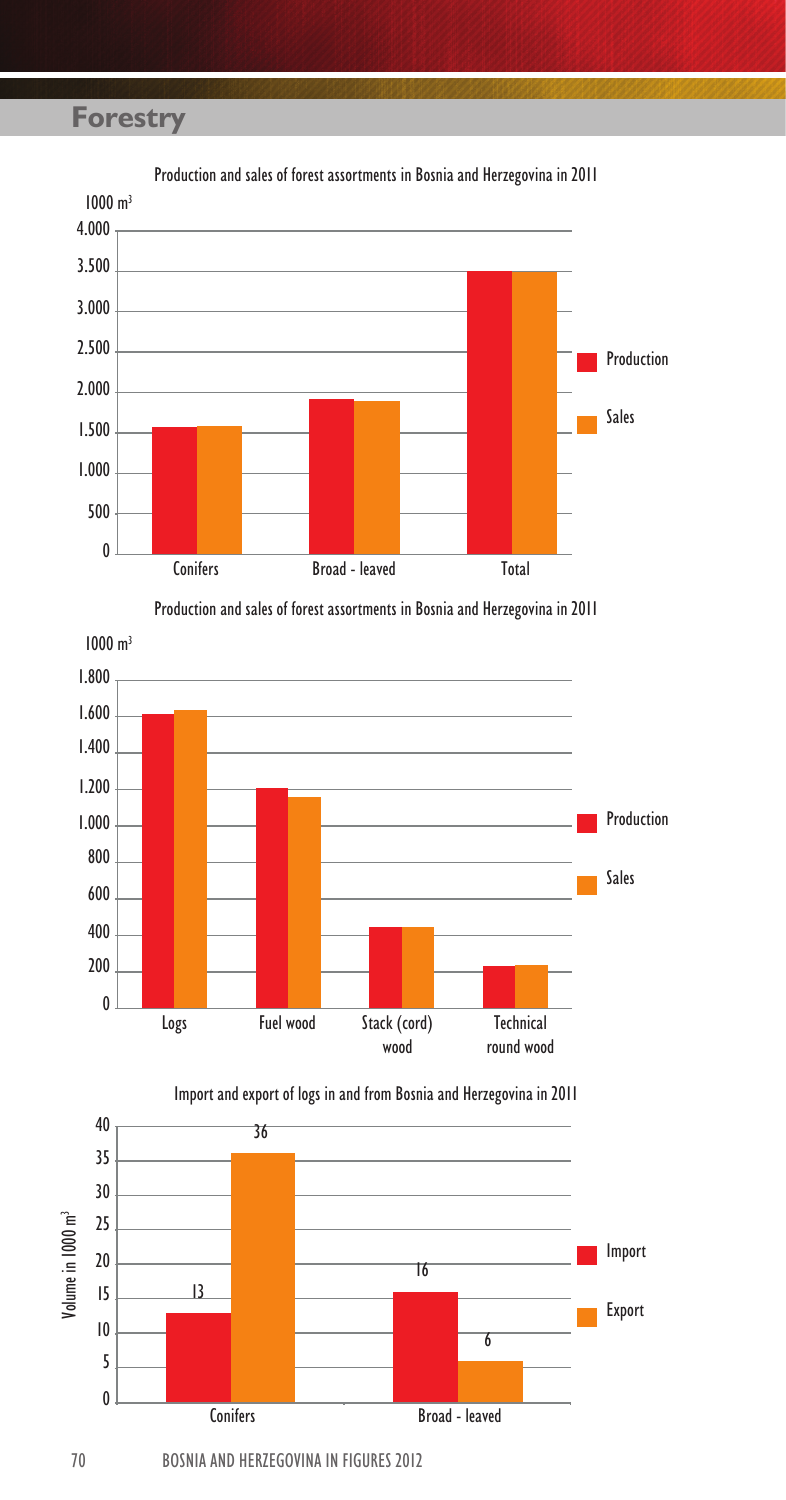## **Forestry**



Production and sales of forest assortments in Bosnia and Herzegovina in 2011







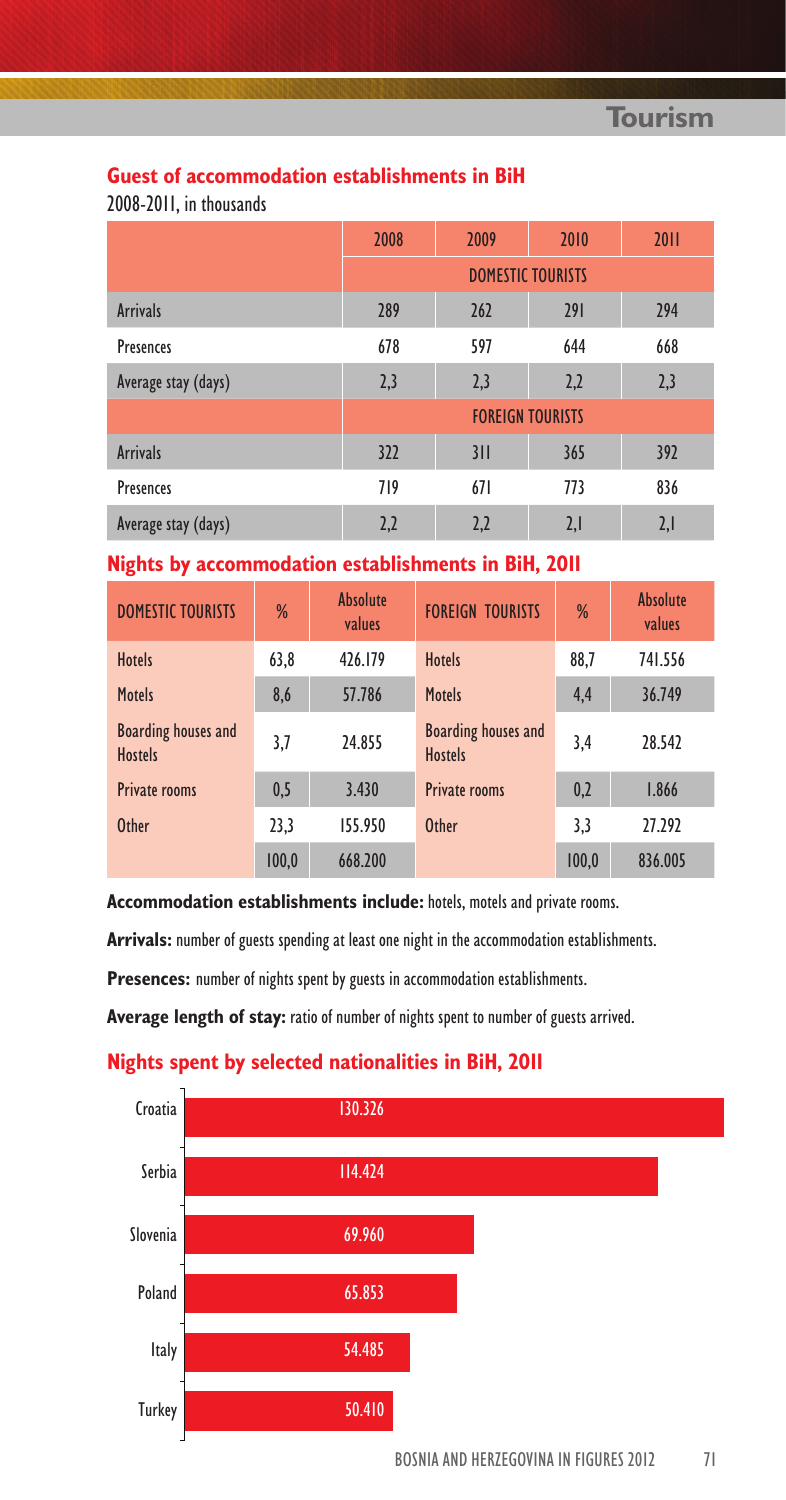#### **Guest of accommodation establishments in BiH**

2008-2011, in thousands

|                     | 2008                     | 2009 | 2010 | 2011 |
|---------------------|--------------------------|------|------|------|
|                     | <b>DOMESTIC TOURISTS</b> |      |      |      |
| <b>Arrivals</b>     | 289                      | 262  | 291  | 294  |
| <b>Presences</b>    | 678                      | 597  | 644  | 668  |
| Average stay (days) | 2,3                      | 2,3  | 2,2  | 2,3  |
|                     | <b>FOREIGN TOURISTS</b>  |      |      |      |
| <b>Arrivals</b>     | 322                      | 311  | 365  | 392  |
| <b>Presences</b>    | 719                      | 671  | 773  | 836  |
| Average stay (days) | 2,2                      | 2,2  | 2,1  | 2,1  |

#### **Nights by accommodation establishments in BiH, 2011**

| <b>DOMESTIC TOURISTS</b>                     | %     | <b>Absolute</b><br>values | <b>FOREIGN TOURISTS</b>                      | %     | <b>Absolute</b><br>values |
|----------------------------------------------|-------|---------------------------|----------------------------------------------|-------|---------------------------|
| <b>Hotels</b>                                | 63,8  | 426.179                   | <b>Hotels</b>                                | 88.7  | 741.556                   |
| <b>Motels</b>                                | 8,6   | 57.786                    | <b>Motels</b>                                | 4,4   | 36.749                    |
| <b>Boarding houses and</b><br><b>Hostels</b> | 3,7   | 24.855                    | <b>Boarding houses and</b><br><b>Hostels</b> | 3.4   | 28.542                    |
| <b>Private rooms</b>                         | 0,5   | 3.430                     | <b>Private rooms</b>                         | 0,2   | 1.866                     |
| <b>Other</b>                                 | 23,3  | 155.950                   | <b>Other</b>                                 | 3,3   | 27.292                    |
|                                              | 100.0 | 668,200                   |                                              | 100.0 | 836.005                   |

**Accommodation establishments include:** hotels, motels and private rooms.

**Arrivals:** number of guests spending at least one night in the accommodation establishments.

**Presences:** number of nights spent by guests in accommodation establishments.

**Average length of stay:** ratio of number of nights spent to number of guests arrived.

#### **Nights spent by selected nationalities in BiH, 2011**